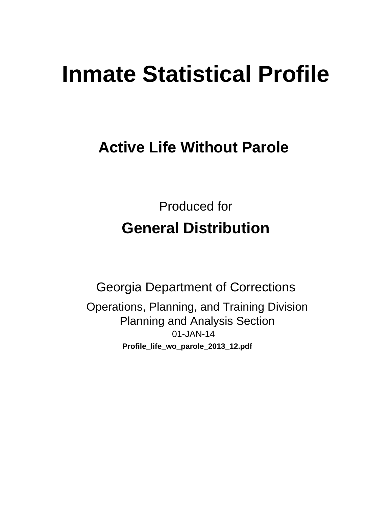# **Inmate Statistical Profile**

## **Active Life Without Parole**

**Produced for General Distribution** 

**Georgia Department of Corrections** Operations, Planning, and Training Division **Planning and Analysis Section** 01-JAN-14 Profile\_life\_wo\_parole\_2013\_12.pdf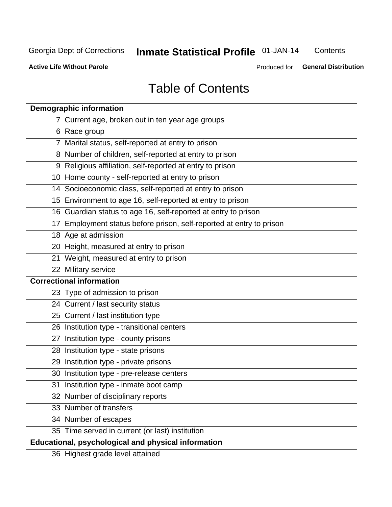## **Inmate Statistical Profile 01-JAN-14**

Contents

**Active Life Without Parole** 

Produced for General Distribution

## **Table of Contents**

| <b>Demographic information</b>                                       |
|----------------------------------------------------------------------|
| 7 Current age, broken out in ten year age groups                     |
| 6 Race group                                                         |
| 7 Marital status, self-reported at entry to prison                   |
| 8 Number of children, self-reported at entry to prison               |
| 9 Religious affiliation, self-reported at entry to prison            |
| 10 Home county - self-reported at entry to prison                    |
| 14 Socioeconomic class, self-reported at entry to prison             |
| 15 Environment to age 16, self-reported at entry to prison           |
| 16 Guardian status to age 16, self-reported at entry to prison       |
| 17 Employment status before prison, self-reported at entry to prison |
| 18 Age at admission                                                  |
| 20 Height, measured at entry to prison                               |
| 21 Weight, measured at entry to prison                               |
| 22 Military service                                                  |
| <b>Correctional information</b>                                      |
| 23 Type of admission to prison                                       |
| 24 Current / last security status                                    |
| 25 Current / last institution type                                   |
| 26 Institution type - transitional centers                           |
| 27 Institution type - county prisons                                 |
| 28 Institution type - state prisons                                  |
| 29 Institution type - private prisons                                |
| 30 Institution type - pre-release centers                            |
| 31 Institution type - inmate boot camp                               |
| 32 Number of disciplinary reports                                    |
| 33 Number of transfers                                               |
| 34 Number of escapes                                                 |
| 35 Time served in current (or last) institution                      |
| Educational, psychological and physical information                  |
| 36 Highest grade level attained                                      |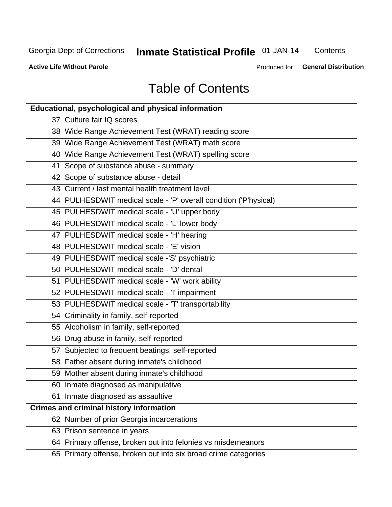## **Inmate Statistical Profile 01-JAN-14**

Contents

**Active Life Without Parole** 

**General Distribution** Produced for

## **Table of Contents**

| <b>Educational, psychological and physical information</b>       |
|------------------------------------------------------------------|
| 37 Culture fair IQ scores                                        |
| 38 Wide Range Achievement Test (WRAT) reading score              |
| 39 Wide Range Achievement Test (WRAT) math score                 |
| 40 Wide Range Achievement Test (WRAT) spelling score             |
| 41 Scope of substance abuse - summary                            |
| 42 Scope of substance abuse - detail                             |
| 43 Current / last mental health treatment level                  |
| 44 PULHESDWIT medical scale - 'P' overall condition ('P'hysical) |
| 45 PULHESDWIT medical scale - 'U' upper body                     |
| 46 PULHESDWIT medical scale - 'L' lower body                     |
| 47 PULHESDWIT medical scale - 'H' hearing                        |
| 48 PULHESDWIT medical scale - 'E' vision                         |
| 49 PULHESDWIT medical scale -'S' psychiatric                     |
| 50 PULHESDWIT medical scale - 'D' dental                         |
| 51 PULHESDWIT medical scale - 'W' work ability                   |
| 52 PULHESDWIT medical scale - 'I' impairment                     |
| 53 PULHESDWIT medical scale - 'T' transportability               |
| 54 Criminality in family, self-reported                          |
| 55 Alcoholism in family, self-reported                           |
| 56 Drug abuse in family, self-reported                           |
| 57 Subjected to frequent beatings, self-reported                 |
| 58 Father absent during inmate's childhood                       |
| 59 Mother absent during inmate's childhood                       |
| 60 Inmate diagnosed as manipulative                              |
| 61 Inmate diagnosed as assaultive                                |
| <b>Crimes and criminal history information</b>                   |
| 62 Number of prior Georgia incarcerations                        |
| 63 Prison sentence in years                                      |
| 64 Primary offense, broken out into felonies vs misdemeanors     |
| 65 Primary offense, broken out into six broad crime categories   |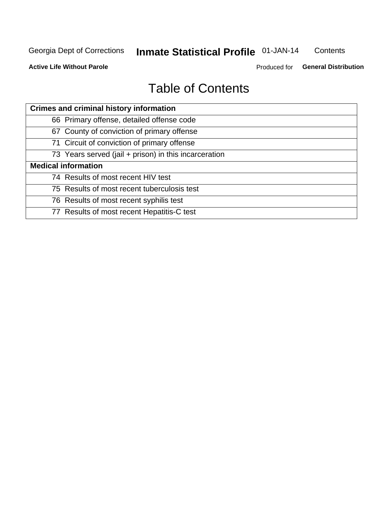## **Inmate Statistical Profile 01-JAN-14**

Contents

**Active Life Without Parole** 

Produced for General Distribution

## **Table of Contents**

| <b>Crimes and criminal history information</b>        |
|-------------------------------------------------------|
| 66 Primary offense, detailed offense code             |
| 67 County of conviction of primary offense            |
| 71 Circuit of conviction of primary offense           |
| 73 Years served (jail + prison) in this incarceration |
| <b>Medical information</b>                            |
| 74 Results of most recent HIV test                    |
| 75 Results of most recent tuberculosis test           |
| 76 Results of most recent syphilis test               |
| 77 Results of most recent Hepatitis-C test            |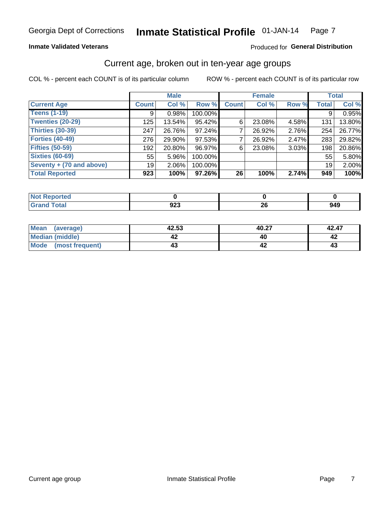#### Inmate Statistical Profile 01-JAN-14 Page 7

### **Inmate Validated Veterans**

### Produced for General Distribution

### Current age, broken out in ten-year age groups

COL % - percent each COUNT is of its particular column

|                          |              | <b>Male</b> |         |              | <b>Female</b> |       |                 | <b>Total</b> |
|--------------------------|--------------|-------------|---------|--------------|---------------|-------|-----------------|--------------|
| <b>Current Age</b>       | <b>Count</b> | Col %       | Row %   | <b>Count</b> | Col %         | Row % | <b>Total</b>    | Col %        |
| <b>Teens (1-19)</b>      | 9            | 0.98%       | 100.00% |              |               |       | 9               | 0.95%        |
| <b>Twenties (20-29)</b>  | 125          | 13.54%      | 95.42%  | 6            | 23.08%        | 4.58% | 131             | 13.80%       |
| Thirties (30-39)         | 247          | 26.76%      | 97.24%  |              | 26.92%        | 2.76% | 254             | 26.77%       |
| <b>Forties (40-49)</b>   | 276          | 29.90%      | 97.53%  |              | 26.92%        | 2.47% | 283             | 29.82%       |
| <b>Fifties (50-59)</b>   | 192          | 20.80%      | 96.97%  | 6            | 23.08%        | 3.03% | 198             | 20.86%       |
| <b>Sixties (60-69)</b>   | 55           | $5.96\%$    | 100.00% |              |               |       | 55              | 5.80%        |
| Seventy + (70 and above) | 19           | $2.06\%$    | 100.00% |              |               |       | 19 <sup>1</sup> | 2.00%        |
| <b>Total Reported</b>    | 923          | 100%        | 97.26%  | 26           | 100%          | 2.74% | 949             | 100%         |

| _____ | <u>__</u><br>シムー | oc.<br>ΔU | 949 |
|-------|------------------|-----------|-----|

| Mean<br>(average)       | 42.53 | 40.27 | 42.47 |
|-------------------------|-------|-------|-------|
| Median (middle)         |       |       |       |
| Mode<br>(most frequent) |       |       | 4.    |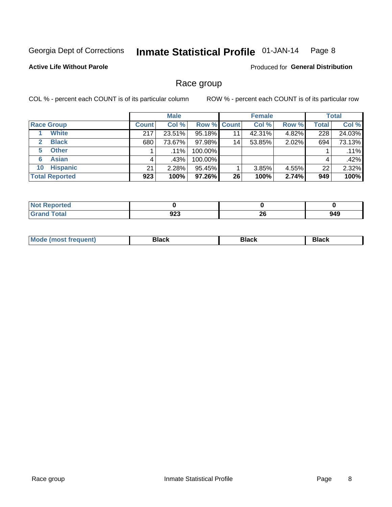#### Inmate Statistical Profile 01-JAN-14 Page 8

### **Active Life Without Parole**

**Produced for General Distribution** 

### Race group

COL % - percent each COUNT is of its particular column

|                              |              | <b>Male</b> |                    |    | <b>Female</b> |       |              | <b>Total</b> |
|------------------------------|--------------|-------------|--------------------|----|---------------|-------|--------------|--------------|
| <b>Race Group</b>            | <b>Count</b> | Col %       | <b>Row % Count</b> |    | Col %         | Row % | <b>Total</b> | Col %        |
| <b>White</b>                 | 217          | 23.51%      | 95.18%             | 11 | 42.31%        | 4.82% | 228          | 24.03%       |
| <b>Black</b><br>$\mathbf{2}$ | 680          | 73.67%      | 97.98%             | 14 | 53.85%        | 2.02% | 694          | 73.13%       |
| <b>Other</b><br>5.           |              | $.11\%$     | 100.00%            |    |               |       |              | .11%         |
| <b>Asian</b><br>6            | 4            | .43%        | 100.00%            |    |               |       | 4            | .42%         |
| <b>Hispanic</b><br>10        | 21           | 2.28%       | 95.45%             |    | 3.85%         | 4.55% | 22           | 2.32%        |
| <b>Total Reported</b>        | 923          | 100%        | 97.26%             | 26 | 100%          | 2.74% | 949          | 100%         |

| <b>rted</b>  |                   |          |           |
|--------------|-------------------|----------|-----------|
| <b>Total</b> | ົດດາ<br>92J<br>__ | ኅሮ<br>ΔV | 949<br>__ |

| M | --- | $-1$ |
|---|-----|------|
|   |     |      |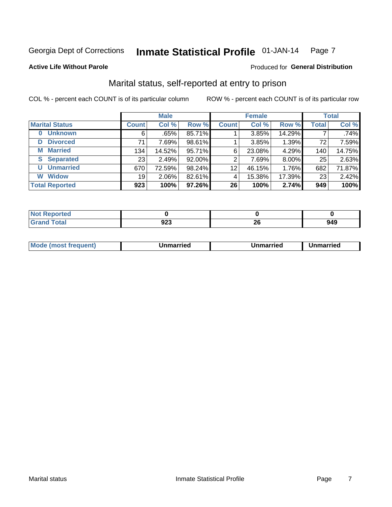#### Inmate Statistical Profile 01-JAN-14 Page 7

### **Active Life Without Parole**

### Produced for General Distribution

### Marital status, self-reported at entry to prison

COL % - percent each COUNT is of its particular column

|                        |                 | <b>Male</b> |        |              | <b>Female</b> |        |                 | <b>Total</b> |
|------------------------|-----------------|-------------|--------|--------------|---------------|--------|-----------------|--------------|
| <b>Marital Status</b>  | <b>Count</b>    | Col %       | Row %  | <b>Count</b> | Col %         | Row %  | <b>Total</b>    | Col %        |
| <b>Unknown</b><br>0    | 6               | $.65\%$     | 85.71% |              | 3.85%         | 14.29% |                 | .74%         |
| <b>Divorced</b><br>D   | 71              | 7.69%       | 98.61% |              | 3.85%         | 1.39%  | 72 <sub>1</sub> | 7.59%        |
| <b>Married</b><br>М    | 134             | 14.52%      | 95.71% | 6            | 23.08%        | 4.29%  | 140             | 14.75%       |
| <b>Separated</b><br>S. | 23 <sub>1</sub> | 2.49%       | 92.00% | 2            | 7.69%         | 8.00%  | 25              | 2.63%        |
| <b>Unmarried</b><br>U  | 670             | 72.59%      | 98.24% | 12           | 46.15%        | 1.76%  | 682             | 71.87%       |
| <b>Widow</b><br>W      | 19 <sup>1</sup> | 2.06%       | 82.61% | 4            | 15.38%        | 17.39% | 23              | 2.42%        |
| <b>Total Reported</b>  | 923             | 100%        | 97.26% | 26           | 100%          | 2.74%  | 949             | 100%         |

| rtea<br>NOT<br>$\sim$ - $\sim$ - $\sim$ |     |     |     |
|-----------------------------------------|-----|-----|-----|
| $f$ $f$ $f$ $f$                         |     | oc. | 949 |
| υιαι                                    | 94J | ZV  |     |

|--|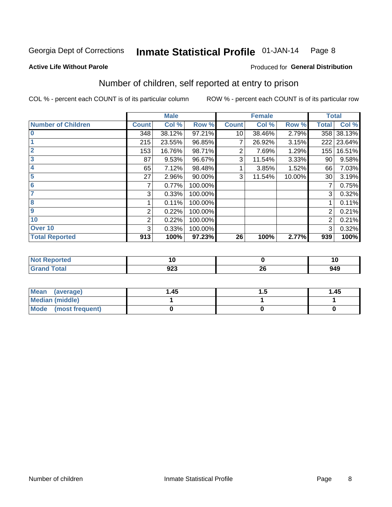#### Inmate Statistical Profile 01-JAN-14 Page 8

### **Active Life Without Parole**

### Produced for General Distribution

### Number of children, self reported at entry to prison

COL % - percent each COUNT is of its particular column

|                           |              | <b>Male</b> |         |              | <b>Female</b> |        | <b>Total</b> |        |
|---------------------------|--------------|-------------|---------|--------------|---------------|--------|--------------|--------|
| <b>Number of Children</b> | <b>Count</b> | Col %       | Row %   | <b>Count</b> | Col %         | Row %  | <b>Total</b> | Col %  |
| $\bf{0}$                  | 348          | 38.12%      | 97.21%  | 10           | 38.46%        | 2.79%  | 358          | 38.13% |
|                           | 215          | 23.55%      | 96.85%  | 7            | 26.92%        | 3.15%  | 222          | 23.64% |
| $\overline{2}$            | 153          | 16.76%      | 98.71%  | 2            | 7.69%         | 1.29%  | 155          | 16.51% |
| 3                         | 87           | 9.53%       | 96.67%  | 3            | 11.54%        | 3.33%  | 90           | 9.58%  |
| 4                         | 65           | 7.12%       | 98.48%  |              | 3.85%         | 1.52%  | 66           | 7.03%  |
| 5                         | 27           | 2.96%       | 90.00%  | 3            | 11.54%        | 10.00% | 30           | 3.19%  |
| 6                         | 7            | 0.77%       | 100.00% |              |               |        | 7            | 0.75%  |
| 7                         | 3            | 0.33%       | 100.00% |              |               |        | 3            | 0.32%  |
| 8                         |              | 0.11%       | 100.00% |              |               |        |              | 0.11%  |
| $\boldsymbol{9}$          | 2            | 0.22%       | 100.00% |              |               |        | 2            | 0.21%  |
| 10                        | 2            | 0.22%       | 100.00% |              |               |        | 2            | 0.21%  |
| Over 10                   | 3            | 0.33%       | 100.00% |              |               |        | 3            | 0.32%  |
| <b>Total Reported</b>     | 913          | 100%        | 97.23%  | 26           | 100%          | 2.77%  | 939          | 100%   |

| A (20  | ιų               |                         | าเ  |
|--------|------------------|-------------------------|-----|
| $\sim$ | <u>__</u><br>94J | - -<br>$\sim$<br>$\sim$ | 949 |

| Mean (average)       | 1.45 | <br>1.45 |
|----------------------|------|----------|
| Median (middle)      |      |          |
| Mode (most frequent) |      |          |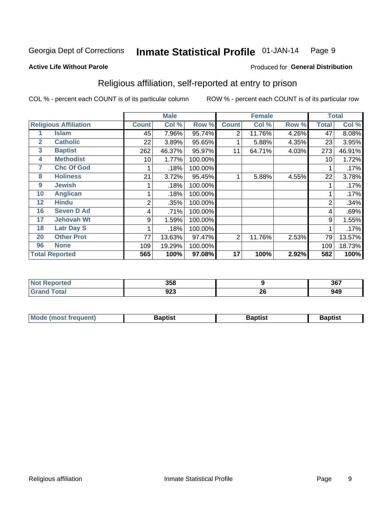#### **Inmate Statistical Profile 01-JAN-14** Page 9

### **Active Life Without Parole**

### Produced for General Distribution

### Religious affiliation, self-reported at entry to prison

COL % - percent each COUNT is of its particular column

|              |                              |              | <b>Male</b> |         |                | <b>Female</b> |       |              | <b>Total</b> |
|--------------|------------------------------|--------------|-------------|---------|----------------|---------------|-------|--------------|--------------|
|              | <b>Religious Affiliation</b> | <b>Count</b> | Col %       | Row %   | <b>Count</b>   | Col %         | Row % | <b>Total</b> | Col %        |
|              | Islam                        | 45           | 7.96%       | 95.74%  | $\overline{2}$ | 11.76%        | 4.26% | 47           | 8.08%        |
| $\mathbf{2}$ | <b>Catholic</b>              | 22           | 3.89%       | 95.65%  |                | 5.88%         | 4.35% | 23           | 3.95%        |
| 3            | <b>Baptist</b>               | 262          | 46.37%      | 95.97%  | 11             | 64.71%        | 4.03% | 273          | 46.91%       |
| 4            | <b>Methodist</b>             | 10           | 1.77%       | 100.00% |                |               |       | 10           | 1.72%        |
| 7            | <b>Chc Of God</b>            |              | .18%        | 100.00% |                |               |       |              | .17%         |
| 8            | <b>Holiness</b>              | 21           | 3.72%       | 95.45%  |                | 5.88%         | 4.55% | 22           | 3.78%        |
| 9            | <b>Jewish</b>                |              | .18%        | 100.00% |                |               |       |              | .17%         |
| 10           | <b>Anglican</b>              |              | .18%        | 100.00% |                |               |       |              | .17%         |
| 12           | <b>Hindu</b>                 | 2            | .35%        | 100.00% |                |               |       | 2            | .34%         |
| 16           | <b>Seven D Ad</b>            | 4            | .71%        | 100.00% |                |               |       | 4            | .69%         |
| 17           | <b>Jehovah Wt</b>            | 9            | 1.59%       | 100.00% |                |               |       | 9            | 1.55%        |
| 18           | <b>Latr Day S</b>            |              | .18%        | 100.00% |                |               |       |              | .17%         |
| 20           | <b>Other Prot</b>            | 77           | 13.63%      | 97.47%  | $\overline{2}$ | 11.76%        | 2.53% | 79           | 13.57%       |
| 96           | <b>None</b>                  | 109          | 19.29%      | 100.00% |                |               |       | 109          | 18.73%       |
|              | <b>Total Reported</b>        | 565          | 100%        | 97.08%  | 17             | 100%          | 2.92% | 582          | 100%         |

| ı leu<br>. | <b>OFO</b><br>ນວດ |    | 367 |
|------------|-------------------|----|-----|
|            | <u>__</u><br>ט⊾ט  | ZU | 949 |

| Mode (most frequent) | Baptist | <b>Baptist</b> | aptıst |
|----------------------|---------|----------------|--------|
|                      |         |                |        |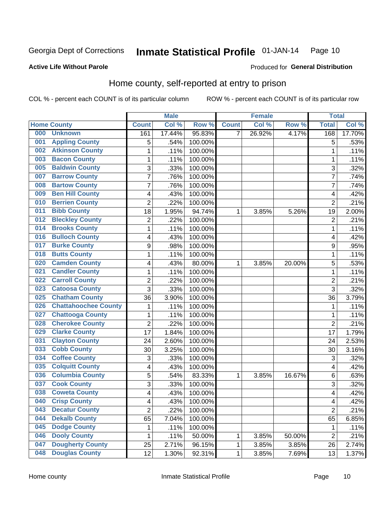#### Inmate Statistical Profile 01-JAN-14 Page 10

Produced for General Distribution

### **Active Life Without Parole**

### Home county, self-reported at entry to prison

COL % - percent each COUNT is of its particular column

|     |                             |                         | <b>Male</b> |         |              | <b>Female</b> |        | <b>Total</b>   |        |
|-----|-----------------------------|-------------------------|-------------|---------|--------------|---------------|--------|----------------|--------|
|     | <b>Home County</b>          | <b>Count</b>            | Col %       | Row %   | <b>Count</b> | Col %         | Row %  | <b>Total</b>   | Col %  |
| 000 | <b>Unknown</b>              | 161                     | 17.44%      | 95.83%  | 7            | 26.92%        | 4.17%  | 168            | 17.70% |
| 001 | <b>Appling County</b>       | 5                       | .54%        | 100.00% |              |               |        | 5              | .53%   |
| 002 | <b>Atkinson County</b>      | $\mathbf 1$             | .11%        | 100.00% |              |               |        | 1              | .11%   |
| 003 | <b>Bacon County</b>         | 1                       | .11%        | 100.00% |              |               |        | 1              | .11%   |
| 005 | <b>Baldwin County</b>       | 3                       | .33%        | 100.00% |              |               |        | 3              | .32%   |
| 007 | <b>Barrow County</b>        | $\overline{7}$          | .76%        | 100.00% |              |               |        | 7              | .74%   |
| 008 | <b>Bartow County</b>        | $\overline{7}$          | .76%        | 100.00% |              |               |        | 7              | .74%   |
| 009 | <b>Ben Hill County</b>      | 4                       | .43%        | 100.00% |              |               |        | 4              | .42%   |
| 010 | <b>Berrien County</b>       | $\overline{2}$          | .22%        | 100.00% |              |               |        | $\overline{2}$ | .21%   |
| 011 | <b>Bibb County</b>          | 18                      | 1.95%       | 94.74%  | 1            | 3.85%         | 5.26%  | 19             | 2.00%  |
| 012 | <b>Bleckley County</b>      | $\overline{\mathbf{c}}$ | .22%        | 100.00% |              |               |        | $\overline{2}$ | .21%   |
| 014 | <b>Brooks County</b>        | 1                       | .11%        | 100.00% |              |               |        | 1              | .11%   |
| 016 | <b>Bulloch County</b>       | 4                       | .43%        | 100.00% |              |               |        | 4              | .42%   |
| 017 | <b>Burke County</b>         | 9                       | .98%        | 100.00% |              |               |        | 9              | .95%   |
| 018 | <b>Butts County</b>         | $\mathbf 1$             | .11%        | 100.00% |              |               |        | 1              | .11%   |
| 020 | <b>Camden County</b>        | 4                       | .43%        | 80.00%  | 1            | 3.85%         | 20.00% | 5              | .53%   |
| 021 | <b>Candler County</b>       | 1                       | .11%        | 100.00% |              |               |        | 1              | .11%   |
| 022 | <b>Carroll County</b>       | 2                       | .22%        | 100.00% |              |               |        | $\overline{2}$ | .21%   |
| 023 | <b>Catoosa County</b>       | 3                       | .33%        | 100.00% |              |               |        | 3              | .32%   |
| 025 | <b>Chatham County</b>       | 36                      | 3.90%       | 100.00% |              |               |        | 36             | 3.79%  |
| 026 | <b>Chattahoochee County</b> | 1                       | .11%        | 100.00% |              |               |        | 1              | .11%   |
| 027 | <b>Chattooga County</b>     | $\mathbf 1$             | .11%        | 100.00% |              |               |        | 1              | .11%   |
| 028 | <b>Cherokee County</b>      | $\overline{2}$          | .22%        | 100.00% |              |               |        | $\overline{2}$ | .21%   |
| 029 | <b>Clarke County</b>        | 17                      | 1.84%       | 100.00% |              |               |        | 17             | 1.79%  |
| 031 | <b>Clayton County</b>       | 24                      | 2.60%       | 100.00% |              |               |        | 24             | 2.53%  |
| 033 | <b>Cobb County</b>          | 30                      | 3.25%       | 100.00% |              |               |        | 30             | 3.16%  |
| 034 | <b>Coffee County</b>        | 3                       | .33%        | 100.00% |              |               |        | 3              | .32%   |
| 035 | <b>Colquitt County</b>      | 4                       | .43%        | 100.00% |              |               |        | 4              | .42%   |
| 036 | <b>Columbia County</b>      | 5                       | .54%        | 83.33%  | 1            | 3.85%         | 16.67% | $\,6$          | .63%   |
| 037 | <b>Cook County</b>          | 3                       | .33%        | 100.00% |              |               |        | 3              | .32%   |
| 038 | <b>Coweta County</b>        | 4                       | .43%        | 100.00% |              |               |        | 4              | .42%   |
| 040 | <b>Crisp County</b>         | 4                       | .43%        | 100.00% |              |               |        | $\overline{4}$ | .42%   |
| 043 | <b>Decatur County</b>       | $\overline{2}$          | .22%        | 100.00% |              |               |        | $\overline{2}$ | .21%   |
| 044 | <b>Dekalb County</b>        | 65                      | 7.04%       | 100.00% |              |               |        | 65             | 6.85%  |
| 045 | <b>Dodge County</b>         | 1                       | .11%        | 100.00% |              |               |        | 1              | .11%   |
| 046 | <b>Dooly County</b>         | 1                       | .11%        | 50.00%  | 1            | 3.85%         | 50.00% | 2              | .21%   |
| 047 | <b>Dougherty County</b>     | 25                      | 2.71%       | 96.15%  | 1            | 3.85%         | 3.85%  | 26             | 2.74%  |
| 048 | <b>Douglas County</b>       | 12                      | 1.30%       | 92.31%  | $\mathbf 1$  | 3.85%         | 7.69%  | 13             | 1.37%  |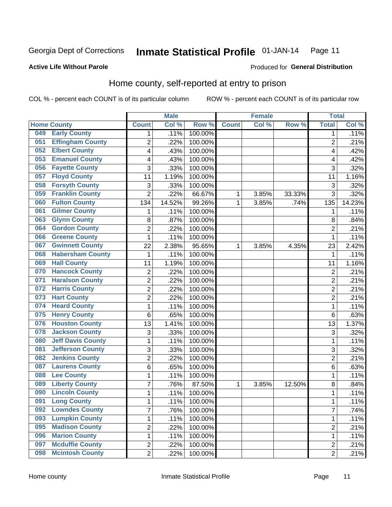#### Inmate Statistical Profile 01-JAN-14 Page 11

### **Active Life Without Parole**

### Produced for General Distribution

### Home county, self-reported at entry to prison

COL % - percent each COUNT is of its particular column

|     |                          |                | <b>Male</b> |                  |              | <b>Female</b> |        | <b>Total</b>   |        |
|-----|--------------------------|----------------|-------------|------------------|--------------|---------------|--------|----------------|--------|
|     | <b>Home County</b>       | <b>Count</b>   | Col %       | Row <sup>%</sup> | <b>Count</b> | Col %         | Row %  | <b>Total</b>   | Col %  |
| 049 | <b>Early County</b>      | $\mathbf{1}$   | .11%        | 100.00%          |              |               |        | 1              | .11%   |
| 051 | <b>Effingham County</b>  | 2              | .22%        | 100.00%          |              |               |        | $\overline{2}$ | .21%   |
| 052 | <b>Elbert County</b>     | 4              | .43%        | 100.00%          |              |               |        | 4              | .42%   |
| 053 | <b>Emanuel County</b>    | 4              | .43%        | 100.00%          |              |               |        | 4              | .42%   |
| 056 | <b>Fayette County</b>    | 3              | .33%        | 100.00%          |              |               |        | 3              | .32%   |
| 057 | <b>Floyd County</b>      | 11             | 1.19%       | 100.00%          |              |               |        | 11             | 1.16%  |
| 058 | <b>Forsyth County</b>    | 3              | .33%        | 100.00%          |              |               |        | 3              | .32%   |
| 059 | <b>Franklin County</b>   | $\overline{2}$ | .22%        | 66.67%           | 1            | 3.85%         | 33.33% | 3              | .32%   |
| 060 | <b>Fulton County</b>     | 134            | 14.52%      | 99.26%           | 1            | 3.85%         | .74%   | 135            | 14.23% |
| 061 | <b>Gilmer County</b>     | 1              | .11%        | 100.00%          |              |               |        | 1              | .11%   |
| 063 | <b>Glynn County</b>      | 8              | .87%        | 100.00%          |              |               |        | 8              | .84%   |
| 064 | <b>Gordon County</b>     | $\overline{2}$ | .22%        | 100.00%          |              |               |        | $\overline{2}$ | .21%   |
| 066 | <b>Greene County</b>     | 1              | .11%        | 100.00%          |              |               |        | 1              | .11%   |
| 067 | <b>Gwinnett County</b>   | 22             | 2.38%       | 95.65%           | 1            | 3.85%         | 4.35%  | 23             | 2.42%  |
| 068 | <b>Habersham County</b>  | $\mathbf{1}$   | .11%        | 100.00%          |              |               |        | 1              | .11%   |
| 069 | <b>Hall County</b>       | 11             | 1.19%       | 100.00%          |              |               |        | 11             | 1.16%  |
| 070 | <b>Hancock County</b>    | $\overline{2}$ | .22%        | 100.00%          |              |               |        | $\overline{2}$ | .21%   |
| 071 | <b>Haralson County</b>   | $\overline{2}$ | .22%        | 100.00%          |              |               |        | $\overline{2}$ | .21%   |
| 072 | <b>Harris County</b>     | $\overline{2}$ | .22%        | 100.00%          |              |               |        | $\overline{2}$ | .21%   |
| 073 | <b>Hart County</b>       | $\overline{2}$ | .22%        | 100.00%          |              |               |        | $\overline{2}$ | .21%   |
| 074 | <b>Heard County</b>      | 1              | .11%        | 100.00%          |              |               |        | 1              | .11%   |
| 075 | <b>Henry County</b>      | 6              | .65%        | 100.00%          |              |               |        | $\,6$          | .63%   |
| 076 | <b>Houston County</b>    | 13             | 1.41%       | 100.00%          |              |               |        | 13             | 1.37%  |
| 078 | <b>Jackson County</b>    | 3              | .33%        | 100.00%          |              |               |        | 3              | .32%   |
| 080 | <b>Jeff Davis County</b> | $\mathbf 1$    | .11%        | 100.00%          |              |               |        | 1              | .11%   |
| 081 | <b>Jefferson County</b>  | 3              | .33%        | 100.00%          |              |               |        | $\overline{3}$ | .32%   |
| 082 | <b>Jenkins County</b>    | $\overline{2}$ | .22%        | 100.00%          |              |               |        | $\overline{2}$ | .21%   |
| 087 | <b>Laurens County</b>    | 6              | .65%        | 100.00%          |              |               |        | 6              | .63%   |
| 088 | <b>Lee County</b>        | $\mathbf 1$    | .11%        | 100.00%          |              |               |        | 1              | .11%   |
| 089 | <b>Liberty County</b>    | $\overline{7}$ | .76%        | 87.50%           | 1            | 3.85%         | 12.50% | 8              | .84%   |
| 090 | <b>Lincoln County</b>    | $\mathbf 1$    | .11%        | 100.00%          |              |               |        | 1              | .11%   |
| 091 | <b>Long County</b>       | 1              | .11%        | 100.00%          |              |               |        | 1.             | .11%   |
| 092 | <b>Lowndes County</b>    | $\overline{7}$ | .76%        | 100.00%          |              |               |        | 7              | .74%   |
| 093 | <b>Lumpkin County</b>    | $\mathbf{1}$   | .11%        | 100.00%          |              |               |        | 1              | .11%   |
| 095 | <b>Madison County</b>    | $\overline{2}$ | .22%        | 100.00%          |              |               |        | 2              | .21%   |
| 096 | <b>Marion County</b>     | $\mathbf{1}$   | .11%        | 100.00%          |              |               |        | 1              | .11%   |
| 097 | <b>Mcduffie County</b>   | $\overline{c}$ | .22%        | 100.00%          |              |               |        | $\overline{2}$ | .21%   |
| 098 | <b>Mcintosh County</b>   | $\overline{2}$ | .22%        | 100.00%          |              |               |        | $\overline{2}$ | .21%   |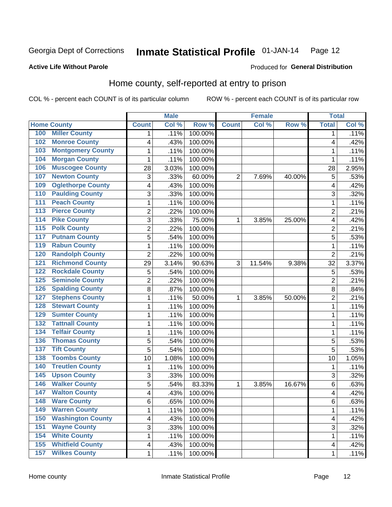#### Inmate Statistical Profile 01-JAN-14 Page 12

### **Active Life Without Parole**

### Produced for General Distribution

### Home county, self-reported at entry to prison

COL % - percent each COUNT is of its particular column

|                  |                          |                         | <b>Male</b> |         |                | <b>Female</b> |        | <b>Total</b>            |       |
|------------------|--------------------------|-------------------------|-------------|---------|----------------|---------------|--------|-------------------------|-------|
|                  | <b>Home County</b>       | <b>Count</b>            | Col %       | Row %   | <b>Count</b>   | Col %         | Row %  | <b>Total</b>            | Col % |
| 100              | <b>Miller County</b>     | 1                       | .11%        | 100.00% |                |               |        | 1                       | .11%  |
| 102              | <b>Monroe County</b>     | 4                       | .43%        | 100.00% |                |               |        | 4                       | .42%  |
| 103              | <b>Montgomery County</b> | $\mathbf{1}$            | .11%        | 100.00% |                |               |        | 1                       | .11%  |
| 104              | <b>Morgan County</b>     | 1                       | .11%        | 100.00% |                |               |        | 1                       | .11%  |
| 106              | <b>Muscogee County</b>   | 28                      | 3.03%       | 100.00% |                |               |        | 28                      | 2.95% |
| 107              | <b>Newton County</b>     | 3                       | .33%        | 60.00%  | $\overline{2}$ | 7.69%         | 40.00% | 5                       | .53%  |
| 109              | <b>Oglethorpe County</b> | 4                       | .43%        | 100.00% |                |               |        | $\overline{\mathbf{4}}$ | .42%  |
| 110              | <b>Paulding County</b>   | 3                       | .33%        | 100.00% |                |               |        | 3                       | .32%  |
| 111              | <b>Peach County</b>      | $\mathbf 1$             | .11%        | 100.00% |                |               |        | 1                       | .11%  |
| $\overline{113}$ | <b>Pierce County</b>     | $\overline{\mathbf{c}}$ | .22%        | 100.00% |                |               |        | $\overline{c}$          | .21%  |
| 114              | <b>Pike County</b>       | $\overline{3}$          | .33%        | 75.00%  | 1              | 3.85%         | 25.00% | $\overline{\mathbf{4}}$ | .42%  |
| $\overline{115}$ | <b>Polk County</b>       | $\overline{c}$          | .22%        | 100.00% |                |               |        | $\overline{2}$          | .21%  |
| 117              | <b>Putnam County</b>     | 5                       | .54%        | 100.00% |                |               |        | 5                       | .53%  |
| 119              | <b>Rabun County</b>      | $\mathbf 1$             | .11%        | 100.00% |                |               |        | 1                       | .11%  |
| 120              | <b>Randolph County</b>   | $\overline{2}$          | .22%        | 100.00% |                |               |        | $\overline{2}$          | .21%  |
| 121              | <b>Richmond County</b>   | 29                      | 3.14%       | 90.63%  | 3              | 11.54%        | 9.38%  | 32                      | 3.37% |
| 122              | <b>Rockdale County</b>   | 5                       | .54%        | 100.00% |                |               |        | 5                       | .53%  |
| 125              | <b>Seminole County</b>   | $\overline{c}$          | .22%        | 100.00% |                |               |        | $\overline{2}$          | .21%  |
| 126              | <b>Spalding County</b>   | 8                       | .87%        | 100.00% |                |               |        | 8                       | .84%  |
| 127              | <b>Stephens County</b>   | $\mathbf 1$             | .11%        | 50.00%  | 1              | 3.85%         | 50.00% | $\overline{2}$          | .21%  |
| 128              | <b>Stewart County</b>    | $\mathbf 1$             | .11%        | 100.00% |                |               |        | 1                       | .11%  |
| 129              | <b>Sumter County</b>     | $\mathbf 1$             | .11%        | 100.00% |                |               |        | 1                       | .11%  |
| 132              | <b>Tattnall County</b>   | $\mathbf 1$             | .11%        | 100.00% |                |               |        | 1                       | .11%  |
| 134              | <b>Telfair County</b>    | $\mathbf 1$             | .11%        | 100.00% |                |               |        | 1                       | .11%  |
| 136              | <b>Thomas County</b>     | 5                       | .54%        | 100.00% |                |               |        | 5                       | .53%  |
| 137              | <b>Tift County</b>       | 5                       | .54%        | 100.00% |                |               |        | 5                       | .53%  |
| 138              | <b>Toombs County</b>     | 10                      | 1.08%       | 100.00% |                |               |        | 10                      | 1.05% |
| 140              | <b>Treutlen County</b>   | $\mathbf 1$             | .11%        | 100.00% |                |               |        | 1                       | .11%  |
| 145              | <b>Upson County</b>      | 3                       | .33%        | 100.00% |                |               |        | 3                       | .32%  |
| 146              | <b>Walker County</b>     | 5                       | .54%        | 83.33%  | 1              | 3.85%         | 16.67% | 6                       | .63%  |
| 147              | <b>Walton County</b>     | 4                       | .43%        | 100.00% |                |               |        | 4                       | .42%  |
| 148              | <b>Ware County</b>       | 6                       | .65%        | 100.00% |                |               |        | 6                       | .63%  |
| 149              | <b>Warren County</b>     | 1                       | .11%        | 100.00% |                |               |        | 1                       | .11%  |
| 150              | <b>Washington County</b> | $\overline{\mathbf{4}}$ | .43%        | 100.00% |                |               |        | 4                       | .42%  |
| 151              | <b>Wayne County</b>      | $\overline{3}$          | .33%        | 100.00% |                |               |        | 3                       | .32%  |
| 154              | <b>White County</b>      | 1                       | .11%        | 100.00% |                |               |        | 1                       | .11%  |
| 155              | <b>Whitfield County</b>  | $\overline{\mathbf{4}}$ | .43%        | 100.00% |                |               |        | 4                       | .42%  |
| 157              | <b>Wilkes County</b>     | $\mathbf{1}$            | .11%        | 100.00% |                |               |        | 1                       | .11%  |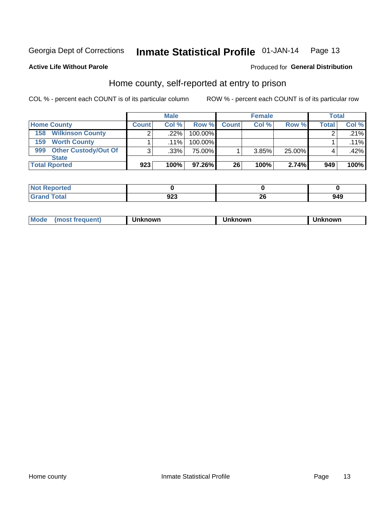#### Inmate Statistical Profile 01-JAN-14 Page 13

### **Active Life Without Parole**

### Produced for General Distribution

### Home county, self-reported at entry to prison

COL % - percent each COUNT is of its particular column

|                                    |              | <b>Male</b> |           |              | <b>Female</b> |        | <b>Total</b> |         |
|------------------------------------|--------------|-------------|-----------|--------------|---------------|--------|--------------|---------|
| <b>Home County</b>                 | <b>Count</b> | Col%        | Row %     | <b>Count</b> | Col%          | Row %  | Total        | Col %   |
| <b>Wilkinson County</b><br>158     | ົ            | .22%        | 100.00%   |              |               |        |              | .21%    |
| <b>Worth County</b><br>159         |              | $.11\%$     | 100.00%   |              |               |        |              | $.11\%$ |
| <b>Other Custody/Out Of</b><br>999 | 3            | .33%        | 75.00%    |              | 3.85%         | 25.00% |              | .42%    |
| <b>State</b>                       |              |             |           |              |               |        |              |         |
| <b>Total Rported</b>               | 923          | 100%        | $97.26\%$ | 26           | 100%          | 2.74%  | 949          | 100%    |

| tea                |            |        |     |
|--------------------|------------|--------|-----|
| <u>i</u> vtai<br>- | ົດດ<br>94J | $\sim$ | 949 |

| Mode<br>known<br>nown<br>nowr<br>reguent)<br>os<br>. |
|------------------------------------------------------|
|------------------------------------------------------|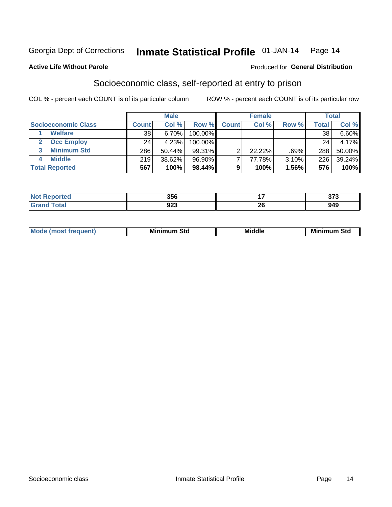#### Inmate Statistical Profile 01-JAN-14 Page 14

### **Active Life Without Parole**

### **Produced for General Distribution**

### Socioeconomic class, self-reported at entry to prison

COL % - percent each COUNT is of its particular column

|                       |              | <b>Male</b> |            |              | <b>Female</b> |       |       | <b>Total</b> |
|-----------------------|--------------|-------------|------------|--------------|---------------|-------|-------|--------------|
| Socioeconomic Class   | <b>Count</b> | Col %       | Row %      | <b>Count</b> | Col %         | Row % | Total | Col %        |
| <b>Welfare</b>        | 38           | 6.70%       | 100.00%    |              |               |       | 38    | $6.60\%$     |
| <b>Occ Employ</b>     | 24           | 4.23%       | $100.00\%$ |              |               |       | 24    | 4.17%        |
| <b>Minimum Std</b>    | 286          | 50.44%      | 99.31%     |              | $22.22\%$     | .69%  | 288   | 50.00%       |
| <b>Middle</b>         | 219          | 38.62%      | 96.90%     |              | 77.78%        | 3.10% | 226   | 39.24%       |
| <b>Total Reported</b> | 567          | 100%        | 98.44%     |              | 100%          | 1.56% | 576   | 100%         |

| 356 |           | $\sim$<br>. . |
|-----|-----------|---------------|
| 94J | nr.<br>Δv | ה גר          |

|  | <b>Mode</b><br>œ | <b>Minimum</b><br>Std | <b>Middle</b> | Mir<br>ا Std<br>. <b>.</b> .<br>шш |
|--|------------------|-----------------------|---------------|------------------------------------|
|--|------------------|-----------------------|---------------|------------------------------------|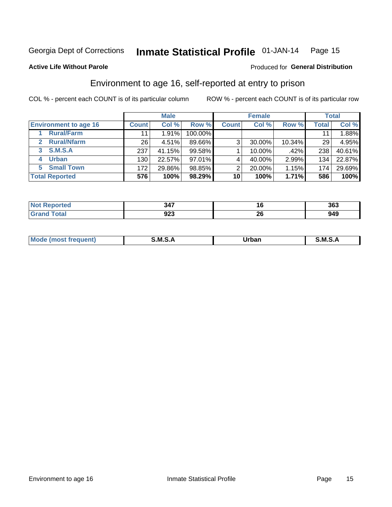#### Inmate Statistical Profile 01-JAN-14 Page 15

**Active Life Without Parole** 

### **Produced for General Distribution**

### Environment to age 16, self-reported at entry to prison

COL % - percent each COUNT is of its particular column

|                                    |                 | <b>Male</b> |           |              | <b>Female</b> |        |       | <b>Total</b> |
|------------------------------------|-----------------|-------------|-----------|--------------|---------------|--------|-------|--------------|
| <b>Environment to age 16</b>       | <b>Count</b>    | Col %       | Row %     | <b>Count</b> | Col %         | Row %  | Total | Col %        |
| <b>Rural/Farm</b>                  | 11              | 1.91%       | 100.00%   |              |               |        |       | 1.88%        |
| <b>Rural/Nfarm</b><br>$\mathbf{2}$ | 26 <sub>1</sub> | 4.51%       | 89.66%    | 3            | 30.00%        | 10.34% | 29    | 4.95%        |
| 3 S.M.S.A                          | 237             | 41.15%      | 99.58%    |              | 10.00%        | .42%   | 238   | 40.61%       |
| <b>Urban</b><br>4                  | 130             | 22.57%      | $97.01\%$ |              | 40.00%        | 2.99%  | 134   | 22.87%       |
| <b>Small Town</b><br>5             | 172             | 29.86%      | 98.85%    | 2            | 20.00%        | 1.15%  | 174   | 29.69%       |
| <b>Total Reported</b>              | 576             | 100%        | 98.29%    | 10           | 100%          | 1.71%  | 586   | 100%         |

| 217<br>.  | 1 V | 363         |
|-----------|-----|-------------|
| <u>__</u> | ∽•• | <b>0.40</b> |
| ง∠ง       | ΔU  | , , ,       |

| Mo | M | urhar . | M      |
|----|---|---------|--------|
|    |   | _____   | ______ |
|    |   |         |        |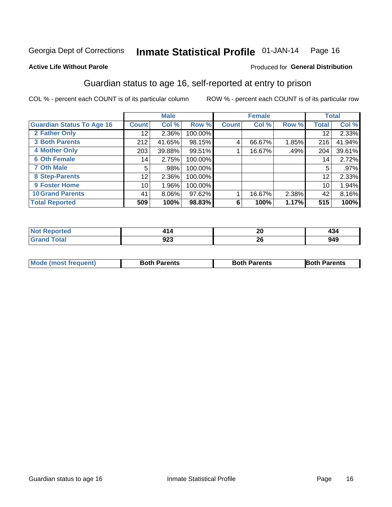#### Inmate Statistical Profile 01-JAN-14 Page 16

### **Active Life Without Parole**

### Produced for General Distribution

### Guardian status to age 16, self-reported at entry to prison

COL % - percent each COUNT is of its particular column

|                                  |                 | <b>Male</b> |         |              | <b>Female</b> |       |              | <b>Total</b> |
|----------------------------------|-----------------|-------------|---------|--------------|---------------|-------|--------------|--------------|
| <b>Guardian Status To Age 16</b> | <b>Count</b>    | Col %       | Row %   | <b>Count</b> | Col %         | Row % | <b>Total</b> | Col %        |
| 2 Father Only                    | 12 <sub>1</sub> | 2.36%       | 100.00% |              |               |       | 12           | 2.33%        |
| <b>3 Both Parents</b>            | 212             | 41.65%      | 98.15%  | 4            | 66.67%        | 1.85% | 216          | 41.94%       |
| <b>4 Mother Only</b>             | 203             | 39.88%      | 99.51%  |              | 16.67%        | .49%  | 204          | 39.61%       |
| <b>6 Oth Female</b>              | 14              | 2.75%       | 100.00% |              |               |       | 14           | 2.72%        |
| <b>7 Oth Male</b>                | 5               | .98%        | 100.00% |              |               |       | 5            | .97%         |
| 8 Step-Parents                   | 12              | 2.36%       | 100.00% |              |               |       | 12           | 2.33%        |
| 9 Foster Home                    | 10              | 1.96%       | 100.00% |              |               |       | 10           | 1.94%        |
| <b>10 Grand Parents</b>          | 41              | 8.06%       | 97.62%  |              | 16.67%        | 2.38% | 42           | 8.16%        |
| <b>Total Reported</b>            | 509             | 100%        | 98.83%  | 6            | 100%          | 1.17% | 515          | 100%         |

| <b>Not Reported</b>    | -           | nr             | 494 |
|------------------------|-------------|----------------|-----|
| $\mathbf{r}$ . The set |             | ZU             |     |
| <b>Total</b>           | nne.<br>92J | ^^<br>ZU<br>__ | 949 |

| <b>Mode (most frequent)</b> | <b>Both Parents</b> | <b>Both Parents</b> | <b>Both Parents</b> |
|-----------------------------|---------------------|---------------------|---------------------|
|                             |                     |                     |                     |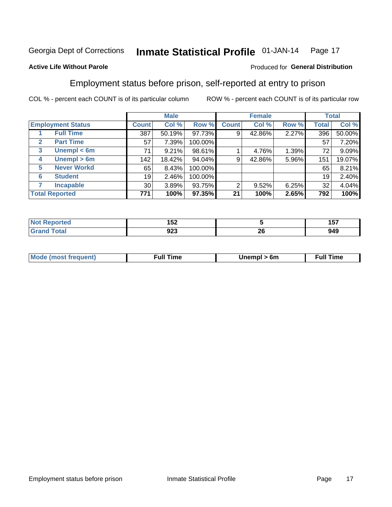#### Inmate Statistical Profile 01-JAN-14 Page 17

### **Active Life Without Parole**

### Produced for General Distribution

### Employment status before prison, self-reported at entry to prison

COL % - percent each COUNT is of its particular column

|                                  |                  | <b>Male</b> |         |              | <b>Female</b> |       |       | <b>Total</b> |
|----------------------------------|------------------|-------------|---------|--------------|---------------|-------|-------|--------------|
| <b>Employment Status</b>         | <b>Count</b>     | Col %       | Row %   | <b>Count</b> | Col %         | Row % | Total | Col %        |
| <b>Full Time</b>                 | 387              | 50.19%      | 97.73%  | 9            | 42.86%        | 2.27% | 396   | 50.00%       |
| <b>Part Time</b><br>$\mathbf{2}$ | 57               | 7.39%       | 100.00% |              |               |       | 57    | 7.20%        |
| Unempl $<$ 6m<br>3               | 71               | 9.21%       | 98.61%  |              | 4.76%         | 1.39% | 72    | 9.09%        |
| Unempl > 6m<br>4                 | 142 <sub>1</sub> | 18.42%      | 94.04%  | 9            | 42.86%        | 5.96% | 151   | 19.07%       |
| <b>Never Workd</b><br>5          | 65               | 8.43%       | 100.00% |              |               |       | 65    | 8.21%        |
| <b>Student</b><br>6              | 19               | 2.46%       | 100.00% |              |               |       | 19    | 2.40%        |
| <b>Incapable</b>                 | 30 <sup>1</sup>  | 3.89%       | 93.75%  | 2            | 9.52%         | 6.25% | 32    | 4.04%        |
| <b>Total Reported</b>            | 771              | 100%        | 97.35%  | 21           | 100%          | 2.65% | 792   | 100%         |

| тео.                   | 152        |         | <b>157</b><br>137 |
|------------------------|------------|---------|-------------------|
| $f \wedge f \wedge f'$ | nns<br>ນ∠ວ | ົ<br>49 | 949               |

| ™∩ | the contract of the contract of the contract of the contract of the contract of the contract of the contract of | 6m | ime<br>uı<br>the contract of the contract of the contract of the contract of the contract of the contract of the contract of |
|----|-----------------------------------------------------------------------------------------------------------------|----|------------------------------------------------------------------------------------------------------------------------------|
|    |                                                                                                                 |    |                                                                                                                              |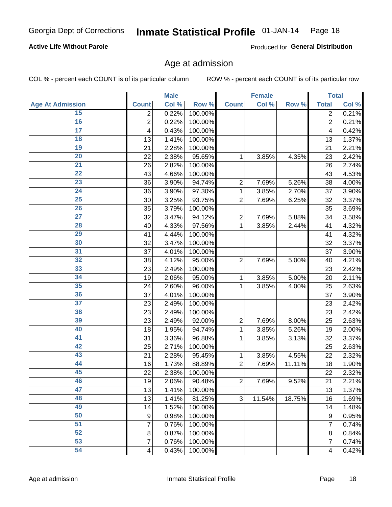#### Inmate Statistical Profile 01-JAN-14 Page 18

### **Active Life Without Parole**

Produced for General Distribution

### Age at admission

COL % - percent each COUNT is of its particular column

|                         |                | <b>Male</b> |         |                | <b>Female</b> |        |                | <b>Total</b> |
|-------------------------|----------------|-------------|---------|----------------|---------------|--------|----------------|--------------|
| <b>Age At Admission</b> | <b>Count</b>   | Col %       | Row %   | <b>Count</b>   | Col %         | Row %  | <b>Total</b>   | Col %        |
| 15                      | 2              | 0.22%       | 100.00% |                |               |        | $\overline{2}$ | 0.21%        |
| 16                      | $\overline{2}$ | 0.22%       | 100.00% |                |               |        | $\overline{2}$ | 0.21%        |
| $\overline{17}$         | 4              | 0.43%       | 100.00% |                |               |        | 4              | 0.42%        |
| 18                      | 13             | 1.41%       | 100.00% |                |               |        | 13             | 1.37%        |
| 19                      | 21             | 2.28%       | 100.00% |                |               |        | 21             | 2.21%        |
| $\overline{20}$         | 22             | 2.38%       | 95.65%  | 1              | 3.85%         | 4.35%  | 23             | 2.42%        |
| 21                      | 26             | 2.82%       | 100.00% |                |               |        | 26             | 2.74%        |
| 22                      | 43             | 4.66%       | 100.00% |                |               |        | 43             | 4.53%        |
| 23                      | 36             | 3.90%       | 94.74%  | $\overline{2}$ | 7.69%         | 5.26%  | 38             | 4.00%        |
| 24                      | 36             | 3.90%       | 97.30%  | 1              | 3.85%         | 2.70%  | 37             | 3.90%        |
| $\overline{25}$         | 30             | 3.25%       | 93.75%  | $\overline{2}$ | 7.69%         | 6.25%  | 32             | 3.37%        |
| 26                      | 35             | 3.79%       | 100.00% |                |               |        | 35             | 3.69%        |
| $\overline{27}$         | 32             | 3.47%       | 94.12%  | $\overline{2}$ | 7.69%         | 5.88%  | 34             | 3.58%        |
| 28                      | 40             | 4.33%       | 97.56%  | 1              | 3.85%         | 2.44%  | 41             | 4.32%        |
| 29                      | 41             | 4.44%       | 100.00% |                |               |        | 41             | 4.32%        |
| 30                      | 32             | 3.47%       | 100.00% |                |               |        | 32             | 3.37%        |
| 31                      | 37             | 4.01%       | 100.00% |                |               |        | 37             | 3.90%        |
| 32                      | 38             | 4.12%       | 95.00%  | $\overline{2}$ | 7.69%         | 5.00%  | 40             | 4.21%        |
| 33                      | 23             | 2.49%       | 100.00% |                |               |        | 23             | 2.42%        |
| 34                      | 19             | 2.06%       | 95.00%  | 1              | 3.85%         | 5.00%  | 20             | 2.11%        |
| 35                      | 24             | 2.60%       | 96.00%  | 1              | 3.85%         | 4.00%  | 25             | 2.63%        |
| 36                      | 37             | 4.01%       | 100.00% |                |               |        | 37             | 3.90%        |
| $\overline{37}$         | 23             | 2.49%       | 100.00% |                |               |        | 23             | 2.42%        |
| 38                      | 23             | 2.49%       | 100.00% |                |               |        | 23             | 2.42%        |
| 39                      | 23             | 2.49%       | 92.00%  | $\overline{2}$ | 7.69%         | 8.00%  | 25             | 2.63%        |
| 40                      | 18             | 1.95%       | 94.74%  | 1              | 3.85%         | 5.26%  | 19             | 2.00%        |
| 41                      | 31             | 3.36%       | 96.88%  | 1              | 3.85%         | 3.13%  | 32             | 3.37%        |
| 42                      | 25             | 2.71%       | 100.00% |                |               |        | 25             | 2.63%        |
| 43                      | 21             | 2.28%       | 95.45%  | 1              | 3.85%         | 4.55%  | 22             | 2.32%        |
| 44                      | 16             | 1.73%       | 88.89%  | $\overline{2}$ | 7.69%         | 11.11% | 18             | 1.90%        |
| 45                      | 22             | 2.38%       | 100.00% |                |               |        | 22             | 2.32%        |
| 46                      | 19             | 2.06%       | 90.48%  | $\overline{2}$ | 7.69%         | 9.52%  | 21             | 2.21%        |
| 47                      | 13             | 1.41%       | 100.00% |                |               |        | 13             | 1.37%        |
| 48                      | 13             | 1.41%       | 81.25%  | 3              | 11.54%        | 18.75% | 16             | 1.69%        |
| 49                      | 14             | 1.52%       | 100.00% |                |               |        | 14             | 1.48%        |
| 50                      | 9              | 0.98%       | 100.00% |                |               |        | 9              | 0.95%        |
| $\overline{51}$         | $\overline{7}$ | 0.76%       | 100.00% |                |               |        | 7              | 0.74%        |
| 52                      | 8              | 0.87%       | 100.00% |                |               |        | 8              | 0.84%        |
| 53                      | $\overline{7}$ | 0.76%       | 100.00% |                |               |        | 7              | 0.74%        |
| 54                      | 4              | 0.43%       | 100.00% |                |               |        | 4              | 0.42%        |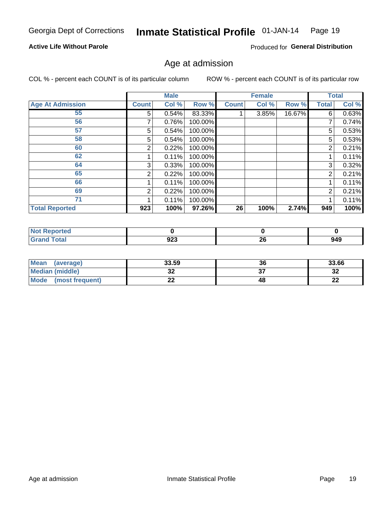#### Inmate Statistical Profile 01-JAN-14 Page 19

### **Active Life Without Parole**

Produced for General Distribution

### Age at admission

COL % - percent each COUNT is of its particular column

|                         |              | <b>Male</b> |         |              | <b>Female</b> |        |                | <b>Total</b> |
|-------------------------|--------------|-------------|---------|--------------|---------------|--------|----------------|--------------|
| <b>Age At Admission</b> | <b>Count</b> | Col %       | Row %   | <b>Count</b> | Col %         | Row %  | Total          | Col %        |
| 55                      | 5            | 0.54%       | 83.33%  |              | 3.85%         | 16.67% | 6              | 0.63%        |
| 56                      | 7            | 0.76%       | 100.00% |              |               |        | 7              | 0.74%        |
| 57                      | 5            | 0.54%       | 100.00% |              |               |        | 5              | 0.53%        |
| 58                      | 5            | 0.54%       | 100.00% |              |               |        | 5              | 0.53%        |
| 60                      | 2            | 0.22%       | 100.00% |              |               |        | 2              | 0.21%        |
| 62                      |              | 0.11%       | 100.00% |              |               |        |                | 0.11%        |
| 64                      | 3            | 0.33%       | 100.00% |              |               |        | 3              | 0.32%        |
| 65                      | 2            | 0.22%       | 100.00% |              |               |        | $\overline{2}$ | 0.21%        |
| 66                      |              | 0.11%       | 100.00% |              |               |        |                | 0.11%        |
| 69                      | 2            | 0.22%       | 100.00% |              |               |        | 2              | 0.21%        |
| 71                      |              | 0.11%       | 100.00% |              |               |        |                | 0.11%        |
| <b>Total Reported</b>   | 923          | 100%        | 97.26%  | 26           | 100%          | 2.74%  | 949            | 100%         |

| Reported     |            |          |     |
|--------------|------------|----------|-----|
| <b>Total</b> | nnn<br>94J | ^^<br>∠∪ | 949 |

| <b>Mean</b><br>(average)       | 33.59   | 36 | 33.66    |
|--------------------------------|---------|----|----------|
| <b>Median (middle)</b>         | ົ<br>◡▵ |    | ົາ<br>⊾ت |
| <b>Mode</b><br>(most frequent) | - -     | 48 | n.<br>44 |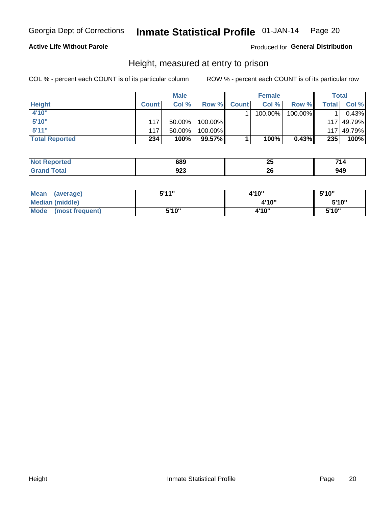#### Inmate Statistical Profile 01-JAN-14 Page 20

### **Active Life Without Parole**

### Produced for General Distribution

### Height, measured at entry to prison

COL % - percent each COUNT is of its particular column

|                       |              | <b>Male</b> |         |              | <b>Female</b> |         |              | Total      |
|-----------------------|--------------|-------------|---------|--------------|---------------|---------|--------------|------------|
| <b>Height</b>         | <b>Count</b> | Col %       | Row %   | <b>Count</b> | Col %         | Row %   | <b>Total</b> | Col %      |
| 4'10"                 |              |             |         |              | 100.00%       | 100.00% |              | 0.43%      |
| 5'10"                 | 117          | $50.00\%$   | 100.00% |              |               |         |              | 117 49.79% |
| 5'11''                | 117          | $50.00\%$   | 100.00% |              |               |         |              | 117 49.79% |
| <b>Total Reported</b> | 234          | 100%        | 99.57%  |              | 100%          | 0.43%   | 235          | 100%       |

| <b>Not</b><br><b>orted</b><br>eno | 689 | . .<br>$\sim$ | <b>74</b><br>14<br>- - - |
|-----------------------------------|-----|---------------|--------------------------|
| <b>Total</b>                      | ממח | n,            | . Л'                     |
| ' Grano                           | JZJ | Zu            | 949                      |

| Mean<br>(average)       | 5'11" | 4'10" | 5'10" |
|-------------------------|-------|-------|-------|
| Median (middle)         |       | 4'10" | 5'10" |
| Mode<br>(most frequent) | 5'10" | 4'10" | 5'10" |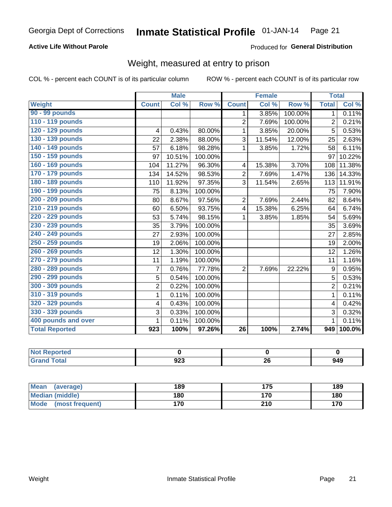#### Inmate Statistical Profile 01-JAN-14 Page 21

### **Active Life Without Parole**

Produced for General Distribution

### Weight, measured at entry to prison

COL % - percent each COUNT is of its particular column

|                       |                | <b>Male</b> |         |                 | <b>Female</b> |         | <b>Total</b>   |        |
|-----------------------|----------------|-------------|---------|-----------------|---------------|---------|----------------|--------|
| Weight                | <b>Count</b>   | Col %       | Row %   | <b>Count</b>    | Col %         | Row %   | <b>Total</b>   | Col %  |
| 90 - 99 pounds        |                |             |         | 1.              | 3.85%         | 100.00% | 1              | 0.11%  |
| 110 - 119 pounds      |                |             |         | $\overline{2}$  | 7.69%         | 100.00% | $\overline{2}$ | 0.21%  |
| 120 - 129 pounds      | 4              | 0.43%       | 80.00%  | 1               | 3.85%         | 20.00%  | 5              | 0.53%  |
| 130 - 139 pounds      | 22             | 2.38%       | 88.00%  | 3               | 11.54%        | 12.00%  | 25             | 2.63%  |
| 140 - 149 pounds      | 57             | 6.18%       | 98.28%  | 1               | 3.85%         | 1.72%   | 58             | 6.11%  |
| 150 - 159 pounds      | 97             | 10.51%      | 100.00% |                 |               |         | 97             | 10.22% |
| 160 - 169 pounds      | 104            | 11.27%      | 96.30%  | 4               | 15.38%        | 3.70%   | 108            | 11.38% |
| 170 - 179 pounds      | 134            | 14.52%      | 98.53%  | $\overline{2}$  | 7.69%         | 1.47%   | 136            | 14.33% |
| 180 - 189 pounds      | 110            | 11.92%      | 97.35%  | 3               | 11.54%        | 2.65%   | 113            | 11.91% |
| 190 - 199 pounds      | 75             | 8.13%       | 100.00% |                 |               |         | 75             | 7.90%  |
| 200 - 209 pounds      | 80             | 8.67%       | 97.56%  | $\overline{2}$  | 7.69%         | 2.44%   | 82             | 8.64%  |
| 210 - 219 pounds      | 60             | 6.50%       | 93.75%  | 4               | 15.38%        | 6.25%   | 64             | 6.74%  |
| 220 - 229 pounds      | 53             | 5.74%       | 98.15%  | 1               | 3.85%         | 1.85%   | 54             | 5.69%  |
| 230 - 239 pounds      | 35             | 3.79%       | 100.00% |                 |               |         | 35             | 3.69%  |
| 240 - 249 pounds      | 27             | 2.93%       | 100.00% |                 |               |         | 27             | 2.85%  |
| 250 - 259 pounds      | 19             | 2.06%       | 100.00% |                 |               |         | 19             | 2.00%  |
| 260 - 269 pounds      | 12             | 1.30%       | 100.00% |                 |               |         | 12             | 1.26%  |
| 270 - 279 pounds      | 11             | 1.19%       | 100.00% |                 |               |         | 11             | 1.16%  |
| 280 - 289 pounds      | $\overline{7}$ | 0.76%       | 77.78%  | $\overline{2}$  | 7.69%         | 22.22%  | 9              | 0.95%  |
| 290 - 299 pounds      | 5              | 0.54%       | 100.00% |                 |               |         | 5              | 0.53%  |
| 300 - 309 pounds      | 2              | 0.22%       | 100.00% |                 |               |         | 2              | 0.21%  |
| 310 - 319 pounds      | $\mathbf{1}$   | 0.11%       | 100.00% |                 |               |         | $\mathbf{1}$   | 0.11%  |
| 320 - 329 pounds      | 4              | 0.43%       | 100.00% |                 |               |         | 4              | 0.42%  |
| 330 - 339 pounds      | 3              | 0.33%       | 100.00% |                 |               |         | 3              | 0.32%  |
| 400 pounds and over   | 1              | 0.11%       | 100.00% |                 |               |         | 1              | 0.11%  |
| <b>Total Reported</b> | 923            | 100%        | 97.26%  | $\overline{26}$ | 100%          | 2.74%   | 949            | 100.0% |

| <b>Not Reported</b> |            |    |     |
|---------------------|------------|----|-----|
| Total               | ດາາ<br>JLJ | ΔU | 949 |

| <b>Mean</b><br>(average)       | 189 |     | 189 |
|--------------------------------|-----|-----|-----|
| <b>Median (middle)</b>         | 180 | 170 | 180 |
| <b>Mode</b><br>(most frequent) | 170 | 210 | 170 |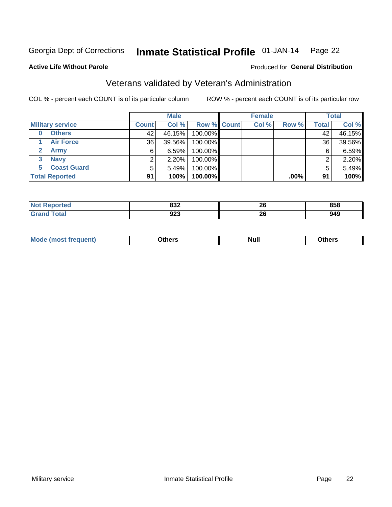#### Inmate Statistical Profile 01-JAN-14 Page 22

### **Active Life Without Parole**

### Produced for General Distribution

### Veterans validated by Veteran's Administration

COL % - percent each COUNT is of its particular column

|                           |              | <b>Male</b> |             | <b>Female</b> |         |              | <b>Total</b> |
|---------------------------|--------------|-------------|-------------|---------------|---------|--------------|--------------|
| <b>Military service</b>   | <b>Count</b> | Col %       | Row % Count | Col %         | Row %   | <b>Total</b> | Col %        |
| <b>Others</b><br>$\bf{0}$ | 42           | 46.15%      | 100.00%     |               |         | 42           | 46.15%       |
| <b>Air Force</b>          | 36           | 39.56%      | 100.00%     |               |         | 36           | 39.56%       |
| <b>Army</b>               | 6            | 6.59%       | 100.00%     |               |         | 6            | 6.59%        |
| <b>Navy</b><br>3          |              | $2.20\%$    | 100.00%     |               |         | ⌒            | 2.20%        |
| <b>Coast Guard</b><br>5   | 5            | 5.49%       | 100.00%     |               |         |              | 5.49%        |
| <b>Total Reported</b>     | 91           | 100%        | 100.00%     |               | $.00\%$ | 91           | 100%         |

| rteo<br>N         | ດລາ<br>⊿כס<br>$ -$ | ሳሪ<br>ΔU | 858 |
|-------------------|--------------------|----------|-----|
| $f \sim f \sim f$ | 923<br>- -         | n,<br>40 | 949 |

| <b>Mo</b><br><u> treauent)</u><br>. | <b>\thers</b> | <b>Null</b> | <b>Dthers</b> |
|-------------------------------------|---------------|-------------|---------------|
|                                     |               |             |               |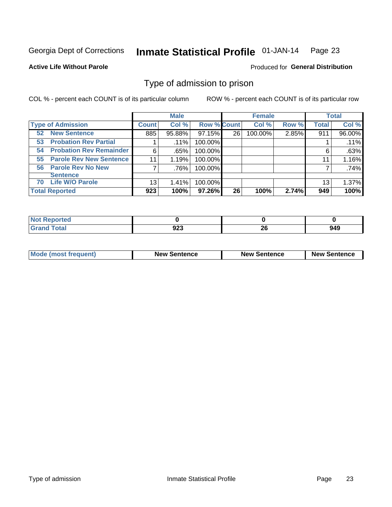#### Inmate Statistical Profile 01-JAN-14 Page 23

**Active Life Without Parole** 

**Produced for General Distribution** 

### Type of admission to prison

COL % - percent each COUNT is of its particular column

|                                      |              | <b>Male</b> |                    |    | <b>Female</b> |       |              | <b>Total</b> |
|--------------------------------------|--------------|-------------|--------------------|----|---------------|-------|--------------|--------------|
| <b>Type of Admission</b>             | <b>Count</b> | Col %       | <b>Row % Count</b> |    | Col %         | Row % | <b>Total</b> | Col %        |
| <b>New Sentence</b><br>52            | 885          | 95.88%      | 97.15%             | 26 | 100.00%       | 2.85% | 911          | 96.00%       |
| <b>Probation Rev Partial</b><br>53   |              | $.11\%$     | 100.00%            |    |               |       |              | .11%         |
| <b>Probation Rev Remainder</b><br>54 | 6            | .65%        | 100.00%            |    |               |       | 6            | .63%         |
| <b>Parole Rev New Sentence</b><br>55 | 11           | 1.19%       | 100.00%            |    |               |       | 11           | 1.16%        |
| 56 Parole Rev No New                 | 7            | .76%        | 100.00%            |    |               |       |              | .74%         |
| <b>Sentence</b>                      |              |             |                    |    |               |       |              |              |
| <b>Life W/O Parole</b><br>70         | 13           | 1.41%       | 100.00%            |    |               |       | 13           | 1.37%        |
| <b>Total Reported</b>                | 923          | 100%        | 97.26%             | 26 | 100%          | 2.74% | 949          | 100%         |

| Reported<br>N. |             |    |     |
|----------------|-------------|----|-----|
| <b>otal</b>    | ົດດາ<br>ง∠ง | 26 | 949 |

| <b>Mode (most frequent)</b> | <b>New Sentence</b> | <b>New Sentence</b> | <b>New Sentence</b> |
|-----------------------------|---------------------|---------------------|---------------------|
|                             |                     |                     |                     |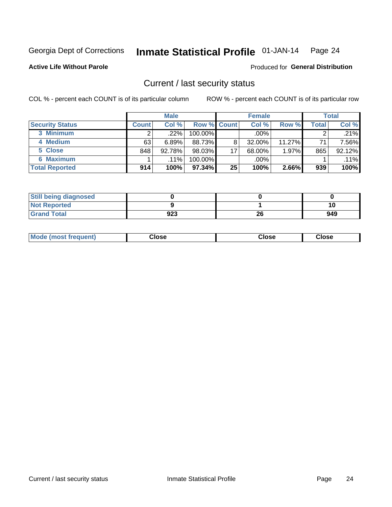#### Inmate Statistical Profile 01-JAN-14 Page 24

**Active Life Without Parole** 

### **Produced for General Distribution**

### Current / last security status

COL % - percent each COUNT is of its particular column

|                        |              | <b>Male</b> |             |                 | <b>Female</b> |           |              | <b>Total</b> |
|------------------------|--------------|-------------|-------------|-----------------|---------------|-----------|--------------|--------------|
| <b>Security Status</b> | <b>Count</b> | Col %       | Row % Count |                 | Col %         | Row %     | <b>Total</b> | Col %        |
| 3 Minimum              | າ            | .22%        | $100.00\%$  |                 | $.00\%$       |           | ⌒            | .21%         |
| 4 Medium               | 63           | 6.89%       | 88.73%      | 8               | 32.00%        | $11.27\%$ | 71           | 7.56%        |
| 5 Close                | 848          | 92.78%      | 98.03%      | 17 <sub>1</sub> | 68.00%        | 1.97%     | 865          | 92.12%       |
| 6 Maximum              |              | $.11\%$     | $100.00\%$  |                 | $.00\%$       |           |              | .11%         |
| <b>Total Reported</b>  | 914          | 100%        | 97.34%      | 25              | 100%          | 2.66%     | 939          | 100%         |

| <b>Still being diagnosed</b> |     |    |     |
|------------------------------|-----|----|-----|
| <b>Not Reported</b>          |     |    | 10  |
| <b>Grand Total</b>           | 923 | 26 | 949 |

| <b>Mode (most frequent)</b> | Jlose | Close | oseٽ |
|-----------------------------|-------|-------|------|
|-----------------------------|-------|-------|------|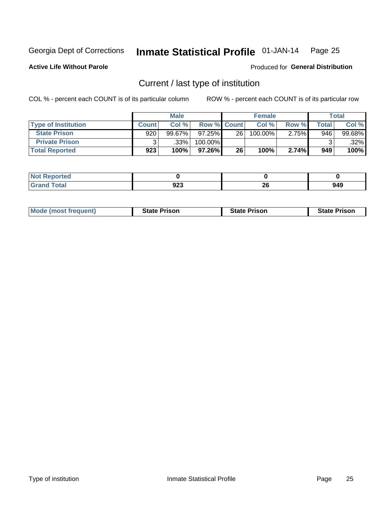#### Inmate Statistical Profile 01-JAN-14 Page 25

**Active Life Without Parole** 

Produced for General Distribution

### Current / last type of institution

COL % - percent each COUNT is of its particular column

|                            |              | <b>Male</b> |             |           | <b>Female</b> |       |       | <b>Total</b> |
|----------------------------|--------------|-------------|-------------|-----------|---------------|-------|-------|--------------|
| <b>Type of Institution</b> | <b>Count</b> | Col%        | Row % Count |           | Col %         | Row % | Total | Col %        |
| <b>State Prison</b>        | 920          | $99.67\%$   | $97.25\%$   | <b>26</b> | 100.00%       | 2.75% | 946   | 99.68%       |
| <b>Private Prison</b>      |              | .33%        | 100.00%     |           |               |       |       | $.32\%$      |
| <b>Total Reported</b>      | 923          | 100%        | $97.26\%$   | 26        | 100%          | 2.74% | 949   | 100%         |

| ---<br>rtea |             |    |     |
|-------------|-------------|----|-----|
|             | 023<br>ີວ∠ວ | 26 | 949 |

| <b>Mode (most frequent)</b> | <b>State Prison</b> | <b>State Prison</b> | <b>State Prison</b> |
|-----------------------------|---------------------|---------------------|---------------------|
|                             |                     |                     |                     |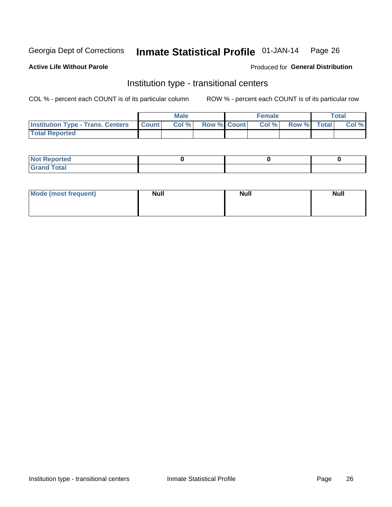#### Inmate Statistical Profile 01-JAN-14 Page 26

**Active Life Without Parole** 

Produced for General Distribution

### Institution type - transitional centers

COL % - percent each COUNT is of its particular column

|                                                    | <b>Male</b> |                    | <b>Female</b> |             | <b>Total</b> |
|----------------------------------------------------|-------------|--------------------|---------------|-------------|--------------|
| <b>Institution Type - Trans. Centers   Count  </b> | Col%        | <b>Row % Count</b> | Col %         | Row % Total | Col %        |
| <b>Total Reported</b>                              |             |                    |               |             |              |

| <b>Reported</b><br><b>NOT</b><br>$\sim$            |  |  |
|----------------------------------------------------|--|--|
| $f$ $f \circ f \circ f$<br>$C = 1$<br><b>TULAI</b> |  |  |

| Mode (most frequent) | <b>Null</b> | <b>Null</b> | <b>Null</b> |
|----------------------|-------------|-------------|-------------|
|                      |             |             |             |
|                      |             |             |             |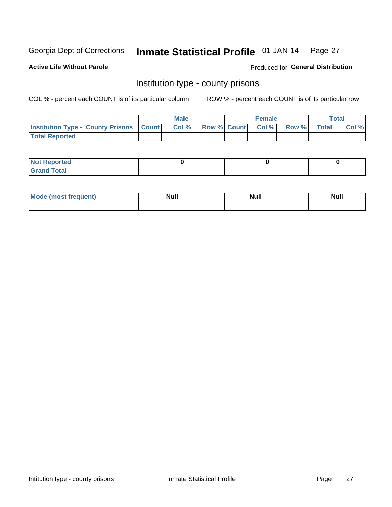#### Inmate Statistical Profile 01-JAN-14 Page 27

**Active Life Without Parole** 

**Produced for General Distribution** 

### Institution type - county prisons

COL % - percent each COUNT is of its particular column

|                                                    | <b>Male</b> |       |                          | <b>Female</b> |  |             | <b>Total</b> |       |  |
|----------------------------------------------------|-------------|-------|--------------------------|---------------|--|-------------|--------------|-------|--|
| <b>Institution Type - County Prisons   Count  </b> |             | Col % | <b>Row % Count Col %</b> |               |  | Row % Total |              | Col % |  |
| <b>Total Reported</b>                              |             |       |                          |               |  |             |              |       |  |

| <b>Not Reported</b>         |  |  |
|-----------------------------|--|--|
| <b>Total</b><br>-<br>______ |  |  |

| <b>Mode</b>      | <b>Null</b> | <b>Null</b> | <b>Null</b> |
|------------------|-------------|-------------|-------------|
| (most freauent). |             |             |             |
|                  |             |             |             |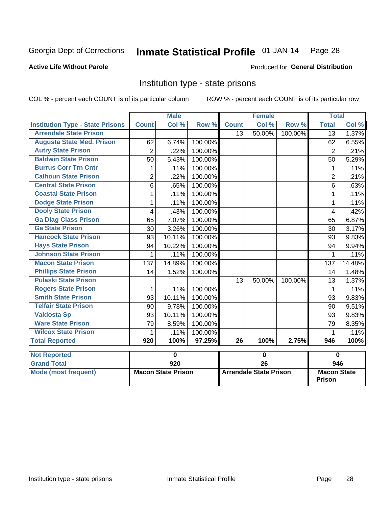## Inmate Statistical Profile 01-JAN-14 Page 28

### **Active Life Without Parole**

### **Produced for General Distribution**

### Institution type - state prisons

COL % - percent each COUNT is of its particular column

|                                         |                | <b>Male</b>               |         |              | <b>Female</b>                 |         |                 | <b>Total</b>                        |  |  |
|-----------------------------------------|----------------|---------------------------|---------|--------------|-------------------------------|---------|-----------------|-------------------------------------|--|--|
| <b>Institution Type - State Prisons</b> | <b>Count</b>   | Col %                     | Row %   | <b>Count</b> | Col %                         | Row %   | <b>Total</b>    | Col %                               |  |  |
| <b>Arrendale State Prison</b>           |                |                           |         | 13           | 50.00%                        | 100.00% | $\overline{13}$ | 1.37%                               |  |  |
| <b>Augusta State Med. Prison</b>        | 62             | 6.74%                     | 100.00% |              |                               |         | 62              | 6.55%                               |  |  |
| <b>Autry State Prison</b>               | $\overline{2}$ | .22%                      | 100.00% |              |                               |         | $\overline{2}$  | .21%                                |  |  |
| <b>Baldwin State Prison</b>             | 50             | 5.43%                     | 100.00% |              |                               |         | 50              | 5.29%                               |  |  |
| <b>Burrus Corr Trn Cntr</b>             | 1              | .11%                      | 100.00% |              |                               |         | 1               | .11%                                |  |  |
| <b>Calhoun State Prison</b>             | $\overline{2}$ | .22%                      | 100.00% |              |                               |         | $\overline{2}$  | .21%                                |  |  |
| <b>Central State Prison</b>             | 6              | .65%                      | 100.00% |              |                               |         | 6               | .63%                                |  |  |
| <b>Coastal State Prison</b>             | 1              | .11%                      | 100.00% |              |                               |         | 1               | .11%                                |  |  |
| <b>Dodge State Prison</b>               | 1              | .11%                      | 100.00% |              |                               |         | 1               | .11%                                |  |  |
| <b>Dooly State Prison</b>               | 4              | .43%                      | 100.00% |              |                               |         | $\overline{4}$  | .42%                                |  |  |
| <b>Ga Diag Class Prison</b>             | 65             | 7.07%                     | 100.00% |              |                               |         | 65              | 6.87%                               |  |  |
| <b>Ga State Prison</b>                  | 30             | 3.26%                     | 100.00% |              |                               |         | 30              | 3.17%                               |  |  |
| <b>Hancock State Prison</b>             | 93             | 10.11%                    | 100.00% |              |                               |         | 93              | 9.83%                               |  |  |
| <b>Hays State Prison</b>                | 94             | 10.22%                    | 100.00% |              |                               |         | 94              | 9.94%                               |  |  |
| <b>Johnson State Prison</b>             | 1              | .11%                      | 100.00% |              |                               |         | 1               | .11%                                |  |  |
| <b>Macon State Prison</b>               | 137            | 14.89%                    | 100.00% |              |                               |         | 137             | 14.48%                              |  |  |
| <b>Phillips State Prison</b>            | 14             | 1.52%                     | 100.00% |              |                               |         | 14              | 1.48%                               |  |  |
| <b>Pulaski State Prison</b>             |                |                           |         | 13           | 50.00%                        | 100.00% | 13              | 1.37%                               |  |  |
| <b>Rogers State Prison</b>              | 1              | .11%                      | 100.00% |              |                               |         | 1               | .11%                                |  |  |
| <b>Smith State Prison</b>               | 93             | 10.11%                    | 100.00% |              |                               |         | 93              | 9.83%                               |  |  |
| <b>Telfair State Prison</b>             | 90             | 9.78%                     | 100.00% |              |                               |         | 90              | 9.51%                               |  |  |
| <b>Valdosta Sp</b>                      | 93             | 10.11%                    | 100.00% |              |                               |         | 93              | 9.83%                               |  |  |
| <b>Ware State Prison</b>                | 79             | 8.59%                     | 100.00% |              |                               |         | 79              | 8.35%                               |  |  |
| <b>Wilcox State Prison</b>              | 1              | .11%                      | 100.00% |              |                               |         | 1               | .11%                                |  |  |
| <b>Total Reported</b>                   | 920            | 100%                      | 97.25%  | 26           | 100%                          | 2.75%   | 946             | 100%                                |  |  |
| <b>Not Reported</b>                     |                | $\bf{0}$                  |         |              | 0                             |         |                 | $\bf{0}$                            |  |  |
| <b>Grand Total</b>                      |                | $\overline{920}$          |         |              | $\overline{26}$               |         |                 | 946                                 |  |  |
|                                         |                |                           |         |              |                               |         |                 |                                     |  |  |
| <b>Mode (most frequent)</b>             |                | <b>Macon State Prison</b> |         |              | <b>Arrendale State Prison</b> |         |                 | <b>Macon State</b><br><b>Prison</b> |  |  |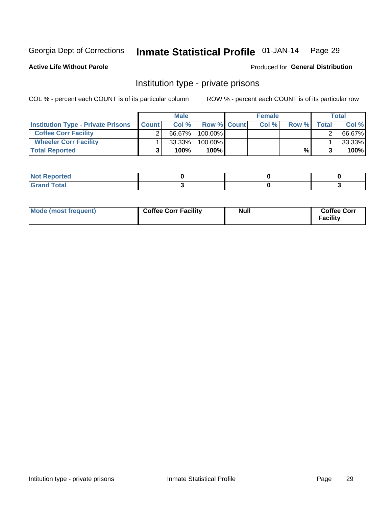#### Inmate Statistical Profile 01-JAN-14 Page 29

**Active Life Without Parole** 

Produced for General Distribution

### Institution type - private prisons

COL % - percent each COUNT is of its particular column

|                                           | <b>Male</b>  |           |                    | <b>Female</b> |      |       | Total        |        |
|-------------------------------------------|--------------|-----------|--------------------|---------------|------|-------|--------------|--------|
| <b>Institution Type - Private Prisons</b> | <b>Count</b> | Col%      | <b>Row % Count</b> |               | Col% | Row % | <b>Total</b> | Col %  |
| <b>Coffee Corr Facility</b>               |              | 66.67%    | $100.00\%$         |               |      |       |              | 66.67% |
| <b>Wheeler Corr Facility</b>              |              | $33.33\%$ | 100.00%            |               |      |       |              | 33.33% |
| <b>Total Reported</b>                     |              | 100%      | $100\%$            |               |      | %     |              | 100%   |

| rtea                               |  |  |
|------------------------------------|--|--|
| $\sim$ $\sim$ $\sim$ $\sim$ $\sim$ |  |  |

| Mode (most frequent) | <b>Coffee Corr Facility</b> | <b>Null</b> | <b>Coffee Corr</b><br><b>Facility</b> |
|----------------------|-----------------------------|-------------|---------------------------------------|
|----------------------|-----------------------------|-------------|---------------------------------------|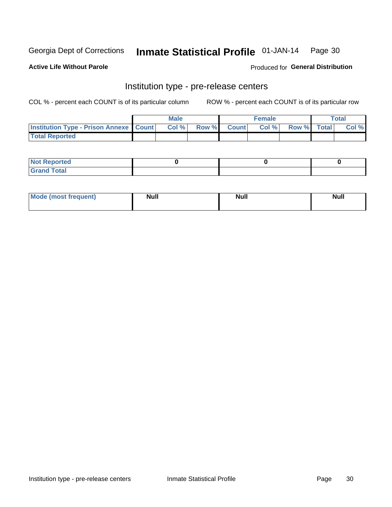#### Inmate Statistical Profile 01-JAN-14 Page 30

**Active Life Without Parole** 

**Produced for General Distribution** 

### Institution type - pre-release centers

COL % - percent each COUNT is of its particular column

|                                                   | <b>Male</b> |       |              |       | <b>Female</b> | <b>Total</b>       |  |       |
|---------------------------------------------------|-------------|-------|--------------|-------|---------------|--------------------|--|-------|
| <b>Institution Type - Prison Annexe   Count  </b> |             | Col % | <b>Row %</b> | Count | Col %         | <b>Row %</b> Total |  | Col % |
| <b>Total Reported</b>                             |             |       |              |       |               |                    |  |       |

| <b>Reported</b><br>I NOT |  |  |
|--------------------------|--|--|
| <b>Total</b><br>$C$ ren  |  |  |

| $^{\circ}$ Mo<br>frequent)<br>⊥(most | <b>Null</b> | Noll<br><b>vull</b> | <b>Null</b> |
|--------------------------------------|-------------|---------------------|-------------|
|                                      |             |                     |             |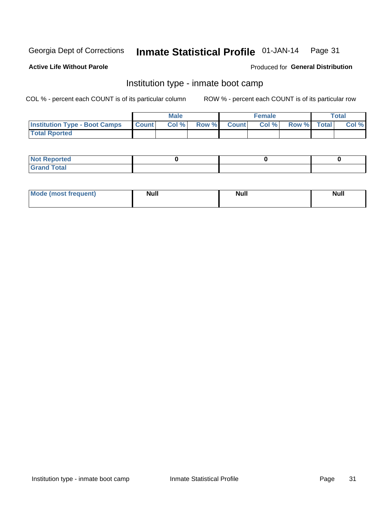#### Inmate Statistical Profile 01-JAN-14 Page 31

### **Active Life Without Parole**

### Produced for General Distribution

### Institution type - inmate boot camp

COL % - percent each COUNT is of its particular column

|                                      |              | <b>Male</b> |               |              | <b>Female</b> |             | <b>Total</b> |
|--------------------------------------|--------------|-------------|---------------|--------------|---------------|-------------|--------------|
| <b>Institution Type - Boot Camps</b> | <b>Count</b> | Col %       | <b>Row %I</b> | <b>Count</b> | Col %         | Row % Total | Col %        |
| <b>Total Rported</b>                 |              |             |               |              |               |             |              |

| <b>Not Reported</b>            |  |  |
|--------------------------------|--|--|
| <b>Total</b><br>C <sub>r</sub> |  |  |

| <b>I Mode (most frequent)</b> | <b>Null</b> | <b>Null</b> | <b>Null</b> |
|-------------------------------|-------------|-------------|-------------|
|                               |             |             |             |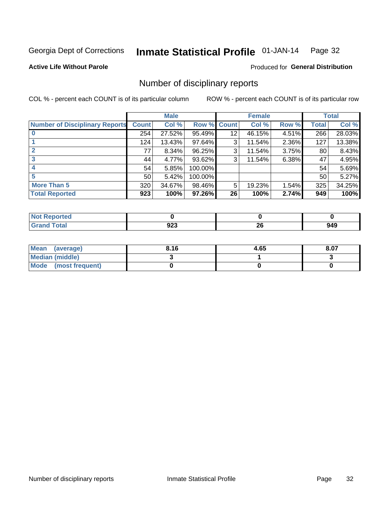#### Inmate Statistical Profile 01-JAN-14 Page 32

**Active Life Without Parole** 

**Produced for General Distribution** 

### Number of disciplinary reports

COL % - percent each COUNT is of its particular column

|                                       |                 | <b>Male</b> |                    |    | <b>Female</b> |          |       | <b>Total</b> |
|---------------------------------------|-----------------|-------------|--------------------|----|---------------|----------|-------|--------------|
| <b>Number of Disciplinary Reports</b> | <b>Count</b>    | Col %       | <b>Row % Count</b> |    | Col %         | Row %    | Total | Col %        |
|                                       | 254             | 27.52%      | 95.49%             | 12 | 46.15%        | $4.51\%$ | 266   | 28.03%       |
|                                       | 124             | 13.43%      | 97.64%             | 3  | 11.54%        | 2.36%    | 127   | 13.38%       |
|                                       | 77              | 8.34%       | 96.25%             | 3  | 11.54%        | 3.75%    | 80    | 8.43%        |
| 3                                     | 44              | 4.77%       | 93.62%             | 3  | 11.54%        | 6.38%    | 47    | 4.95%        |
|                                       | 54              | 5.85%       | 100.00%            |    |               |          | 54    | 5.69%        |
| 5                                     | 50 <sub>1</sub> | 5.42%       | 100.00%            |    |               |          | 50    | 5.27%        |
| <b>More Than 5</b>                    | 320             | 34.67%      | 98.46%             | 5  | 19.23%        | 1.54%    | 325   | 34.25%       |
| <b>Total Reported</b>                 | 923             | 100%        | 97.26%             | 26 | 100%          | 2.74%    | 949   | 100%         |

| NO.<br>него |         |          |     |
|-------------|---------|----------|-----|
| Total       | <br>ນ∠ວ | n,<br>ZU | 949 |

| Mean (average)       | 8.16 | 4.65 | 8.07 |
|----------------------|------|------|------|
| Median (middle)      |      |      |      |
| Mode (most frequent) |      |      |      |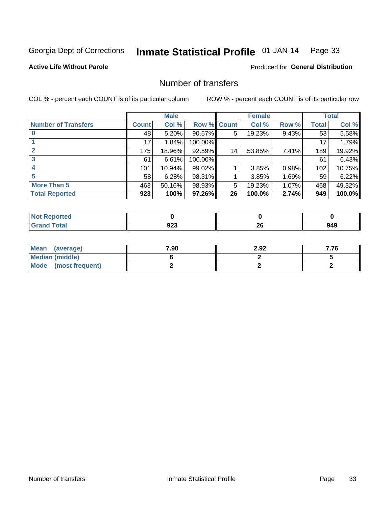#### Inmate Statistical Profile 01-JAN-14 Page 33

**Active Life Without Parole** 

**Produced for General Distribution** 

### Number of transfers

COL % - percent each COUNT is of its particular column

|                            |         | <b>Male</b> |         |              | <b>Female</b> |          |              | <b>Total</b> |
|----------------------------|---------|-------------|---------|--------------|---------------|----------|--------------|--------------|
| <b>Number of Transfers</b> | Count l | Col %       | Row %   | <b>Count</b> | Col %         | Row %    | <b>Total</b> | Col %        |
|                            | 48      | 5.20%       | 90.57%  | 5            | 19.23%        | $9.43\%$ | 53           | 5.58%        |
|                            | 17      | 1.84%       | 100.00% |              |               |          | 17           | 1.79%        |
|                            | 175     | 18.96%      | 92.59%  | 14           | 53.85%        | 7.41%    | 189          | 19.92%       |
| 3                          | 61      | 6.61%       | 100.00% |              |               |          | 61           | 6.43%        |
|                            | 101     | 10.94%      | 99.02%  |              | 3.85%         | 0.98%    | 102          | 10.75%       |
| 5                          | 58      | 6.28%       | 98.31%  |              | 3.85%         | 1.69%    | 59           | 6.22%        |
| <b>More Than 5</b>         | 463     | 50.16%      | 98.93%  | 5            | 19.23%        | 1.07%    | 468          | 49.32%       |
| <b>Total Reported</b>      | 923     | 100%        | 97.26%  | 26           | 100.0%        | 2.74%    | 949          | 100.0%       |

| <b>Not Reported</b> |     |           |     |
|---------------------|-----|-----------|-----|
| <sup>-</sup> otal   | 92J | ne.<br>ZV | 949 |

| Mean (average)       | 7.90 | 2.92 | 7.76 |
|----------------------|------|------|------|
| Median (middle)      |      |      |      |
| Mode (most frequent) |      |      |      |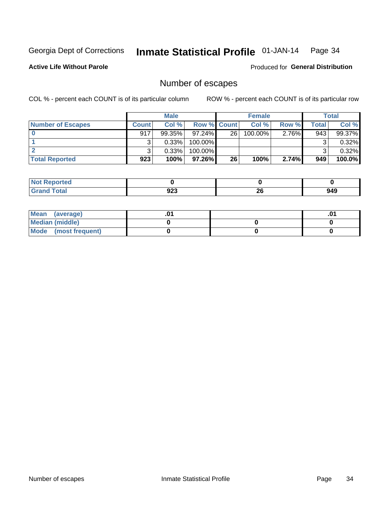#### Inmate Statistical Profile 01-JAN-14 Page 34

### **Active Life Without Parole**

**Produced for General Distribution** 

### Number of escapes

COL % - percent each COUNT is of its particular column

|                          | <b>Male</b>  |           |                    | <b>Female</b> |            |          | Total |        |
|--------------------------|--------------|-----------|--------------------|---------------|------------|----------|-------|--------|
| <b>Number of Escapes</b> | <b>Count</b> | Col%      | <b>Row % Count</b> |               | Col %      | Row %    | Total | Col %  |
|                          | 917          | $99.35\%$ | $97.24\%$          | 26            | $100.00\%$ | $2.76\%$ | 943   | 99.37% |
|                          |              | 0.33%     | $100.00\%$         |               |            |          |       | 0.32%  |
|                          |              | 0.33%     | $100.00\%$         |               |            |          |       | 0.32%  |
| <b>Total Reported</b>    | 923          | 100%      | $97.26\%$          | 26            | 100%       | 2.74%    | 949   | 100.0% |

| <b>Not Reported</b> |     |     |     |
|---------------------|-----|-----|-----|
| Total               | nne | oc. | 949 |
| Grar                | ນ∠ວ | ZU  |     |

| Mean (average)       |  | .01 |
|----------------------|--|-----|
| Median (middle)      |  |     |
| Mode (most frequent) |  |     |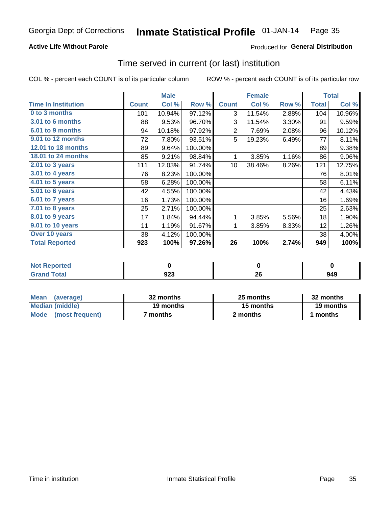#### Inmate Statistical Profile 01-JAN-14 Page 35

### **Active Life Without Parole**

### Produced for General Distribution

### Time served in current (or last) institution

COL % - percent each COUNT is of its particular column

|                            |              | <b>Male</b> |         |                 | <b>Female</b> |       |              | <b>Total</b> |
|----------------------------|--------------|-------------|---------|-----------------|---------------|-------|--------------|--------------|
| <b>Time In Institution</b> | <b>Count</b> | Col %       | Row %   | <b>Count</b>    | Col %         | Row % | <b>Total</b> | Col %        |
| 0 to 3 months              | 101          | 10.94%      | 97.12%  | 3               | 11.54%        | 2.88% | 104          | 10.96%       |
| <b>3.01 to 6 months</b>    | 88           | 9.53%       | 96.70%  | 3               | 11.54%        | 3.30% | 91           | 9.59%        |
| 6.01 to 9 months           | 94           | 10.18%      | 97.92%  | $\overline{2}$  | 7.69%         | 2.08% | 96           | 10.12%       |
| 9.01 to 12 months          | 72           | 7.80%       | 93.51%  | 5               | 19.23%        | 6.49% | 77           | 8.11%        |
| 12.01 to 18 months         | 89           | 9.64%       | 100.00% |                 |               |       | 89           | 9.38%        |
| <b>18.01 to 24 months</b>  | 85           | 9.21%       | 98.84%  | 1               | 3.85%         | 1.16% | 86           | 9.06%        |
| $2.01$ to 3 years          | 111          | 12.03%      | 91.74%  | 10 <sup>1</sup> | 38.46%        | 8.26% | 121          | 12.75%       |
| $3.01$ to 4 years          | 76           | 8.23%       | 100.00% |                 |               |       | 76           | 8.01%        |
| $4.01$ to 5 years          | 58           | 6.28%       | 100.00% |                 |               |       | 58           | 6.11%        |
| 5.01 to 6 years            | 42           | 4.55%       | 100.00% |                 |               |       | 42           | 4.43%        |
| 6.01 to 7 years            | 16           | 1.73%       | 100.00% |                 |               |       | 16           | 1.69%        |
| 7.01 to 8 years            | 25           | 2.71%       | 100.00% |                 |               |       | 25           | 2.63%        |
| 8.01 to 9 years            | 17           | 1.84%       | 94.44%  | 1               | 3.85%         | 5.56% | 18           | 1.90%        |
| 9.01 to 10 years           | 11           | 1.19%       | 91.67%  | 1               | 3.85%         | 8.33% | 12           | 1.26%        |
| Over 10 years              | 38           | 4.12%       | 100.00% |                 |               |       | 38           | 4.00%        |
| <b>Total Reported</b>      | 923          | 100%        | 97.26%  | 26              | 100%          | 2.74% | 949          | 100%         |

| <b>Not Reported</b> |            |    |     |
|---------------------|------------|----|-----|
| <b>Total</b>        | ממח<br>JZJ | Zu | 949 |

| <b>Mean</b><br>(average) | 32 months       | 25 months | 32 months |  |
|--------------------------|-----------------|-----------|-----------|--|
| Median (middle)          | 19 months       | 15 months | 19 months |  |
| Mode (most frequent)     | months <b>b</b> | 2 months  | 1 months  |  |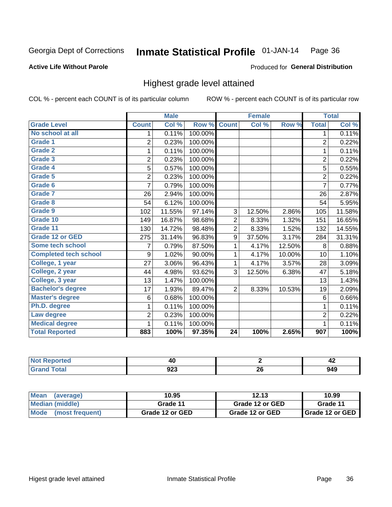### **Active Life Without Parole**

### Produced for General Distribution

### Highest grade level attained

COL % - percent each COUNT is of its particular column

|                              |                | <b>Male</b> |         |                 | <b>Female</b> |        |                         | <b>Total</b> |
|------------------------------|----------------|-------------|---------|-----------------|---------------|--------|-------------------------|--------------|
| <b>Grade Level</b>           | <b>Count</b>   | Col %       | Row %   | <b>Count</b>    | Col %         | Row %  | <b>Total</b>            | Col %        |
| No school at all             | 1              | 0.11%       | 100.00% |                 |               |        | 1                       | 0.11%        |
| Grade 1                      | $\overline{2}$ | 0.23%       | 100.00% |                 |               |        | $\overline{2}$          | 0.22%        |
| <b>Grade 2</b>               | 1              | 0.11%       | 100.00% |                 |               |        | 1                       | 0.11%        |
| Grade 3                      | $\overline{2}$ | 0.23%       | 100.00% |                 |               |        | $\overline{c}$          | 0.22%        |
| Grade 4                      | 5              | 0.57%       | 100.00% |                 |               |        | 5                       | 0.55%        |
| Grade 5                      | $\overline{2}$ | 0.23%       | 100.00% |                 |               |        | $\overline{\mathbf{c}}$ | 0.22%        |
| Grade 6                      | $\overline{7}$ | 0.79%       | 100.00% |                 |               |        | $\overline{7}$          | 0.77%        |
| <b>Grade 7</b>               | 26             | 2.94%       | 100.00% |                 |               |        | 26                      | 2.87%        |
| Grade 8                      | 54             | 6.12%       | 100.00% |                 |               |        | 54                      | 5.95%        |
| Grade 9                      | 102            | 11.55%      | 97.14%  | 3               | 12.50%        | 2.86%  | 105                     | 11.58%       |
| Grade 10                     | 149            | 16.87%      | 98.68%  | $\overline{c}$  | 8.33%         | 1.32%  | 151                     | 16.65%       |
| Grade 11                     | 130            | 14.72%      | 98.48%  | $\overline{2}$  | 8.33%         | 1.52%  | 132                     | 14.55%       |
| <b>Grade 12 or GED</b>       | 275            | 31.14%      | 96.83%  | 9               | 37.50%        | 3.17%  | 284                     | 31.31%       |
| <b>Some tech school</b>      | 7              | 0.79%       | 87.50%  | 1               | 4.17%         | 12.50% | 8                       | 0.88%        |
| <b>Completed tech school</b> | 9              | 1.02%       | 90.00%  | 1               | 4.17%         | 10.00% | 10                      | 1.10%        |
| College, 1 year              | 27             | 3.06%       | 96.43%  | 1               | 4.17%         | 3.57%  | 28                      | 3.09%        |
| College, 2 year              | 44             | 4.98%       | 93.62%  | 3               | 12.50%        | 6.38%  | 47                      | 5.18%        |
| College, 3 year              | 13             | 1.47%       | 100.00% |                 |               |        | 13                      | 1.43%        |
| <b>Bachelor's degree</b>     | 17             | 1.93%       | 89.47%  | $\overline{2}$  | 8.33%         | 10.53% | 19                      | 2.09%        |
| <b>Master's degree</b>       | 6              | 0.68%       | 100.00% |                 |               |        | 6                       | 0.66%        |
| Ph.D. degree                 | 1              | 0.11%       | 100.00% |                 |               |        | 1                       | 0.11%        |
| Law degree                   | $\overline{2}$ | 0.23%       | 100.00% |                 |               |        | $\overline{c}$          | 0.22%        |
| <b>Medical degree</b>        |                | 0.11%       | 100.00% |                 |               |        | 1                       | 0.11%        |
| <b>Total Reported</b>        | 883            | 100%        | 97.35%  | $\overline{24}$ | 100%          | 2.65%  | 907                     | 100%         |

| - -- or tea                 | 17                |           | - - |
|-----------------------------|-------------------|-----------|-----|
| $\sim$ $\sim$ $\sim$ $\sim$ | <b>000</b><br>94J | oc.<br>ΔV | 949 |

| <b>Mean</b><br>(average)       | 10.95           | 12.13           | 10.99             |
|--------------------------------|-----------------|-----------------|-------------------|
| Median (middle)                | Grade 11        | Grade 12 or GED | Grade 11          |
| <b>Mode</b><br>(most frequent) | Grade 12 or GED | Grade 12 or GED | I Grade 12 or GED |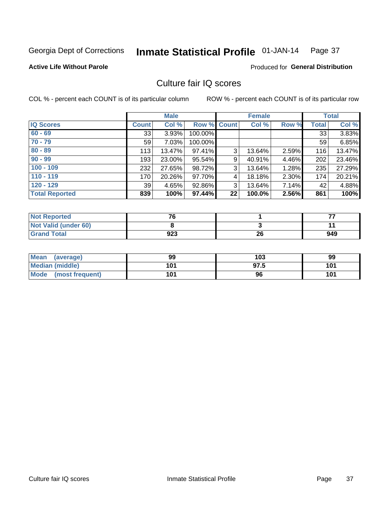#### Inmate Statistical Profile 01-JAN-14 Page 37

#### **Active Life Without Parole**

#### Produced for General Distribution

## Culture fair IQ scores

COL % - percent each COUNT is of its particular column

|                       |              | <b>Male</b> |                    |    | <b>Female</b> |       |              | <b>Total</b> |
|-----------------------|--------------|-------------|--------------------|----|---------------|-------|--------------|--------------|
| <b>IQ Scores</b>      | <b>Count</b> | Col %       | <b>Row % Count</b> |    | Col %         | Row % | <b>Total</b> | Col %        |
| $60 - 69$             | 33           | 3.93%       | 100.00%            |    |               |       | 33           | 3.83%        |
| $70 - 79$             | 59           | 7.03%       | 100.00%            |    |               |       | 59           | 6.85%        |
| $80 - 89$             | 113          | 13.47%      | 97.41%             | 3  | 13.64%        | 2.59% | 116          | 13.47%       |
| $90 - 99$             | 193          | 23.00%      | 95.54%             | 9  | 40.91%        | 4.46% | 202          | 23.46%       |
| $100 - 109$           | 232          | 27.65%      | 98.72%             | 3  | 13.64%        | 1.28% | 235          | 27.29%       |
| $110 - 119$           | 170          | 20.26%      | 97.70%             | 4  | 18.18%        | 2.30% | 174          | 20.21%       |
| $120 - 129$           | 39           | 4.65%       | 92.86%             | 3  | 13.64%        | 7.14% | 42           | 4.88%        |
| <b>Total Reported</b> | 839          | 100%        | 97.44%             | 22 | 100.0%        | 2.56% | 861          | 100%         |

| <b>Not Reported</b>         | 70  |    | --  |
|-----------------------------|-----|----|-----|
| <b>Not Valid (under 60)</b> |     |    |     |
| <b>Grand Total</b>          | 923 | 26 | 949 |

| Mean (average)       | 99  | 103  | 99  |
|----------------------|-----|------|-----|
| Median (middle)      | 101 | 97.5 | 101 |
| Mode (most frequent) | 101 | 96   | 101 |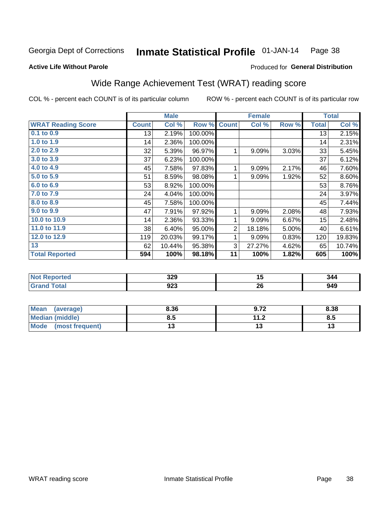#### **Inmate Statistical Profile 01-JAN-14** Page 38

#### **Active Life Without Parole**

## Produced for General Distribution

# Wide Range Achievement Test (WRAT) reading score

COL % - percent each COUNT is of its particular column

ROW % - percent each COUNT is of its particular row

|                           |              | <b>Male</b> |         | <b>Female</b>  |        |       | <b>Total</b> |        |
|---------------------------|--------------|-------------|---------|----------------|--------|-------|--------------|--------|
| <b>WRAT Reading Score</b> | <b>Count</b> | Col %       | Row %   | <b>Count</b>   | Col %  | Row % | <b>Total</b> | Col %  |
| 0.1 to 0.9                | 13           | 2.19%       | 100.00% |                |        |       | 13           | 2.15%  |
| 1.0 to 1.9                | 14           | 2.36%       | 100.00% |                |        |       | 14           | 2.31%  |
| 2.0 to 2.9                | 32           | 5.39%       | 96.97%  |                | 9.09%  | 3.03% | 33           | 5.45%  |
| 3.0 to 3.9                | 37           | 6.23%       | 100.00% |                |        |       | 37           | 6.12%  |
| 4.0 to 4.9                | 45           | 7.58%       | 97.83%  | 1              | 9.09%  | 2.17% | 46           | 7.60%  |
| 5.0 to 5.9                | 51           | 8.59%       | 98.08%  | 1              | 9.09%  | 1.92% | 52           | 8.60%  |
| 6.0 to 6.9                | 53           | 8.92%       | 100.00% |                |        |       | 53           | 8.76%  |
| 7.0 to 7.9                | 24           | 4.04%       | 100.00% |                |        |       | 24           | 3.97%  |
| 8.0 to 8.9                | 45           | 7.58%       | 100.00% |                |        |       | 45           | 7.44%  |
| 9.0 to 9.9                | 47           | 7.91%       | 97.92%  | 1              | 9.09%  | 2.08% | 48           | 7.93%  |
| 10.0 to 10.9              | 14           | 2.36%       | 93.33%  | 1              | 9.09%  | 6.67% | 15           | 2.48%  |
| 11.0 to 11.9              | 38           | 6.40%       | 95.00%  | $\overline{2}$ | 18.18% | 5.00% | 40           | 6.61%  |
| 12.0 to 12.9              | 119          | 20.03%      | 99.17%  | 1              | 9.09%  | 0.83% | 120          | 19.83% |
| 13                        | 62           | 10.44%      | 95.38%  | 3              | 27.27% | 4.62% | 65           | 10.74% |
| <b>Total Reported</b>     | 594          | 100%        | 98.18%  | 11             | 100%   | 1.82% | 605          | 100%   |
|                           |              |             |         |                |        |       |              |        |
| <b>Not Reported</b>       |              | 329         |         |                | 15     |       |              | 344    |

| . <i>.</i>               | $- -$ | . .                | - - - |
|--------------------------|-------|--------------------|-------|
| <b>Grand Total</b>       | 923   | 26                 | 949   |
|                          |       |                    |       |
|                          |       |                    |       |
| <b>Mean</b><br>(average) | 8.36  | 0.72<br>. <i>.</i> | 8.38  |

| <b>I</b> Mean<br>(average) | 8.JO | ึ 9.7⊥               | 0.JO |
|----------------------------|------|----------------------|------|
| <b>Median (middle)</b>     | 0.J  | 11.2<br>. . <u>.</u> | o.u  |
| Mode (most frequent)       |      |                      |      |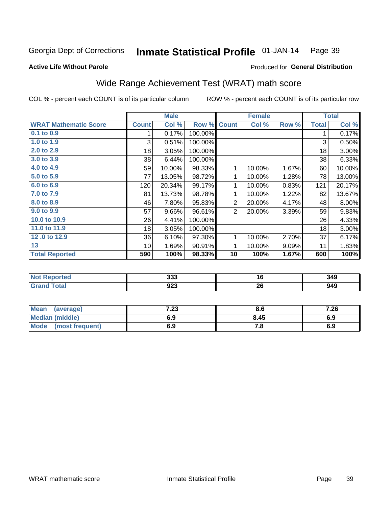#### Inmate Statistical Profile 01-JAN-14 Page 39

#### **Active Life Without Parole**

## Produced for General Distribution

## Wide Range Achievement Test (WRAT) math score

COL % - percent each COUNT is of its particular column

|                              |              | <b>Male</b> |         |                | <b>Female</b>   |       |              | <b>Total</b> |
|------------------------------|--------------|-------------|---------|----------------|-----------------|-------|--------------|--------------|
| <b>WRAT Mathematic Score</b> | <b>Count</b> | Col %       | Row %   | <b>Count</b>   | Col %           | Row % | <b>Total</b> | Col %        |
| 0.1 to 0.9                   | 1            | 0.17%       | 100.00% |                |                 |       | 1            | 0.17%        |
| 1.0 to 1.9                   | 3            | 0.51%       | 100.00% |                |                 |       | 3            | 0.50%        |
| 2.0 to 2.9                   | 18           | 3.05%       | 100.00% |                |                 |       | 18           | 3.00%        |
| 3.0 to 3.9                   | 38           | 6.44%       | 100.00% |                |                 |       | 38           | 6.33%        |
| 4.0 to 4.9                   | 59           | 10.00%      | 98.33%  | 1              | 10.00%          | 1.67% | 60           | 10.00%       |
| 5.0 to 5.9                   | 77           | 13.05%      | 98.72%  | 1              | 10.00%          | 1.28% | 78           | 13.00%       |
| 6.0 to 6.9                   | 120          | 20.34%      | 99.17%  | 1              | 10.00%          | 0.83% | 121          | 20.17%       |
| 7.0 to 7.9                   | 81           | 13.73%      | 98.78%  | 1              | 10.00%          | 1.22% | 82           | 13.67%       |
| 8.0 to 8.9                   | 46           | 7.80%       | 95.83%  | $\mathbf{2}$   | 20.00%          | 4.17% | 48           | 8.00%        |
| 9.0 to 9.9                   | 57           | 9.66%       | 96.61%  | $\overline{2}$ | 20.00%          | 3.39% | 59           | 9.83%        |
| 10.0 to 10.9                 | 26           | 4.41%       | 100.00% |                |                 |       | 26           | 4.33%        |
| 11.0 to 11.9                 | 18           | 3.05%       | 100.00% |                |                 |       | 18           | 3.00%        |
| 12.0 to 12.9                 | 36           | 6.10%       | 97.30%  | 1              | 10.00%          | 2.70% | 37           | 6.17%        |
| 13                           | 10           | 1.69%       | 90.91%  | 1              | 10.00%          | 9.09% | 11           | 1.83%        |
| <b>Total Reported</b>        | 590          | 100%        | 98.33%  | 10             | 100%            | 1.67% | 600          | 100%         |
|                              |              |             |         |                |                 |       |              |              |
| <b>Not Reported</b>          |              | 333         |         |                | $\overline{16}$ |       |              | 349          |
| <b>Grand Total</b>           |              | 923         |         |                | 26              |       |              | 949          |

| Mean<br>(average)       | ר ר<br>د∡. | o.o  | 7.26 |
|-------------------------|------------|------|------|
| Median (middle)         | 6.9        | 8.45 | 6.9  |
| Mode<br>(most frequent) | 6.9        | 7. a | 6.9  |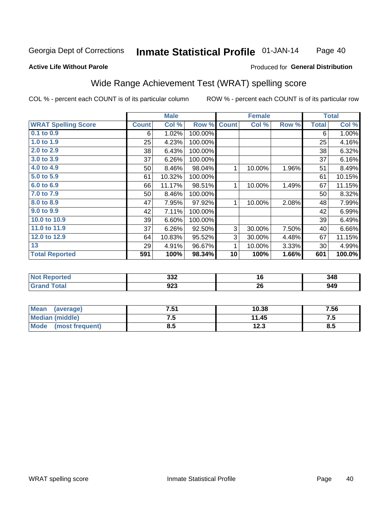#### Inmate Statistical Profile 01-JAN-14 Page 40

#### **Active Life Without Parole**

### Produced for General Distribution

## Wide Range Achievement Test (WRAT) spelling score

COL % - percent each COUNT is of its particular column

|                            |              | <b>Male</b> |         |              | <b>Female</b> |       |              | <b>Total</b> |
|----------------------------|--------------|-------------|---------|--------------|---------------|-------|--------------|--------------|
| <b>WRAT Spelling Score</b> | <b>Count</b> | Col %       | Row %   | <b>Count</b> | Col %         | Row % | <b>Total</b> | Col %        |
| 0.1 to 0.9                 | 6            | 1.02%       | 100.00% |              |               |       | 6            | 1.00%        |
| 1.0 to 1.9                 | 25           | 4.23%       | 100.00% |              |               |       | 25           | 4.16%        |
| 2.0 to 2.9                 | 38           | 6.43%       | 100.00% |              |               |       | 38           | 6.32%        |
| 3.0 to 3.9                 | 37           | 6.26%       | 100.00% |              |               |       | 37           | 6.16%        |
| 4.0 to 4.9                 | 50           | 8.46%       | 98.04%  | 1            | 10.00%        | 1.96% | 51           | 8.49%        |
| 5.0 to 5.9                 | 61           | 10.32%      | 100.00% |              |               |       | 61           | 10.15%       |
| 6.0 to 6.9                 | 66           | 11.17%      | 98.51%  | 1            | 10.00%        | 1.49% | 67           | 11.15%       |
| 7.0 to 7.9                 | 50           | 8.46%       | 100.00% |              |               |       | 50           | 8.32%        |
| 8.0 to 8.9                 | 47           | 7.95%       | 97.92%  | 1            | 10.00%        | 2.08% | 48           | 7.99%        |
| 9.0 to 9.9                 | 42           | 7.11%       | 100.00% |              |               |       | 42           | 6.99%        |
| 10.0 to 10.9               | 39           | 6.60%       | 100.00% |              |               |       | 39           | 6.49%        |
| 11.0 to $11.9$             | 37           | 6.26%       | 92.50%  | 3            | 30.00%        | 7.50% | 40           | 6.66%        |
| 12.0 to 12.9               | 64           | 10.83%      | 95.52%  | 3            | 30.00%        | 4.48% | 67           | 11.15%       |
| 13                         | 29           | 4.91%       | 96.67%  | 1            | 10.00%        | 3.33% | 30           | 4.99%        |
| <b>Total Reported</b>      | 591          | 100%        | 98.34%  | 10           | 100%          | 1.66% | 601          | 100.0%       |
|                            |              |             |         |              |               |       |              |              |
| <b>Not Reported</b>        |              | 332         |         |              | 16            |       |              | 348          |
| <b>Grand Total</b>         |              | 923         |         |              | 26            |       |              | 949          |

| <b>Mean</b><br>(average) | 7.51 | 10.38 | 7.56 |
|--------------------------|------|-------|------|
| <b>Median (middle)</b>   |      | 11.45 | ن. ا |
| Mode<br>(most frequent)  | 8.5  | 12.3  | 8.5  |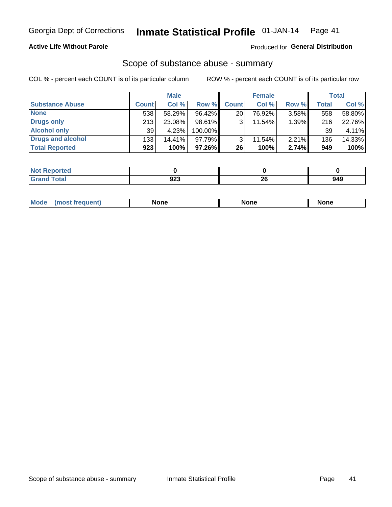### **Active Life Without Parole**

#### Produced for General Distribution

## Scope of substance abuse - summary

COL % - percent each COUNT is of its particular column

|                        |              | <b>Male</b> |           |              | <b>Female</b> |          |              | <b>Total</b> |
|------------------------|--------------|-------------|-----------|--------------|---------------|----------|--------------|--------------|
| <b>Substance Abuse</b> | <b>Count</b> | Col %       | Row %     | <b>Count</b> | Col %         | Row %    | <b>Total</b> | Col %        |
| <b>None</b>            | 538          | 58.29%      | 96.42%    | 20           | 76.92%        | $3.58\%$ | 558          | 58.80%       |
| <b>Drugs only</b>      | 213          | 23.08%      | 98.61%    |              | 11.54%        | 1.39%    | 216          | 22.76%       |
| <b>Alcohol only</b>    | 39           | 4.23%       | 100.00%   |              |               |          | 39           | 4.11%        |
| Drugs and alcohol      | 133          | $14.41\%$   | $97.79\%$ |              | 11.54%        | $2.21\%$ | 136          | 14.33%       |
| <b>Total Reported</b>  | 923          | 100%        | 97.26%    | 26           | 100%          | 2.74%    | 949          | 100%         |

| <b>Not</b><br><b>Reported</b> |     |    |     |
|-------------------------------|-----|----|-----|
| <b>Total</b>                  | 200 | ^^ | 940 |
| <b>Grand</b>                  | JZJ | ΔV |     |

| nuem | <b>Mo</b> | None | <b>None</b> | None |
|------|-----------|------|-------------|------|
|------|-----------|------|-------------|------|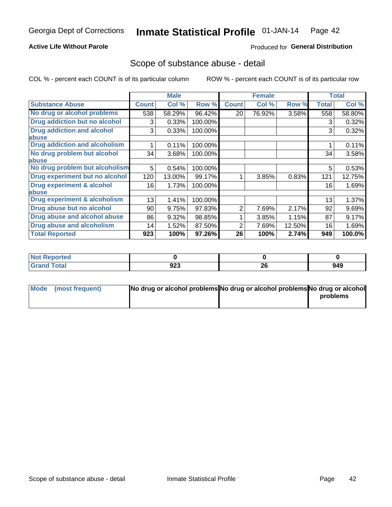### **Active Life Without Parole**

### Produced for General Distribution

## Scope of substance abuse - detail

COL % - percent each COUNT is of its particular column

|                                         |              | <b>Male</b> |         |              | <b>Female</b> |        |              | <b>Total</b> |
|-----------------------------------------|--------------|-------------|---------|--------------|---------------|--------|--------------|--------------|
| <b>Substance Abuse</b>                  | <b>Count</b> | Col %       | Row %   | <b>Count</b> | Col %         | Row %  | <b>Total</b> | Col %        |
| No drug or alcohol problems             | 538          | 58.29%      | 96.42%  | 20           | 76.92%        | 3.58%  | 558          | 58.80%       |
| Drug addiction but no alcohol           | 3            | 0.33%       | 100.00% |              |               |        | 3            | 0.32%        |
| <b>Drug addiction and alcohol</b>       | 3            | 0.33%       | 100.00% |              |               |        | 3            | 0.32%        |
| abuse                                   |              |             |         |              |               |        |              |              |
| <b>Drug addiction and alcoholism</b>    |              | 0.11%       | 100.00% |              |               |        |              | 0.11%        |
| No drug problem but alcohol             | 34           | 3.68%       | 100.00% |              |               |        | 34           | 3.58%        |
| abuse                                   |              |             |         |              |               |        |              |              |
| No drug problem but alcoholism          | 5            | 0.54%       | 100.00% |              |               |        | 5            | 0.53%        |
| Drug experiment but no alcohol          | 120          | 13.00%      | 99.17%  |              | 3.85%         | 0.83%  | 121          | 12.75%       |
| <b>Drug experiment &amp; alcohol</b>    | 16           | 1.73%       | 100.00% |              |               |        | 16           | 1.69%        |
| abuse                                   |              |             |         |              |               |        |              |              |
| <b>Drug experiment &amp; alcoholism</b> | 13           | 1.41%       | 100.00% |              |               |        | 13           | 1.37%        |
| Drug abuse but no alcohol               | 90           | 9.75%       | 97.83%  | 2            | 7.69%         | 2.17%  | 92           | 9.69%        |
| Drug abuse and alcohol abuse            | 86           | 9.32%       | 98.85%  |              | 3.85%         | 1.15%  | 87           | 9.17%        |
| <b>Drug abuse and alcoholism</b>        | 14           | 1.52%       | 87.50%  | 2            | 7.69%         | 12.50% | 16           | 1.69%        |
| <b>Total Reported</b>                   | 923          | 100%        | 97.26%  | 26           | 100%          | 2.74%  | 949          | 100.0%       |

| ported<br><b>NOT</b> |     |          |     |
|----------------------|-----|----------|-----|
| $\sim$<br>_____      | 923 | ኅር<br>ZO | 949 |

| Mode (most frequent) | No drug or alcohol problems No drug or alcohol problems No drug or alcohol |          |
|----------------------|----------------------------------------------------------------------------|----------|
|                      |                                                                            | problems |
|                      |                                                                            |          |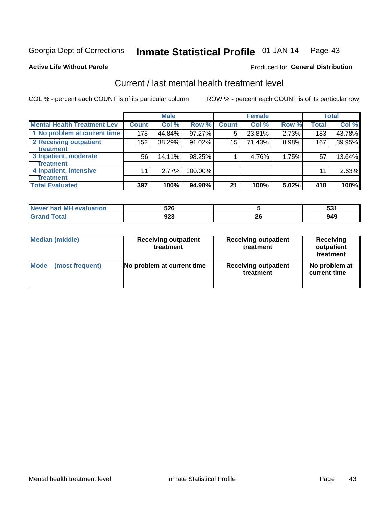#### Inmate Statistical Profile 01-JAN-14 Page 43

#### **Active Life Without Parole**

### **Produced for General Distribution**

## Current / last mental health treatment level

COL % - percent each COUNT is of its particular column

|                                    |                  | <b>Male</b> |         |              | <b>Female</b> |       |              | <b>Total</b> |
|------------------------------------|------------------|-------------|---------|--------------|---------------|-------|--------------|--------------|
| <b>Mental Health Treatment Lev</b> | <b>Count</b>     | Col %       | Row %   | <b>Count</b> | Col %         | Row % | <b>Total</b> | Col %        |
| 1 No problem at current time       | 178              | 44.84%      | 97.27%  | 5            | 23.81%        | 2.73% | 183          | 43.78%       |
| 2 Receiving outpatient             | 152 <sub>1</sub> | 38.29%      | 91.02%  | 15           | 71.43%        | 8.98% | 167          | 39.95%       |
| <b>Treatment</b>                   |                  |             |         |              |               |       |              |              |
| 3 Inpatient, moderate              | 56               | 14.11%      | 98.25%  |              | 4.76%         | 1.75% | 57           | 13.64%       |
| <b>Treatment</b>                   |                  |             |         |              |               |       |              |              |
| 4 Inpatient, intensive             | 11               | $2.77\%$    | 100.00% |              |               |       | 11           | 2.63%        |
| Treatment                          |                  |             |         |              |               |       |              |              |
| <b>Total Evaluated</b>             | 397              | 100%        | 94.98%  | 21           | 100%          | 5.02% | 418          | 100%         |

| Never had MH evaluation | 526        |    | гΛ.<br>ິ |
|-------------------------|------------|----|----------|
| Total                   | ロクマ<br>JZJ | ∠∪ | 949      |

| <b>Median (middle)</b> | <b>Receiving outpatient</b><br>treatment | <b>Receiving outpatient</b><br>treatment | <b>Receiving</b><br>outpatient<br>treatment |
|------------------------|------------------------------------------|------------------------------------------|---------------------------------------------|
| <b>Mode</b>            | No problem at current time               | <b>Receiving outpatient</b>              | No problem at                               |
| (most frequent)        |                                          | treatment                                | current time                                |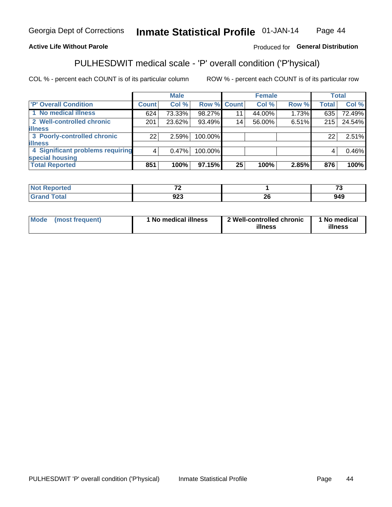#### Inmate Statistical Profile 01-JAN-14 Page 44

### **Active Life Without Parole**

### Produced for General Distribution

# PULHESDWIT medical scale - 'P' overall condition ('P'hysical)

COL % - percent each COUNT is of its particular column

|                                  |         | <b>Male</b> |             |                 | <b>Female</b> |       |              | <b>Total</b> |
|----------------------------------|---------|-------------|-------------|-----------------|---------------|-------|--------------|--------------|
| 'P' Overall Condition            | Count l | Col %       | Row % Count |                 | Col %         | Row % | <b>Total</b> | Col %        |
| 1 No medical illness             | 624     | 73.33%      | 98.27%      | 11              | 44.00%        | 1.73% | 635          | 72.49%       |
| 2 Well-controlled chronic        | 201     | 23.62%      | 93.49%      | 14 <sub>1</sub> | 56.00%        | 6.51% | 215          | 24.54%       |
| <b>illness</b>                   |         |             |             |                 |               |       |              |              |
| 3 Poorly-controlled chronic      | 22      | 2.59%       | 100.00%     |                 |               |       | 22           | 2.51%        |
| <b>illness</b>                   |         |             |             |                 |               |       |              |              |
| 4 Significant problems requiring | 4       | 0.47%       | 100.00%     |                 |               |       | 4            | 0.46%        |
| special housing                  |         |             |             |                 |               |       |              |              |
| <b>Total Reported</b>            | 851     | 100%        | 97.15%      | 25              | 100%          | 2.85% | 876          | 100%         |

| $\rightarrow$<br>$\cdot$ $-$ |                                 | $-$        |
|------------------------------|---------------------------------|------------|
| <b>000</b><br>シムこ            | - -<br>$\overline{\phantom{0}}$ | 010<br>74J |

| <b>Mode</b> | (most frequent) | 1 No medical illness | 2 Well-controlled chronic<br>illness | 1 No medical<br>illness |
|-------------|-----------------|----------------------|--------------------------------------|-------------------------|
|-------------|-----------------|----------------------|--------------------------------------|-------------------------|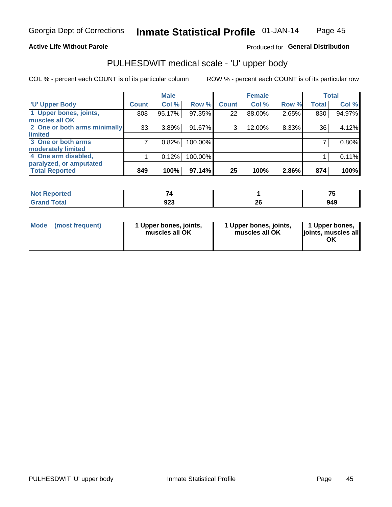#### **Active Life Without Parole**

### Produced for General Distribution

# PULHESDWIT medical scale - 'U' upper body

COL % - percent each COUNT is of its particular column

|                              |              | <b>Male</b> |         |              | <b>Female</b> |       |              | <b>Total</b> |
|------------------------------|--------------|-------------|---------|--------------|---------------|-------|--------------|--------------|
| <b>U' Upper Body</b>         | <b>Count</b> | Col %       | Row %   | <b>Count</b> | Col %         | Row % | <b>Total</b> | Col %        |
| 1 Upper bones, joints,       | 808          | 95.17%      | 97.35%  | 22           | 88.00%        | 2.65% | 830          | 94.97%       |
| muscles all OK               |              |             |         |              |               |       |              |              |
| 2 One or both arms minimally | 33           | 3.89%       | 91.67%  | 3            | 12.00%        | 8.33% | 36           | 4.12%        |
| limited                      |              |             |         |              |               |       |              |              |
| 3 One or both arms           |              | 0.82%       | 100.00% |              |               |       |              | 0.80%        |
| moderately limited           |              |             |         |              |               |       |              |              |
| 4 One arm disabled,          |              | 0.12%       | 100.00% |              |               |       |              | 0.11%        |
| paralyzed, or amputated      |              |             |         |              |               |       |              |              |
| <b>Total Reported</b>        | 849          | 100%        | 97.14%  | 25           | 100%          | 2.86% | 874          | 100%         |

| <b>Not Reported</b>              | _          |          | $-$ |
|----------------------------------|------------|----------|-----|
| <b>Total</b><br>Grar<br>ا الله ا | ດາາ<br>ง∠ง | ^^<br>ZU | 949 |

| Mode | (most frequent) | 1 Upper bones, joints,<br>muscles all OK | 1 Upper bones, joints,<br>muscles all OK | 1 Upper bones,<br>ljoints, muscles all<br>OK |
|------|-----------------|------------------------------------------|------------------------------------------|----------------------------------------------|
|------|-----------------|------------------------------------------|------------------------------------------|----------------------------------------------|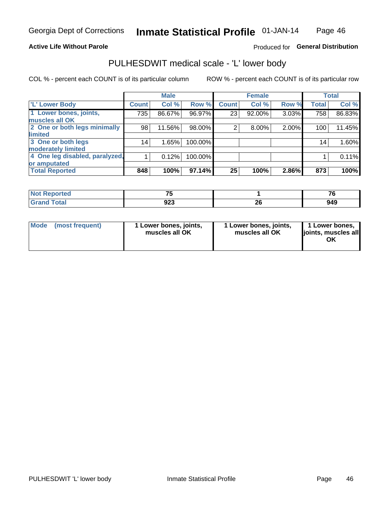#### **Active Life Without Parole**

### Produced for General Distribution

## PULHESDWIT medical scale - 'L' lower body

COL % - percent each COUNT is of its particular column

|                                |              | <b>Male</b> |         |                | <b>Female</b> |       |              | <b>Total</b> |
|--------------------------------|--------------|-------------|---------|----------------|---------------|-------|--------------|--------------|
| 'L' Lower Body                 | <b>Count</b> | Col %       | Row %   | <b>Count</b>   | Col %         | Row % | <b>Total</b> | Col %        |
| 1 Lower bones, joints,         | 735          | 86.67%      | 96.97%  | 23             | 92.00%        | 3.03% | 758          | 86.83%       |
| muscles all OK                 |              |             |         |                |               |       |              |              |
| 2 One or both legs minimally   | 98           | 11.56%      | 98.00%  | $\overline{2}$ | 8.00%         | 2.00% | 100          | 11.45%       |
| limited                        |              |             |         |                |               |       |              |              |
| 3 One or both legs             | 14           | 1.65%       | 100.00% |                |               |       | 14           | 1.60%        |
| moderately limited             |              |             |         |                |               |       |              |              |
| 4 One leg disabled, paralyzed, |              | 0.12%       | 100.00% |                |               |       |              | 0.11%        |
| or amputated                   |              |             |         |                |               |       |              |              |
| <b>Total Reported</b>          | 848          | 100%        | 97.14%  | 25             | 100%          | 2.86% | 873          | 100%         |

| --<br><b>Not Reported</b> |      |    | $- \cdot$ |
|---------------------------|------|----|-----------|
| <b>Total</b>              | ົດດາ | ^^ | 949       |
| Grand                     | ง∠ง  | £  |           |

|  | Mode (most frequent) | 1 Lower bones, joints,<br>muscles all OK | 1 Lower bones, joints,<br>muscles all OK | 1 Lower bones,<br>ljoints, muscles all<br>ΟK |
|--|----------------------|------------------------------------------|------------------------------------------|----------------------------------------------|
|--|----------------------|------------------------------------------|------------------------------------------|----------------------------------------------|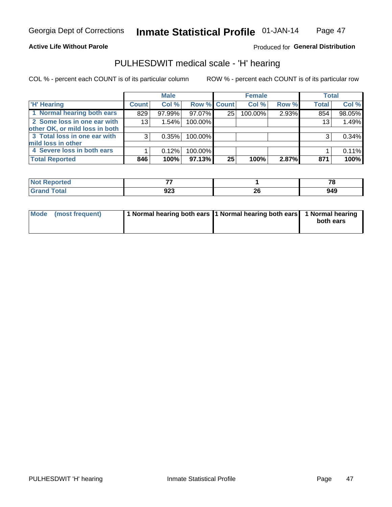#### **Active Life Without Parole**

## Produced for General Distribution

## PULHESDWIT medical scale - 'H' hearing

COL % - percent each COUNT is of its particular column

|                                |                 | <b>Male</b> |                    |                 | <b>Female</b> |       | <b>Total</b> |        |
|--------------------------------|-----------------|-------------|--------------------|-----------------|---------------|-------|--------------|--------|
| <b>H' Hearing</b>              | <b>Count</b>    | Col %       | <b>Row % Count</b> |                 | Col %         | Row % | <b>Total</b> | Col %  |
| 1 Normal hearing both ears     | 829             | 97.99%      | 97.07%             | 25              | 100.00%       | 2.93% | 854          | 98.05% |
| 2 Some loss in one ear with    | 13 <sub>1</sub> | 1.54%       | 100.00%            |                 |               |       | 13           | 1.49%  |
| other OK, or mild loss in both |                 |             |                    |                 |               |       |              |        |
| 3 Total loss in one ear with   | 3               | 0.35%       | 100.00%            |                 |               |       | 3            | 0.34%  |
| mild loss in other             |                 |             |                    |                 |               |       |              |        |
| 4 Severe loss in both ears     |                 | 0.12%       | 100.00%            |                 |               |       |              | 0.11%  |
| <b>Total Reported</b>          | 846             | 100%        | $97.13\%$          | 25 <sub>1</sub> | 100%          | 2.87% | 871          | 100%   |

| <b>orted</b><br><b>NOT</b> |             |    | $\rightarrow$ |
|----------------------------|-------------|----|---------------|
| $\sim$ 10                  | nne.<br>JZJ | 26 | 949           |

| Mode (most frequent) | 1 Normal hearing both ears 1 Normal hearing both ears 1 Normal hearing | both ears |
|----------------------|------------------------------------------------------------------------|-----------|
|                      |                                                                        |           |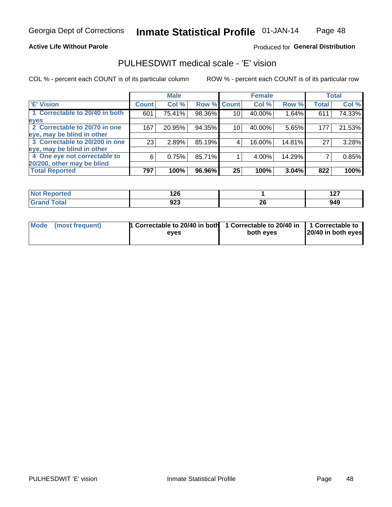**Active Life Without Parole** 

### Produced for General Distribution

## PULHESDWIT medical scale - 'E' vision

COL % - percent each COUNT is of its particular column

|                                |              | <b>Male</b> |             |                 | <b>Female</b> |        |              | <b>Total</b> |
|--------------------------------|--------------|-------------|-------------|-----------------|---------------|--------|--------------|--------------|
| <b>E' Vision</b>               | <b>Count</b> | Col %       | Row % Count |                 | Col %         | Row %  | <b>Total</b> | Col %        |
| 1 Correctable to 20/40 in both | 601          | 75.41%      | 98.36%      | 10              | 40.00%        | 1.64%  | 611          | 74.33%       |
| eyes                           |              |             |             |                 |               |        |              |              |
| 2 Correctable to 20/70 in one  | 167          | 20.95%      | 94.35%      | 10 <sub>1</sub> | 40.00%        | 5.65%  | 177          | 21.53%       |
| eye, may be blind in other     |              |             |             |                 |               |        |              |              |
| 3 Correctable to 20/200 in one | 23           | 2.89%       | 85.19%      |                 | 16.00%        | 14.81% | 27           | 3.28%        |
| eye, may be blind in other     |              |             |             |                 |               |        |              |              |
| 4 One eye not correctable to   | 6            | 0.75%       | 85.71%      |                 | 4.00%         | 14.29% |              | 0.85%        |
| 20/200, other may be blind     |              |             |             |                 |               |        |              |              |
| <b>Total Reported</b>          | 797          | 100%        | 96.96%      | 25              | 100%          | 3.04%  | 822          | 100%         |

| <b>Anted</b>           | 1 ገር<br>14 Y |           | "~<br>$\sim$ |
|------------------------|--------------|-----------|--------------|
| $f \wedge f \wedge f'$ | 923          | oc.<br>ZU | 949          |

| Mode (most frequent) | 1 Correctable to 20/40 in both 1 Correctable to 20/40 in 1 Correctable to<br>eves | both eyes | 20/40 in both eyes |
|----------------------|-----------------------------------------------------------------------------------|-----------|--------------------|
|                      |                                                                                   |           |                    |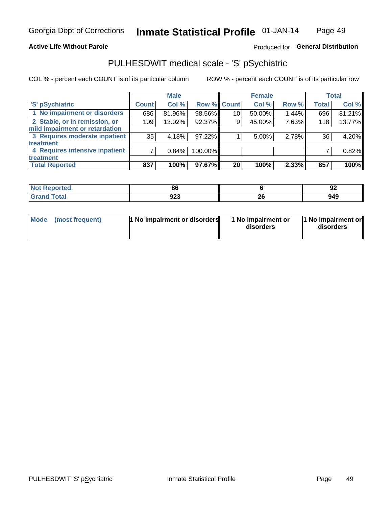#### **Active Life Without Parole**

### Produced for General Distribution

## PULHESDWIT medical scale - 'S' pSychiatric

COL % - percent each COUNT is of its particular column

|                                |                 | <b>Male</b> |         |             | <b>Female</b> |       |              | <b>Total</b> |
|--------------------------------|-----------------|-------------|---------|-------------|---------------|-------|--------------|--------------|
| 'S' pSychiatric                | <b>Count</b>    | Col %       |         | Row % Count | Col %         | Row % | <b>Total</b> | Col %        |
| 1 No impairment or disorders   | 686             | 81.96%      | 98.56%  | 10          | 50.00%        | 1.44% | 696          | 81.21%       |
| 2 Stable, or in remission, or  | 109             | 13.02%      | 92.37%  | 9           | 45.00%        | 7.63% | 118          | 13.77%       |
| mild impairment or retardation |                 |             |         |             |               |       |              |              |
| 3 Requires moderate inpatient  | 35 <sub>1</sub> | 4.18%       | 97.22%  |             | 5.00%         | 2.78% | 36           | 4.20%        |
| <b>treatment</b>               |                 |             |         |             |               |       |              |              |
| 4 Requires intensive inpatient |                 | 0.84%       | 100.00% |             |               |       |              | 0.82%        |
| <b>treatment</b>               |                 |             |         |             |               |       |              |              |
| <b>Total Reported</b>          | 837             | 100%        | 97.67%  | 20          | 100%          | 2.33% | 857          | 100%         |

| Ter. | $\mathbf{C}$<br>ot<br>- - |          | ״<br>JŁ |
|------|---------------------------|----------|---------|
|      | nnn<br>94J                | ^'<br>ΔU | 949     |

| Mode | (most frequent) | 1 No impairment or disorders | 1 No impairment or<br>disorders | 1 No impairment or<br>disorders |
|------|-----------------|------------------------------|---------------------------------|---------------------------------|
|------|-----------------|------------------------------|---------------------------------|---------------------------------|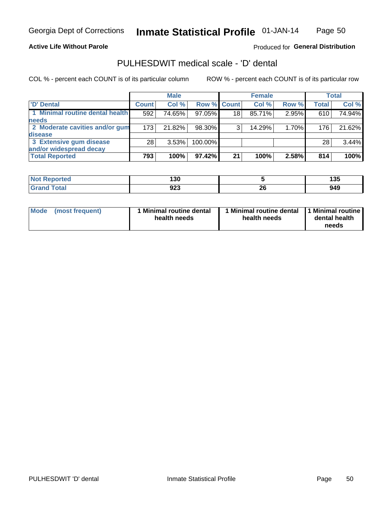#### **Active Life Without Parole**

### Produced for General Distribution

## PULHESDWIT medical scale - 'D' dental

COL % - percent each COUNT is of its particular column

|                                 |              | <b>Male</b> |             |    | <b>Female</b> |       |                  | Total  |
|---------------------------------|--------------|-------------|-------------|----|---------------|-------|------------------|--------|
| 'D' Dental                      | <b>Count</b> | Col %       | Row % Count |    | Col %         | Row % | <b>Total</b>     | Col %  |
| 1 Minimal routine dental health | 592          | 74.65%      | 97.05%      | 18 | 85.71%        | 2.95% | 610              | 74.94% |
| <b>needs</b>                    |              |             |             |    |               |       |                  |        |
| 2 Moderate cavities and/or gum  | 173          | 21.82%      | 98.30%      | 3  | 14.29%        | 1.70% | 176 <sub>1</sub> | 21.62% |
| <b>disease</b>                  |              |             |             |    |               |       |                  |        |
| 3 Extensive gum disease         | 28           | 3.53%       | 100.00%     |    |               |       | 28               | 3.44%  |
| and/or widespread decay         |              |             |             |    |               |       |                  |        |
| <b>Total Reported</b>           | 793          | 100%        | 97.42%      | 21 | 100%          | 2.58% | 814              | 100%   |

| <b>Reported</b><br><b>NOT</b><br>$\sim$ | ה הו<br>טעו |          | 1 M F<br>טטו |
|-----------------------------------------|-------------|----------|--------------|
| Total                                   | 923         | n,<br>ZU | 949          |

| <b>Mode</b><br><b>Minimal routine dental</b><br>(most frequent)<br>health needs | Minimal routine dental<br>health needs | 1 Minimal routine<br>dental health<br>needs |
|---------------------------------------------------------------------------------|----------------------------------------|---------------------------------------------|
|---------------------------------------------------------------------------------|----------------------------------------|---------------------------------------------|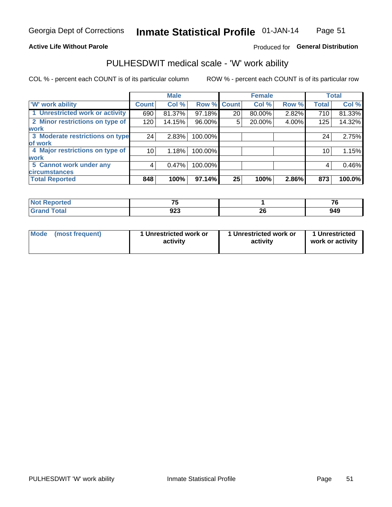#### **Active Life Without Parole**

### Produced for General Distribution

## PULHESDWIT medical scale - 'W' work ability

COL % - percent each COUNT is of its particular column

|                                 |              | <b>Male</b> |         |             | <b>Female</b> |       |              | <b>Total</b> |
|---------------------------------|--------------|-------------|---------|-------------|---------------|-------|--------------|--------------|
| <b>W' work ability</b>          | <b>Count</b> | Col %       |         | Row % Count | Col %         | Row % | <b>Total</b> | Col %        |
| 1 Unrestricted work or activity | 690          | 81.37%      | 97.18%  | 20          | 80.00%        | 2.82% | 710          | 81.33%       |
| 2 Minor restrictions on type of | 120          | 14.15%      | 96.00%  | 5           | 20.00%        | 4.00% | 125          | 14.32%       |
| <b>work</b>                     |              |             |         |             |               |       |              |              |
| 3 Moderate restrictions on type | 24           | 2.83%       | 100.00% |             |               |       | 24           | 2.75%        |
| lof work                        |              |             |         |             |               |       |              |              |
| 4 Major restrictions on type of | 10           | 1.18%       | 100.00% |             |               |       | 10           | 1.15%        |
| <b>work</b>                     |              |             |         |             |               |       |              |              |
| 5 Cannot work under any         | 4            | 0.47%       | 100.00% |             |               |       | 4            | 0.46%        |
| <b>circumstances</b>            |              |             |         |             |               |       |              |              |
| <b>Total Reported</b>           | 848          | 100%        | 97.14%  | 25          | 100%          | 2.86% | 873          | 100.0%       |

| <b>Not Reported</b>  | --<br>$\sim$ |          | --  |
|----------------------|--------------|----------|-----|
| <b>Total</b><br>Cror | 923          | ሳሪ<br>ZU | 949 |

| Mode | (most frequent) | 1 Unrestricted work or<br>activity | 1 Unrestricted work or<br>activity | 1 Unrestricted<br>work or activity |
|------|-----------------|------------------------------------|------------------------------------|------------------------------------|
|------|-----------------|------------------------------------|------------------------------------|------------------------------------|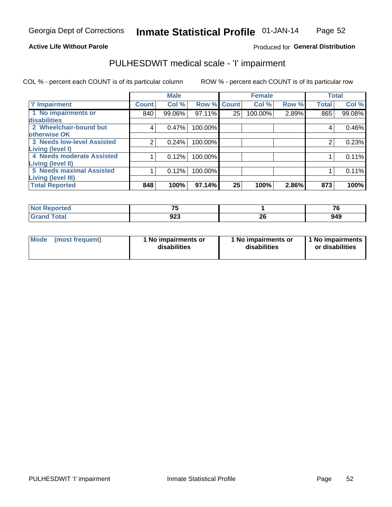### **Active Life Without Parole**

### Produced for General Distribution

## PULHESDWIT medical scale - 'I' impairment

|                                   |                | <b>Male</b> |             |    | <b>Female</b> |       |              | <b>Total</b> |
|-----------------------------------|----------------|-------------|-------------|----|---------------|-------|--------------|--------------|
| <b>T' Impairment</b>              | <b>Count</b>   | Col %       | Row % Count |    | Col %         | Row % | <b>Total</b> | Col %        |
| 1 No impairments or               | 840            | 99.06%      | 97.11%      | 25 | 100.00%       | 2.89% | 865          | 99.08%       |
| disabilities                      |                |             |             |    |               |       |              |              |
| 2 Wheelchair-bound but            | 4              | 0.47%       | 100.00%     |    |               |       | 4            | 0.46%        |
| otherwise OK                      |                |             |             |    |               |       |              |              |
| <b>3 Needs low-level Assisted</b> | $\overline{2}$ | 0.24%       | 100.00%     |    |               |       | 2            | 0.23%        |
| Living (level I)                  |                |             |             |    |               |       |              |              |
| 4 Needs moderate Assisted         |                | 0.12%       | 100.00%     |    |               |       |              | 0.11%        |
| <b>Living (level II)</b>          |                |             |             |    |               |       |              |              |
| <b>5 Needs maximal Assisted</b>   |                | 0.12%       | 100.00%     |    |               |       |              | 0.11%        |
| <b>Living (level III)</b>         |                |             |             |    |               |       |              |              |
| <b>Total Reported</b>             | 848            | 100%        | 97.14%      | 25 | 100%          | 2.86% | 873          | 100%         |

| Reported     | --<br>. .  |          | --<br>.u |
|--------------|------------|----------|----------|
| <b>Total</b> | מחח<br>งผง | ^^<br>ZV | 949      |

| <b>Mode</b> | (most frequent) | 1 No impairments or<br>disabilities | 1 No impairments or<br>disabilities | 1 No impairments<br>or disabilities |
|-------------|-----------------|-------------------------------------|-------------------------------------|-------------------------------------|
|-------------|-----------------|-------------------------------------|-------------------------------------|-------------------------------------|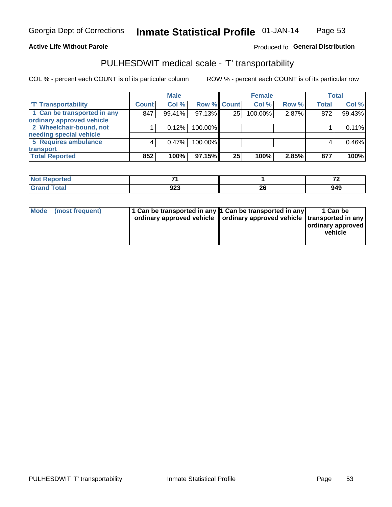### **Active Life Without Parole**

#### Produced fo General Distribution

## PULHESDWIT medical scale - 'T' transportability

COL % - percent each COUNT is of its particular column

|                             |              | <b>Male</b> |             |    | <b>Female</b> |       |              | <b>Total</b> |
|-----------------------------|--------------|-------------|-------------|----|---------------|-------|--------------|--------------|
| <b>T' Transportability</b>  | <b>Count</b> | Col %       | Row % Count |    | Col %         | Row % | <b>Total</b> | Col %        |
| 1 Can be transported in any | 847          | 99.41%      | 97.13%      | 25 | 100.00%       | 2.87% | 872          | 99.43%       |
| ordinary approved vehicle   |              |             |             |    |               |       |              |              |
| 2 Wheelchair-bound, not     |              | 0.12%       | 100.00%     |    |               |       |              | 0.11%        |
| needing special vehicle     |              |             |             |    |               |       |              |              |
| 5 Requires ambulance        |              | 0.47%       | 100.00%     |    |               |       |              | 0.46%        |
| transport                   |              |             |             |    |               |       |              |              |
| <b>Total Reported</b>       | 852          | 100%        | 97.15%      | 25 | 100%          | 2.85% | 877          | 100%         |

| Reported     |     |          | $\sim$ |
|--------------|-----|----------|--------|
| <b>Total</b> | 923 | ^^<br>ZV | 949    |

| Mode (most frequent) | 1 Can be transported in any 1 Can be transported in any | ordinary approved vehicle   ordinary approved vehicle   transported in any | 1 Can be<br>ordinary approved<br>vehicle |
|----------------------|---------------------------------------------------------|----------------------------------------------------------------------------|------------------------------------------|
|                      |                                                         |                                                                            |                                          |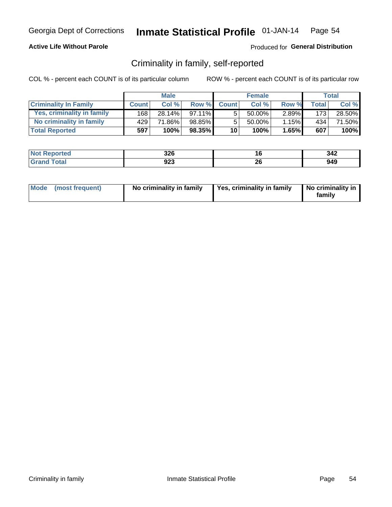### **Active Life Without Parole**

### Produced for General Distribution

## Criminality in family, self-reported

COL % - percent each COUNT is of its particular column

|                              |              | <b>Male</b> |           |                 | <b>Female</b> |          |                  | Total  |
|------------------------------|--------------|-------------|-----------|-----------------|---------------|----------|------------------|--------|
| <b>Criminality In Family</b> | <b>Count</b> | Col%        | Row %     | <b>Count</b>    | Col%          | Row %    | <b>Total</b>     | Col %  |
| Yes, criminality in family   | 168          | 28.14%      | $97.11\%$ | 5               | 50.00%        | $2.89\%$ | 173 <sub>1</sub> | 28.50% |
| No criminality in family     | 429          | 71.86%      | 98.85%    | 5               | 50.00%        | 1.15%    | 434              | 71.50% |
| <b>Total Reported</b>        | 597          | 100%        | 98.35%    | 10 <sub>1</sub> | 100%          | $1.65\%$ | 607              | 100%   |

| <b>Not Reported</b> | つつに<br>ט∡ט |          | 342 |
|---------------------|------------|----------|-----|
| <b>Total</b>        | 923        | ኅር<br>zu | 949 |

|  | Mode (most frequent) | No criminality in family | Yes, criminality in family | No criminality in<br>family |
|--|----------------------|--------------------------|----------------------------|-----------------------------|
|--|----------------------|--------------------------|----------------------------|-----------------------------|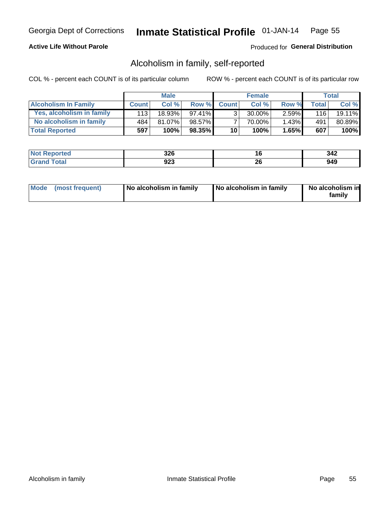### **Active Life Without Parole**

### Produced for General Distribution

## Alcoholism in family, self-reported

COL % - percent each COUNT is of its particular column

|                             |              | <b>Male</b> |        |                 | <b>Female</b> |          |              | Total  |
|-----------------------------|--------------|-------------|--------|-----------------|---------------|----------|--------------|--------|
| <b>Alcoholism In Family</b> | <b>Count</b> | Col%        | Row %  | <b>Count</b>    | Col%          | Row %    | <b>Total</b> | Col %  |
| Yes, alcoholism in family   | 113          | 18.93%      | 97.41% | 3               | 30.00%        | $2.59\%$ | 116          | 19.11% |
| No alcoholism in family     | 484          | 81.07%      | 98.57% |                 | 70.00%        | $1.43\%$ | 491          | 80.89% |
| <b>Total Reported</b>       | 597          | 100%        | 98.35% | 10 <sup>1</sup> | 100%          | 1.65%    | 607          | 100%   |

| <b>Not</b><br><b>Reported</b> | つつに<br>JZU | ı u      | 342 |
|-------------------------------|------------|----------|-----|
| <b>otal</b>                   | ממח<br>92J | n,<br>ZU | 949 |

|  | Mode (most frequent) | No alcoholism in family | No alcoholism in family | No alcoholism in<br>family |
|--|----------------------|-------------------------|-------------------------|----------------------------|
|--|----------------------|-------------------------|-------------------------|----------------------------|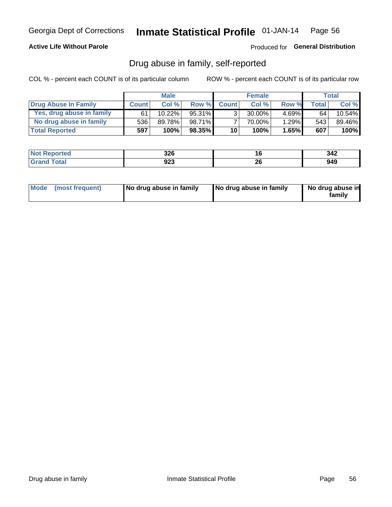### **Active Life Without Parole**

### Produced for General Distribution

## Drug abuse in family, self-reported

COL % - percent each COUNT is of its particular column

|                           |              | <b>Male</b> |           |                 | <b>Female</b> |          |       | <b>Total</b> |
|---------------------------|--------------|-------------|-----------|-----------------|---------------|----------|-------|--------------|
| Drug Abuse In Family      | <b>Count</b> | Col%        | Row %     | <b>Count</b>    | Col%          | Row %    | Total | Col %        |
| Yes, drug abuse in family | 61           | 10.22%      | $95.31\%$ | 3 <sub>1</sub>  | $30.00\%$     | $4.69\%$ | 64    | $10.54\%$    |
| No drug abuse in family   | 536'         | 89.78%      | 98.71%    |                 | 70.00%        | 1.29%    | 543   | 89.46%       |
| <b>Total Reported</b>     | 597          | 100%        | $98.35\%$ | 10 <sup>1</sup> | 100%          | 1.65%    | 607   | $100\%$      |

| <b>Not Reported</b> | <b>220</b><br>ט∡כ | ı u | 342 |
|---------------------|-------------------|-----|-----|
| <b>Grand Total</b>  | nga<br>923        | ZV  | 949 |

|  | Mode (most frequent) | No drug abuse in family | No drug abuse in family | No drug abuse in<br>family |
|--|----------------------|-------------------------|-------------------------|----------------------------|
|--|----------------------|-------------------------|-------------------------|----------------------------|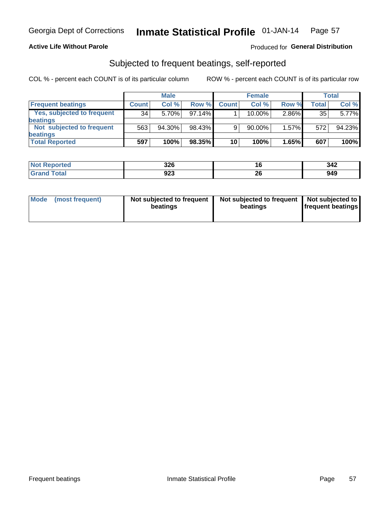### **Active Life Without Parole**

### Produced for General Distribution

## Subjected to frequent beatings, self-reported

COL % - percent each COUNT is of its particular column

|                                   |                 | <b>Male</b> |        |              | <b>Female</b> |          |       | Total  |
|-----------------------------------|-----------------|-------------|--------|--------------|---------------|----------|-------|--------|
| <b>Frequent beatings</b>          | <b>Count</b>    | Col %       | Row %  | <b>Count</b> | Col %         | Row %    | Total | Col %  |
| <b>Yes, subjected to frequent</b> | 34 <sub>1</sub> | 5.70%       | 97.14% |              | 10.00%        | 2.86%    | 35    | 5.77%  |
| <b>beatings</b>                   |                 |             |        |              |               |          |       |        |
| Not subjected to frequent         | 563             | 94.30%      | 98.43% | 9            | 90.00%        | $1.57\%$ | 572   | 94.23% |
| <b>beatings</b>                   |                 |             |        |              |               |          |       |        |
| <b>Total Reported</b>             | 597             | 100%        | 98.35% | 10           | 100%          | 1.65%    | 607   | 100%   |

| <b>Not Reported</b> | 326 | ιu       | 342 |
|---------------------|-----|----------|-----|
| <b>Total</b>        | 923 | ^^<br>20 | 949 |

| Mode | (most frequent) | Not subjected to frequent<br>beatings | Not subjected to frequent<br>beatings | Not subjected to<br><b>frequent beatings</b> |
|------|-----------------|---------------------------------------|---------------------------------------|----------------------------------------------|
|      |                 |                                       |                                       |                                              |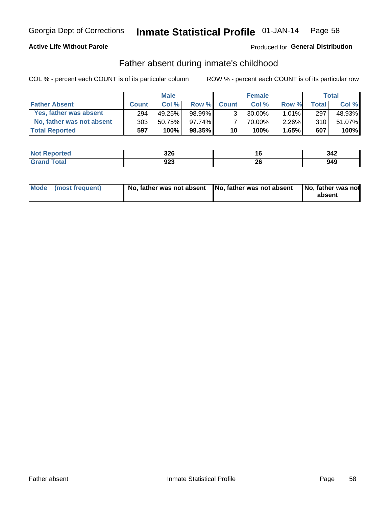### **Active Life Without Parole**

### **Produced for General Distribution**

## Father absent during inmate's childhood

COL % - percent each COUNT is of its particular column

|                           |                  | <b>Male</b> |           |                 | <b>Female</b> |          |       | Total  |
|---------------------------|------------------|-------------|-----------|-----------------|---------------|----------|-------|--------|
| <b>Father Absent</b>      | <b>Count</b>     | Col%        | Row %     | <b>Count</b>    | Col %         | Row %    | Total | Col %  |
| Yes, father was absent    | 294 <sub>1</sub> | 49.25%      | 98.99%    | 3 <sub>1</sub>  | $30.00\%$     | $1.01\%$ | 297   | 48.93% |
| No, father was not absent | 303              | 50.75%      | 97.74%    |                 | 70.00%        | $2.26\%$ | 310   | 51.07% |
| <b>Total Reported</b>     | 597              | 100%        | $98.35\%$ | 10 <sup>1</sup> | 100%          | 1.65%    | 607   | 100%   |

| <b>Not Reported</b>             | つつに<br>J∠U |    | 342 |
|---------------------------------|------------|----|-----|
| <b>Cotal</b><br>$\mathsf{Gran}$ | ממח<br>9ZJ | ኅር | 949 |

|  | Mode (most frequent) | No, father was not absent No, father was not absent |  | No, father was not<br>absent |
|--|----------------------|-----------------------------------------------------|--|------------------------------|
|--|----------------------|-----------------------------------------------------|--|------------------------------|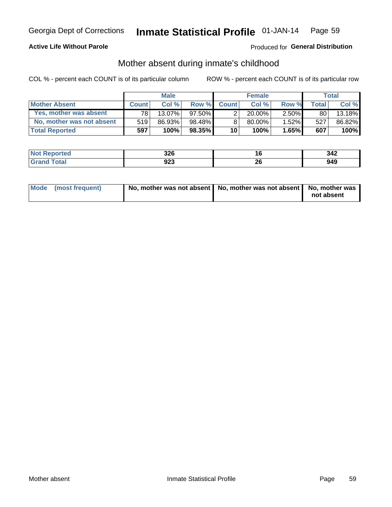### **Active Life Without Parole**

### Produced for General Distribution

## Mother absent during inmate's childhood

COL % - percent each COUNT is of its particular column

|                           |              | <b>Male</b> |           |              | <b>Female</b> |          |       | Total  |
|---------------------------|--------------|-------------|-----------|--------------|---------------|----------|-------|--------|
| <b>Mother Absent</b>      | <b>Count</b> | Col%        | Row %     | <b>Count</b> | Col%          | Row %    | Total | Col %  |
| Yes, mother was absent    | 781          | $13.07\%$   | $97.50\%$ | ົ            | $20.00\%$     | $2.50\%$ | 80    | 13.18% |
| No, mother was not absent | 519          | 86.93%      | 98.48%    | 8            | 80.00%        | 1.52%    | 527   | 86.82% |
| <b>Total Reported</b>     | 597          | 100%        | $98.35\%$ | 10           | 100%          | $1.65\%$ | 607   | 100%   |

| <b>Not Reported</b> | <b>220</b><br>ט∡כ | ı u | 342 |
|---------------------|-------------------|-----|-----|
| <b>Grand Total</b>  | nga<br>923        | ZV  | 949 |

| Mode (most frequent) | No, mother was not absent   No, mother was not absent   No, mother was | not absent |
|----------------------|------------------------------------------------------------------------|------------|
|----------------------|------------------------------------------------------------------------|------------|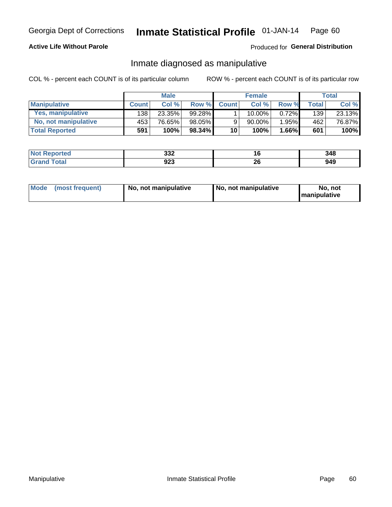### **Active Life Without Parole**

### Produced for General Distribution

## Inmate diagnosed as manipulative

COL % - percent each COUNT is of its particular column

|                       |              | <b>Male</b> |        |                 | <b>Female</b> |       |              | Total  |
|-----------------------|--------------|-------------|--------|-----------------|---------------|-------|--------------|--------|
| <b>Manipulative</b>   | <b>Count</b> | Col %       | Row %  | <b>Count</b>    | Col %         | Row % | <b>Total</b> | Col %  |
| Yes, manipulative     | 138          | 23.35%      | 99.28% |                 | $10.00\%$ .   | 0.72% | 139          | 23.13% |
| No, not manipulative  | 453'         | 76.65%      | 98.05% | 9               | 90.00%        | 1.95% | 462          | 76.87% |
| <b>Total Reported</b> | 591          | 100%        | 98.34% | 10 <sup>1</sup> | 100%          | 1.66% | 601          | 100%   |

| 'Not<br><b>Reported</b> | າາາ<br>ےدد | l b      | 348 |
|-------------------------|------------|----------|-----|
| <b>Total</b>            | ロクマ<br>9ZJ | ኅረ<br>ZU | 949 |

|  | Mode (most frequent) | No, not manipulative | No, not manipulative | No. not<br><b>I</b> manipulative |
|--|----------------------|----------------------|----------------------|----------------------------------|
|--|----------------------|----------------------|----------------------|----------------------------------|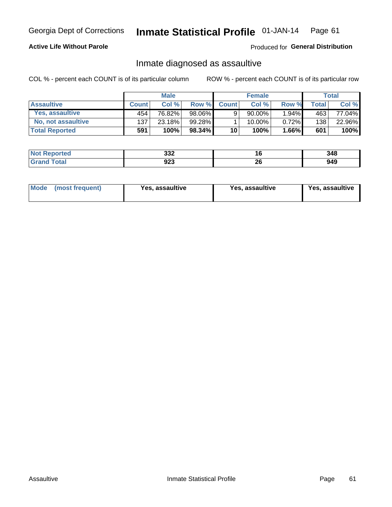#### Inmate Statistical Profile 01-JAN-14 Page 61

### **Active Life Without Parole**

Produced for General Distribution

## Inmate diagnosed as assaultive

COL % - percent each COUNT is of its particular column

|                       |              | <b>Male</b> |           |              | <b>Female</b> |          |                          | Total  |
|-----------------------|--------------|-------------|-----------|--------------|---------------|----------|--------------------------|--------|
| <b>Assaultive</b>     | <b>Count</b> | Col%        | Row %     | <b>Count</b> | Col%          | Row %    | $\mathsf{Total}_{\perp}$ | Col %  |
| Yes, assaultive       | 454          | 76.82%      | 98.06%    | 9            | $90.00\%$     | $1.94\%$ | 463                      | 77.04% |
| No, not assaultive    | 137          | 23.18%      | 99.28%    |              | 10.00%        | $0.72\%$ | 138                      | 22.96% |
| <b>Total Reported</b> | 591          | 100%        | $98.34\%$ | 10           | 100%          | 1.66%    | 601                      | 100%   |

| <b>Not Reported</b> | າາາ<br>ےدد | I.O      | 348 |
|---------------------|------------|----------|-----|
| <b>Total</b>        | ດາາ<br>9ZJ | ^^<br>ZV | 949 |

| Mode (most frequent)<br>Yes, assaultive | Yes, assaultive | <b>Yes, assaultive</b> |
|-----------------------------------------|-----------------|------------------------|
|-----------------------------------------|-----------------|------------------------|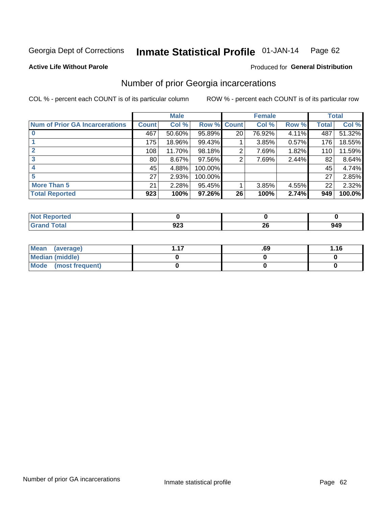#### Inmate Statistical Profile 01-JAN-14 Page 62

#### **Active Life Without Parole**

#### Produced for General Distribution

## Number of prior Georgia incarcerations

COL % - percent each COUNT is of its particular column

|                                       | <b>Male</b>  |        |           |                 | <b>Female</b> | <b>Total</b> |       |        |
|---------------------------------------|--------------|--------|-----------|-----------------|---------------|--------------|-------|--------|
| <b>Num of Prior GA Incarcerations</b> | <b>Count</b> | Col %  | Row %     | <b>Count</b>    | Col %         | Row %        | Total | Col %  |
|                                       | 467          | 50.60% | 95.89%    | 20 <sub>1</sub> | 76.92%        | 4.11%        | 487   | 51.32% |
|                                       | 175          | 18.96% | 99.43%    |                 | 3.85%         | 0.57%        | 176   | 18.55% |
|                                       | 108          | 11.70% | 98.18%    | 2               | 7.69%         | 1.82%        | 110   | 11.59% |
| 3                                     | 80           | 8.67%  | $97.56\%$ | 2               | 7.69%         | 2.44%        | 82    | 8.64%  |
|                                       | 45           | 4.88%  | 100.00%   |                 |               |              | 45    | 4.74%  |
|                                       | 27           | 2.93%  | 100.00%   |                 |               |              | 27    | 2.85%  |
| <b>More Than 5</b>                    | 21           | 2.28%  | 95.45%    |                 | 3.85%         | 4.55%        | 22    | 2.32%  |
| <b>Total Reported</b>                 | 923          | 100%   | 97.26%    | 26              | 100%          | 2.74%        | 949   | 100.0% |

| rted<br><b>NOT</b> |     |         |     |
|--------------------|-----|---------|-----|
| <b>otal</b><br>--- | ^^^ | ^'<br>Ŧ | 949 |

| Mean (average)       | .69 | 1.16 |
|----------------------|-----|------|
| Median (middle)      |     |      |
| Mode (most frequent) |     |      |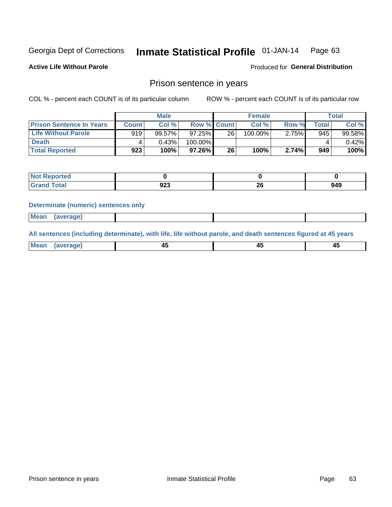#### Inmate Statistical Profile 01-JAN-14 Page 63

**Active Life Without Parole** 

Produced for General Distribution

## Prison sentence in years

COL % - percent each COUNT is of its particular column

ROW % - percent each COUNT is of its particular row

|                                 | <b>Male</b>  |        |                    | <b>Female</b> |         |       | Total |           |
|---------------------------------|--------------|--------|--------------------|---------------|---------|-------|-------|-----------|
| <b>Prison Sentence In Years</b> | <b>Count</b> | Col %  | <b>Row % Count</b> |               | Col %   | Row % | Total | Col %     |
| <b>Life Without Parole</b>      | 919          | 99.57% | $97.25\%$          | 26            | 100.00% | 2.75% | 945   | $99.58\%$ |
| <b>Death</b>                    |              | 0.43%  | 100.00%            |               |         |       |       | $0.42\%$  |
| <b>Total Reported</b>           | 923          | 100%   | 97.26%             | 26            | 100%    | 2.74% | 949   | 100%      |

| ported<br>N  |            |           |     |
|--------------|------------|-----------|-----|
| <b>Total</b> | nna<br>ນ∠ວ | oc.<br>ZV | 949 |

#### **Determinate (numeric) sentences only**

| ' Mea<br><b>Service</b> A<br>ЯМА. |  |  |  |
|-----------------------------------|--|--|--|
|                                   |  |  |  |

All sentences (including determinate), with life, life without parole, and death sentences figured at 45 years

| Me<br>in r-<br>---<br>------- |  |  |  |
|-------------------------------|--|--|--|
|                               |  |  |  |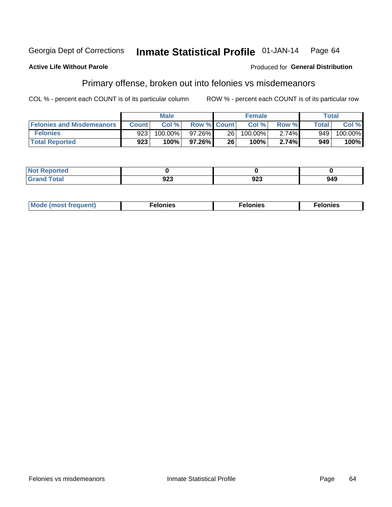#### **Active Life Without Parole**

### **Produced for General Distribution**

## Primary offense, broken out into felonies vs misdemeanors

COL % - percent each COUNT is of its particular column

|                                  | <b>Male</b>  |         |                    | <b>Female</b> |            |          | Total              |         |
|----------------------------------|--------------|---------|--------------------|---------------|------------|----------|--------------------|---------|
| <b>Felonies and Misdemeanors</b> | <b>Count</b> | Col%    | <b>Row % Count</b> |               | Col%       | Row %    | Total <sub>1</sub> | Col %   |
| <b>Felonies</b>                  | 9231         | 100.00% | 97.26%             | 26 l          | $100.00\%$ | $2.74\%$ | 949                | 100.00% |
| <b>Total Reported</b>            | 923          | $100\%$ | $97.26\%$          | 26            | 100%       | 2.74%    | 949                | 100%    |

| <b>Not Reported</b>         |     |                  |     |
|-----------------------------|-----|------------------|-----|
| <b>Total</b><br>Gran<br>uuu | JŁJ | <u>__</u><br>JZJ | 949 |

| $Mc$<br>equent)<br>нез<br>$\sim$<br>. | onies<br>. | <b>onies</b><br>. |
|---------------------------------------|------------|-------------------|
|---------------------------------------|------------|-------------------|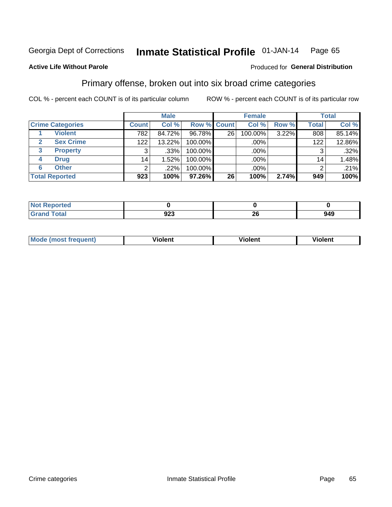#### Inmate Statistical Profile 01-JAN-14 Page 65

#### **Active Life Without Parole**

#### Produced for General Distribution

## Primary offense, broken out into six broad crime categories

COL % - percent each COUNT is of its particular column

|                         | <b>Male</b>     |        |             | <b>Female</b> |         |       | <b>Total</b>    |         |
|-------------------------|-----------------|--------|-------------|---------------|---------|-------|-----------------|---------|
| <b>Crime Categories</b> | <b>Count</b>    | Col %  | Row % Count |               | Col %   | Row % | <b>Total</b>    | Col %   |
| <b>Violent</b>          | 782             | 84.72% | 96.78%      | 26            | 100.00% | 3.22% | 808             | 85.14%  |
| <b>Sex Crime</b>        | 122             | 13.22% | 100.00%     |               | .00%    |       | 122             | 12.86%  |
| <b>Property</b><br>3    | 3               | .33%   | 100.00%     |               | .00%    |       |                 | .32%    |
| <b>Drug</b><br>4        | 14 <sub>1</sub> | 1.52%  | 100.00%     |               | .00%    |       | 14 <sub>1</sub> | 1.48%   |
| <b>Other</b><br>6       | 2               | .22%   | 100.00%     |               | $.00\%$ |       |                 | $.21\%$ |
| <b>Total Reported</b>   | 923             | 100%   | 97.26%      | 26            | 100%    | 2.74% | 949             | 100%    |

| <b>Not Reported</b> |             |    |     |
|---------------------|-------------|----|-----|
| <b>Total</b>        | ົດດາ<br>ง∠ง | ∠∪ | 949 |

| М | ,,, | - -- -<br>וחו | m |
|---|-----|---------------|---|
|   |     |               |   |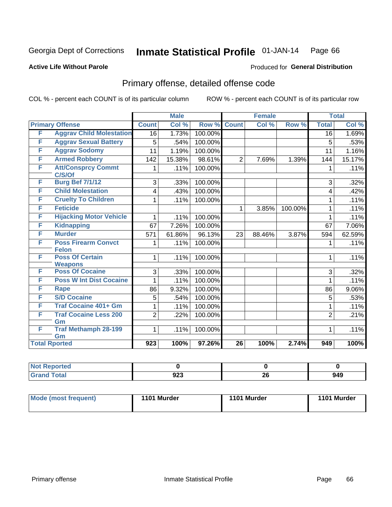#### Inmate Statistical Profile 01-JAN-14 Page 66

#### **Active Life Without Parole**

#### Produced for General Distribution

## Primary offense, detailed offense code

COL % - percent each COUNT is of its particular column

|   |                                            |                  | <b>Male</b> |         |                 | <b>Female</b> |         |                 | <b>Total</b> |
|---|--------------------------------------------|------------------|-------------|---------|-----------------|---------------|---------|-----------------|--------------|
|   | <b>Primary Offense</b>                     | <b>Count</b>     | Col %       | Row %   | <b>Count</b>    | Col %         | Row %   | <b>Total</b>    | Col %        |
| F | <b>Aggrav Child Molestation</b>            | 16               | 1.73%       | 100.00% |                 |               |         | $\overline{16}$ | 1.69%        |
| F | <b>Aggrav Sexual Battery</b>               | 5                | .54%        | 100.00% |                 |               |         | 5               | .53%         |
| F | <b>Aggrav Sodomy</b>                       | 11               | 1.19%       | 100.00% |                 |               |         | 11              | 1.16%        |
| F | <b>Armed Robbery</b>                       | 142              | 15.38%      | 98.61%  | $\overline{2}$  | 7.69%         | 1.39%   | 144             | 15.17%       |
| F | <b>Att/Consprcy Commt</b><br>C/S/Of        | 1                | .11%        | 100.00% |                 |               |         | 1               | .11%         |
| F | <b>Burg Bef 7/1/12</b>                     | 3                | .33%        | 100.00% |                 |               |         | 3               | .32%         |
| F | <b>Child Molestation</b>                   | 4                | .43%        | 100.00% |                 |               |         | 4               | .42%         |
| F | <b>Cruelty To Children</b>                 | 1                | .11%        | 100.00% |                 |               |         | 1               | .11%         |
| F | <b>Feticide</b>                            |                  |             |         | 1               | 3.85%         | 100.00% | 1               | .11%         |
| F | <b>Hijacking Motor Vehicle</b>             | 1                | .11%        | 100.00% |                 |               |         | 1               | .11%         |
| F | <b>Kidnapping</b>                          | 67               | 7.26%       | 100.00% |                 |               |         | 67              | 7.06%        |
| F | <b>Murder</b>                              | 571              | 61.86%      | 96.13%  | 23              | 88.46%        | 3.87%   | 594             | 62.59%       |
| F | <b>Poss Firearm Convct</b><br><b>Felon</b> |                  | .11%        | 100.00% |                 |               |         | 1               | .11%         |
| F | <b>Poss Of Certain</b><br><b>Weapons</b>   | 1                | .11%        | 100.00% |                 |               |         | 1               | .11%         |
| F | <b>Poss Of Cocaine</b>                     | 3                | .33%        | 100.00% |                 |               |         | 3               | .32%         |
| F | <b>Poss W Int Dist Cocaine</b>             | 1                | .11%        | 100.00% |                 |               |         | 1               | .11%         |
| F | <b>Rape</b>                                | 86               | 9.32%       | 100.00% |                 |               |         | 86              | 9.06%        |
| F | <b>S/D Cocaine</b>                         | 5                | .54%        | 100.00% |                 |               |         | 5               | .53%         |
| F | <b>Traf Cocaine 401+ Gm</b>                | 1                | .11%        | 100.00% |                 |               |         | 1               | .11%         |
| F | <b>Traf Cocaine Less 200</b><br>Gm         | $\overline{2}$   | .22%        | 100.00% |                 |               |         | $\overline{2}$  | .21%         |
| F | <b>Traf Methamph 28-199</b><br>Gm          | 1                | .11%        | 100.00% |                 |               |         | 1               | .11%         |
|   | <b>Total Rported</b>                       | $\overline{923}$ | 100%        | 97.26%  | $\overline{26}$ | 100%          | 2.74%   | 949             | 100%         |

| oorted<br><b>NI</b> |             |    |     |
|---------------------|-------------|----|-----|
| <b>c</b> otal       | റാമ<br>ັງ∠ວ | 26 | 949 |

| <b>Mode (most frequent)</b> | 1101 Murder | 1101 Murder | 1101 Murder |
|-----------------------------|-------------|-------------|-------------|
|                             |             |             |             |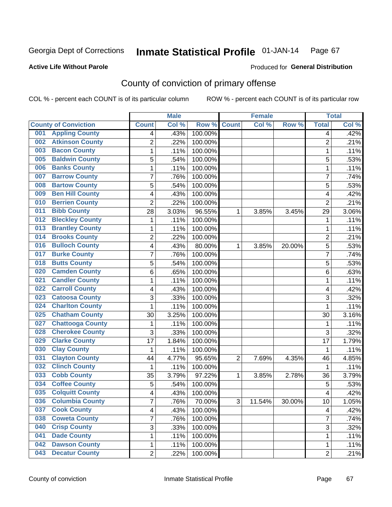#### **Active Life Without Parole**

# Produced for **General Distribution**

## County of conviction of primary offense

|     |                             |                         | <b>Male</b> |         |                | <b>Female</b> |        |                | <b>Total</b> |
|-----|-----------------------------|-------------------------|-------------|---------|----------------|---------------|--------|----------------|--------------|
|     | <b>County of Conviction</b> | <b>Count</b>            | Col%        | Row %   | <b>Count</b>   | Col %         | Row %  | <b>Total</b>   | Col %        |
| 001 | <b>Appling County</b>       | 4                       | .43%        | 100.00% |                |               |        | 4              | .42%         |
| 002 | <b>Atkinson County</b>      | $\overline{2}$          | .22%        | 100.00% |                |               |        | $\overline{2}$ | .21%         |
| 003 | <b>Bacon County</b>         | $\mathbf 1$             | .11%        | 100.00% |                |               |        | 1              | .11%         |
| 005 | <b>Baldwin County</b>       | 5                       | .54%        | 100.00% |                |               |        | 5              | .53%         |
| 006 | <b>Banks County</b>         | $\mathbf{1}$            | .11%        | 100.00% |                |               |        | $\mathbf{1}$   | .11%         |
| 007 | <b>Barrow County</b>        | $\overline{7}$          | .76%        | 100.00% |                |               |        | $\overline{7}$ | .74%         |
| 008 | <b>Bartow County</b>        | 5                       | .54%        | 100.00% |                |               |        | 5              | .53%         |
| 009 | <b>Ben Hill County</b>      | 4                       | .43%        | 100.00% |                |               |        | 4              | .42%         |
| 010 | <b>Berrien County</b>       | $\overline{2}$          | .22%        | 100.00% |                |               |        | $\overline{2}$ | .21%         |
| 011 | <b>Bibb County</b>          | 28                      | 3.03%       | 96.55%  | 1              | 3.85%         | 3.45%  | 29             | 3.06%        |
| 012 | <b>Bleckley County</b>      | 1                       | .11%        | 100.00% |                |               |        | 1              | .11%         |
| 013 | <b>Brantley County</b>      | 1                       | .11%        | 100.00% |                |               |        | 1              | .11%         |
| 014 | <b>Brooks County</b>        | $\overline{2}$          | .22%        | 100.00% |                |               |        | $\overline{2}$ | .21%         |
| 016 | <b>Bulloch County</b>       | 4                       | .43%        | 80.00%  | 1              | 3.85%         | 20.00% | 5              | .53%         |
| 017 | <b>Burke County</b>         | $\overline{7}$          | .76%        | 100.00% |                |               |        | $\overline{7}$ | .74%         |
| 018 | <b>Butts County</b>         | 5                       | .54%        | 100.00% |                |               |        | 5              | .53%         |
| 020 | <b>Camden County</b>        | 6                       | .65%        | 100.00% |                |               |        | 6              | .63%         |
| 021 | <b>Candler County</b>       | 1                       | .11%        | 100.00% |                |               |        | $\mathbf{1}$   | .11%         |
| 022 | <b>Carroll County</b>       | 4                       | .43%        | 100.00% |                |               |        | 4              | .42%         |
| 023 | <b>Catoosa County</b>       | 3                       | .33%        | 100.00% |                |               |        | $\overline{3}$ | .32%         |
| 024 | <b>Charlton County</b>      | $\mathbf 1$             | .11%        | 100.00% |                |               |        | 1              | .11%         |
| 025 | <b>Chatham County</b>       | 30                      | 3.25%       | 100.00% |                |               |        | 30             | 3.16%        |
| 027 | <b>Chattooga County</b>     | $\mathbf{1}$            | .11%        | 100.00% |                |               |        | 1              | .11%         |
| 028 | <b>Cherokee County</b>      | 3                       | .33%        | 100.00% |                |               |        | 3              | .32%         |
| 029 | <b>Clarke County</b>        | 17                      | 1.84%       | 100.00% |                |               |        | 17             | 1.79%        |
| 030 | <b>Clay County</b>          | $\mathbf{1}$            | .11%        | 100.00% |                |               |        | 1              | .11%         |
| 031 | <b>Clayton County</b>       | 44                      | 4.77%       | 95.65%  | $\overline{2}$ | 7.69%         | 4.35%  | 46             | 4.85%        |
| 032 | <b>Clinch County</b>        | 1                       | .11%        | 100.00% |                |               |        | 1              | .11%         |
| 033 | <b>Cobb County</b>          | 35                      | 3.79%       | 97.22%  | 1              | 3.85%         | 2.78%  | 36             | 3.79%        |
| 034 | <b>Coffee County</b>        | 5                       | .54%        | 100.00% |                |               |        | 5              | .53%         |
| 035 | <b>Colquitt County</b>      | 4                       | .43%        | 100.00% |                |               |        | 4              | .42%         |
| 036 | <b>Columbia County</b>      | 7                       | .76%        | 70.00%  | 3              | 11.54%        | 30.00% | 10             | 1.05%        |
| 037 | <b>Cook County</b>          | $\overline{\mathbf{4}}$ | .43%        | 100.00% |                |               |        | 4              | .42%         |
| 038 | <b>Coweta County</b>        | 7                       | .76%        | 100.00% |                |               |        | $\overline{7}$ | .74%         |
| 040 | <b>Crisp County</b>         | 3                       | .33%        | 100.00% |                |               |        | $\overline{3}$ | .32%         |
| 041 | <b>Dade County</b>          | 1                       | .11%        | 100.00% |                |               |        | 1              | .11%         |
| 042 | <b>Dawson County</b>        | $\mathbf 1$             | .11%        | 100.00% |                |               |        | $\mathbf{1}$   | .11%         |
| 043 | <b>Decatur County</b>       | $\overline{2}$          | .22%        | 100.00% |                |               |        | $\overline{2}$ | .21%         |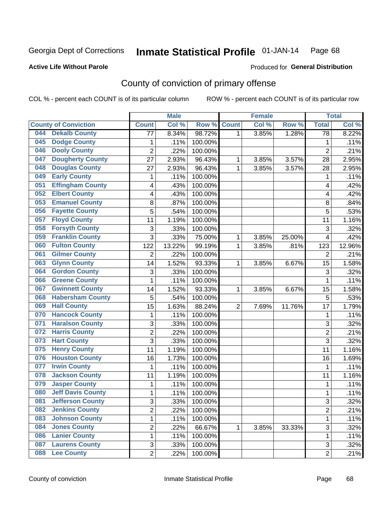**Active Life Without Parole** 

Produced for **General Distribution**

## County of conviction of primary offense

|                                 |                 | <b>Male</b> |         |                | <b>Female</b> |        |                 | <b>Total</b> |
|---------------------------------|-----------------|-------------|---------|----------------|---------------|--------|-----------------|--------------|
| <b>County of Conviction</b>     | <b>Count</b>    | Col %       | Row %   | <b>Count</b>   | Col%          | Row %  | <b>Total</b>    | Col %        |
| <b>Dekalb County</b><br>044     | $\overline{77}$ | 8.34%       | 98.72%  | 1              | 3.85%         | 1.28%  | $\overline{78}$ | 8.22%        |
| <b>Dodge County</b><br>045      | 1               | .11%        | 100.00% |                |               |        | $\mathbf{1}$    | .11%         |
| <b>Dooly County</b><br>046      | $\overline{2}$  | .22%        | 100.00% |                |               |        | $\overline{2}$  | .21%         |
| <b>Dougherty County</b><br>047  | 27              | 2.93%       | 96.43%  | 1              | 3.85%         | 3.57%  | 28              | 2.95%        |
| <b>Douglas County</b><br>048    | 27              | 2.93%       | 96.43%  | 1              | 3.85%         | 3.57%  | 28              | 2.95%        |
| <b>Early County</b><br>049      | 1               | .11%        | 100.00% |                |               |        | $\mathbf{1}$    | .11%         |
| <b>Effingham County</b><br>051  | 4               | .43%        | 100.00% |                |               |        | 4               | .42%         |
| <b>Elbert County</b><br>052     | 4               | .43%        | 100.00% |                |               |        | 4               | .42%         |
| <b>Emanuel County</b><br>053    | 8               | .87%        | 100.00% |                |               |        | 8               | .84%         |
| <b>Fayette County</b><br>056    | 5               | .54%        | 100.00% |                |               |        | 5               | .53%         |
| <b>Floyd County</b><br>057      | 11              | 1.19%       | 100.00% |                |               |        | 11              | 1.16%        |
| <b>Forsyth County</b><br>058    | $\sqrt{3}$      | .33%        | 100.00% |                |               |        | 3               | .32%         |
| <b>Franklin County</b><br>059   | 3               | .33%        | 75.00%  | 1              | 3.85%         | 25.00% | 4               | .42%         |
| <b>Fulton County</b><br>060     | 122             | 13.22%      | 99.19%  | 1              | 3.85%         | .81%   | 123             | 12.96%       |
| <b>Gilmer County</b><br>061     | $\overline{2}$  | .22%        | 100.00% |                |               |        | $\overline{2}$  | .21%         |
| <b>Glynn County</b><br>063      | 14              | 1.52%       | 93.33%  | 1              | 3.85%         | 6.67%  | 15              | 1.58%        |
| <b>Gordon County</b><br>064     | 3               | .33%        | 100.00% |                |               |        | 3               | .32%         |
| <b>Greene County</b><br>066     | 1               | .11%        | 100.00% |                |               |        | $\mathbf{1}$    | .11%         |
| <b>Gwinnett County</b><br>067   | 14              | 1.52%       | 93.33%  | 1              | 3.85%         | 6.67%  | 15              | 1.58%        |
| <b>Habersham County</b><br>068  | 5               | .54%        | 100.00% |                |               |        | 5               | .53%         |
| <b>Hall County</b><br>069       | 15              | 1.63%       | 88.24%  | $\overline{2}$ | 7.69%         | 11.76% | 17              | 1.79%        |
| <b>Hancock County</b><br>070    | 1               | .11%        | 100.00% |                |               |        | $\mathbf{1}$    | .11%         |
| <b>Haralson County</b><br>071   | 3               | .33%        | 100.00% |                |               |        | 3               | .32%         |
| <b>Harris County</b><br>072     | $\overline{2}$  | .22%        | 100.00% |                |               |        | $\overline{2}$  | .21%         |
| <b>Hart County</b><br>073       | 3               | .33%        | 100.00% |                |               |        | 3               | .32%         |
| <b>Henry County</b><br>075      | 11              | 1.19%       | 100.00% |                |               |        | 11              | 1.16%        |
| <b>Houston County</b><br>076    | 16              | 1.73%       | 100.00% |                |               |        | 16              | 1.69%        |
| <b>Irwin County</b><br>077      | 1               | .11%        | 100.00% |                |               |        | 1               | .11%         |
| <b>Jackson County</b><br>078    | 11              | 1.19%       | 100.00% |                |               |        | 11              | 1.16%        |
| <b>Jasper County</b><br>079     | 1               | .11%        | 100.00% |                |               |        | $\mathbf{1}$    | .11%         |
| <b>Jeff Davis County</b><br>080 | 1               | .11%        | 100.00% |                |               |        | $\mathbf{1}$    | .11%         |
| <b>Jefferson County</b><br>081  | 3               | .33%        | 100.00% |                |               |        | 3               | .32%         |
| <b>Jenkins County</b><br>082    | $\overline{2}$  | .22%        | 100.00% |                |               |        | $\overline{2}$  | .21%         |
| <b>Johnson County</b><br>083    | 1               | .11%        | 100.00% |                |               |        | $\mathbf{1}$    | .11%         |
| <b>Jones County</b><br>084      | $\overline{c}$  | .22%        | 66.67%  | 1              | 3.85%         | 33.33% | 3               | .32%         |
| <b>Lanier County</b><br>086     | 1               | .11%        | 100.00% |                |               |        | 1               | .11%         |
| <b>Laurens County</b><br>087    | 3               | .33%        | 100.00% |                |               |        | 3               | .32%         |
| <b>Lee County</b><br><b>088</b> | $\overline{2}$  | .22%        | 100.00% |                |               |        | $\overline{2}$  | .21%         |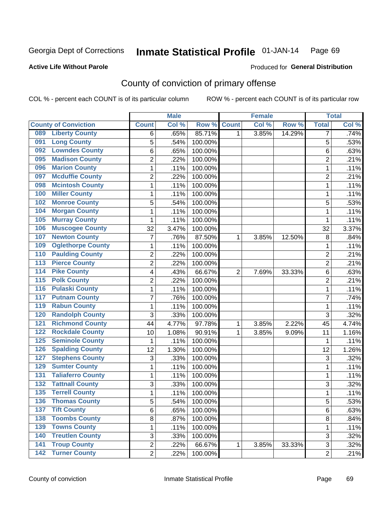**Active Life Without Parole** 

Produced for **General Distribution**

## County of conviction of primary offense

|                             |                          |                | <b>Male</b> |         |                | <b>Female</b> |        |                | <b>Total</b> |
|-----------------------------|--------------------------|----------------|-------------|---------|----------------|---------------|--------|----------------|--------------|
| <b>County of Conviction</b> |                          | <b>Count</b>   | Col %       | Row %   | <b>Count</b>   | Col %         | Row %  | <b>Total</b>   | Col %        |
| 089                         | <b>Liberty County</b>    | 6              | .65%        | 85.71%  | 1              | 3.85%         | 14.29% | 7              | .74%         |
| 091                         | <b>Long County</b>       | 5              | .54%        | 100.00% |                |               |        | 5              | .53%         |
| 092                         | <b>Lowndes County</b>    | 6              | .65%        | 100.00% |                |               |        | 6              | .63%         |
| 095                         | <b>Madison County</b>    | $\overline{2}$ | .22%        | 100.00% |                |               |        | $\overline{2}$ | .21%         |
| 096                         | <b>Marion County</b>     | 1              | .11%        | 100.00% |                |               |        | 1              | .11%         |
| 097                         | <b>Mcduffie County</b>   | $\overline{c}$ | .22%        | 100.00% |                |               |        | $\overline{2}$ | .21%         |
| 098                         | <b>Mcintosh County</b>   | 1              | .11%        | 100.00% |                |               |        | $\mathbf{1}$   | .11%         |
| 100                         | <b>Miller County</b>     | 1              | .11%        | 100.00% |                |               |        | 1              | .11%         |
| 102                         | <b>Monroe County</b>     | 5              | .54%        | 100.00% |                |               |        | 5              | .53%         |
| 104                         | <b>Morgan County</b>     | 1              | .11%        | 100.00% |                |               |        | 1              | .11%         |
| 105                         | <b>Murray County</b>     | 1              | .11%        | 100.00% |                |               |        | 1              | .11%         |
| 106                         | <b>Muscogee County</b>   | 32             | 3.47%       | 100.00% |                |               |        | 32             | 3.37%        |
| 107                         | <b>Newton County</b>     | 7              | .76%        | 87.50%  | 1              | 3.85%         | 12.50% | 8              | .84%         |
| 109                         | <b>Oglethorpe County</b> | 1              | .11%        | 100.00% |                |               |        | 1              | .11%         |
| 110                         | <b>Paulding County</b>   | $\overline{2}$ | .22%        | 100.00% |                |               |        | $\overline{2}$ | .21%         |
| $\overline{113}$            | <b>Pierce County</b>     | $\overline{2}$ | .22%        | 100.00% |                |               |        | $\overline{2}$ | .21%         |
| $\overline{114}$            | <b>Pike County</b>       | 4              | .43%        | 66.67%  | $\overline{2}$ | 7.69%         | 33.33% | 6              | .63%         |
| $\overline{115}$            | <b>Polk County</b>       | $\overline{2}$ | .22%        | 100.00% |                |               |        | $\overline{2}$ | .21%         |
| 116                         | <b>Pulaski County</b>    | 1              | .11%        | 100.00% |                |               |        | $\mathbf{1}$   | .11%         |
| 117                         | <b>Putnam County</b>     | 7              | .76%        | 100.00% |                |               |        | 7              | .74%         |
| 119                         | <b>Rabun County</b>      | 1              | .11%        | 100.00% |                |               |        | $\mathbf{1}$   | .11%         |
| 120                         | <b>Randolph County</b>   | 3              | .33%        | 100.00% |                |               |        | 3              | .32%         |
| $121$                       | <b>Richmond County</b>   | 44             | 4.77%       | 97.78%  | 1              | 3.85%         | 2.22%  | 45             | 4.74%        |
| 122                         | <b>Rockdale County</b>   | 10             | 1.08%       | 90.91%  | 1              | 3.85%         | 9.09%  | 11             | 1.16%        |
| 125                         | <b>Seminole County</b>   | 1              | .11%        | 100.00% |                |               |        | 1              | .11%         |
| 126                         | <b>Spalding County</b>   | 12             | 1.30%       | 100.00% |                |               |        | 12             | 1.26%        |
| 127                         | <b>Stephens County</b>   | 3              | .33%        | 100.00% |                |               |        | 3              | .32%         |
| 129                         | <b>Sumter County</b>     | 1              | .11%        | 100.00% |                |               |        | 1              | .11%         |
| 131                         | <b>Taliaferro County</b> | 1              | .11%        | 100.00% |                |               |        | $\mathbf{1}$   | .11%         |
| $\overline{132}$            | <b>Tattnall County</b>   | 3              | .33%        | 100.00% |                |               |        | 3              | .32%         |
| 135                         | <b>Terrell County</b>    | 1              | .11%        | 100.00% |                |               |        | 1              | .11%         |
| 136                         | <b>Thomas County</b>     | 5              | .54%        | 100.00% |                |               |        | 5              | .53%         |
| 137                         | <b>Tift County</b>       | 6              | .65%        | 100.00% |                |               |        | 6              | .63%         |
| 138                         | <b>Toombs County</b>     | 8              | .87%        | 100.00% |                |               |        | 8              | .84%         |
| 139                         | <b>Towns County</b>      | 1              | .11%        | 100.00% |                |               |        | 1              | .11%         |
| 140                         | <b>Treutlen County</b>   | 3              | .33%        | 100.00% |                |               |        | 3              | .32%         |
| 141                         | <b>Troup County</b>      | $\overline{2}$ | .22%        | 66.67%  | 1              | 3.85%         | 33.33% | 3              | .32%         |
| <b>142 Turner County</b>    |                          | $\overline{2}$ | .22%        | 100.00% |                |               |        | $\overline{2}$ | .21%         |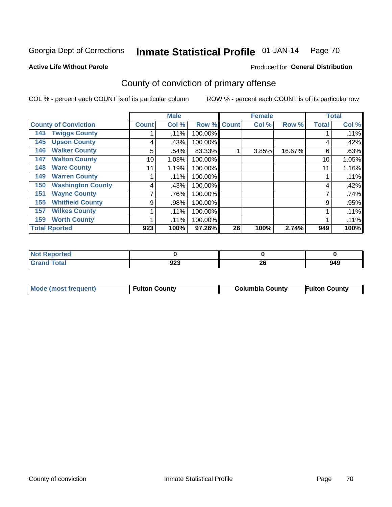**Active Life Without Parole** 

### Produced for **General Distribution**

## County of conviction of primary offense

|                                 |              | <b>Male</b> |                    |    | <b>Female</b> |        |              | <b>Total</b> |
|---------------------------------|--------------|-------------|--------------------|----|---------------|--------|--------------|--------------|
| <b>County of Conviction</b>     | <b>Count</b> | Col %       | <b>Row % Count</b> |    | Col %         | Row %  | <b>Total</b> | Col %        |
| <b>Twiggs County</b><br>143     |              | $.11\%$     | 100.00%            |    |               |        |              | .11%         |
| <b>Upson County</b><br>145      | 4            | .43%        | 100.00%            |    |               |        | 4            | .42%         |
| <b>Walker County</b><br>146     | 5            | .54%        | 83.33%             |    | 3.85%         | 16.67% | 6            | .63%         |
| <b>Walton County</b><br>147     | 10           | 1.08%       | 100.00%            |    |               |        | 10           | 1.05%        |
| <b>Ware County</b><br>148       | 11           | 1.19%       | 100.00%            |    |               |        | 11           | 1.16%        |
| <b>Warren County</b><br>149     |              | .11%        | 100.00%            |    |               |        |              | .11%         |
| <b>Washington County</b><br>150 | 4            | .43%        | 100.00%            |    |               |        | 4            | .42%         |
| <b>Wayne County</b><br>151      |              | .76%        | 100.00%            |    |               |        |              | .74%         |
| <b>Whitfield County</b><br>155  | 9            | .98%        | 100.00%            |    |               |        | 9            | .95%         |
| <b>Wilkes County</b><br>157     |              | $.11\%$     | 100.00%            |    |               |        |              | .11%         |
| <b>Worth County</b><br>159      |              | .11%        | 100.00%            |    |               |        |              | .11%         |
| <b>Total Rported</b>            | 923          | 100%        | 97.26%             | 26 | 100%          | 2.74%  | 949          | 100%         |

| orted<br>N |     |              |     |
|------------|-----|--------------|-----|
| 'ota.      | 923 | $\sim$<br>ΔU | 949 |

|  | Mode (most frequent) | <b>Fulton County</b> | <b>Columbia County</b> | <b>Fulton County</b> |
|--|----------------------|----------------------|------------------------|----------------------|
|--|----------------------|----------------------|------------------------|----------------------|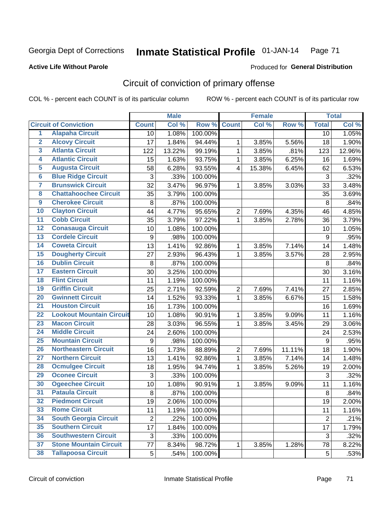### **Active Life Without Parole**

#### Produced for **General Distribution**

## Circuit of conviction of primary offense

|                         |                                 |                           | <b>Male</b> |                  |                  | <b>Female</b> |        |                | <b>Total</b> |
|-------------------------|---------------------------------|---------------------------|-------------|------------------|------------------|---------------|--------|----------------|--------------|
|                         | <b>Circuit of Conviction</b>    | <b>Count</b>              | Col %       | Row <sup>%</sup> | <b>Count</b>     | Col %         | Row %  | <b>Total</b>   | Col %        |
| 1                       | <b>Alapaha Circuit</b>          | 10                        | 1.08%       | 100.00%          |                  |               |        | 10             | 1.05%        |
| $\overline{2}$          | <b>Alcovy Circuit</b>           | 17                        | 1.84%       | 94.44%           | 1                | 3.85%         | 5.56%  | 18             | 1.90%        |
| $\overline{\mathbf{3}}$ | <b>Atlanta Circuit</b>          | 122                       | 13.22%      | 99.19%           | 1                | 3.85%         | .81%   | 123            | 12.96%       |
| 4                       | <b>Atlantic Circuit</b>         | 15                        | 1.63%       | 93.75%           | 1                | 3.85%         | 6.25%  | 16             | 1.69%        |
| 5                       | <b>Augusta Circuit</b>          | 58                        | 6.28%       | 93.55%           | 4                | 15.38%        | 6.45%  | 62             | 6.53%        |
| $\overline{\mathbf{6}}$ | <b>Blue Ridge Circuit</b>       | $\ensuremath{\mathsf{3}}$ | .33%        | 100.00%          |                  |               |        | $\sqrt{3}$     | .32%         |
| $\overline{\mathbf{7}}$ | <b>Brunswick Circuit</b>        | 32                        | 3.47%       | 96.97%           | 1                | 3.85%         | 3.03%  | 33             | 3.48%        |
| 8                       | <b>Chattahoochee Circuit</b>    | 35                        | 3.79%       | 100.00%          |                  |               |        | 35             | 3.69%        |
| $\overline{9}$          | <b>Cherokee Circuit</b>         | 8                         | .87%        | 100.00%          |                  |               |        | 8              | .84%         |
| 10                      | <b>Clayton Circuit</b>          | 44                        | 4.77%       | 95.65%           | $\boldsymbol{2}$ | 7.69%         | 4.35%  | 46             | 4.85%        |
| $\overline{11}$         | <b>Cobb Circuit</b>             | 35                        | 3.79%       | 97.22%           | $\mathbf{1}$     | 3.85%         | 2.78%  | 36             | 3.79%        |
| $\overline{12}$         | <b>Conasauga Circuit</b>        | 10                        | 1.08%       | 100.00%          |                  |               |        | 10             | 1.05%        |
| 13                      | <b>Cordele Circuit</b>          | 9                         | .98%        | 100.00%          |                  |               |        | 9              | .95%         |
| 14                      | <b>Coweta Circuit</b>           | 13                        | 1.41%       | 92.86%           | $\mathbf 1$      | 3.85%         | 7.14%  | 14             | 1.48%        |
| 15                      | <b>Dougherty Circuit</b>        | 27                        | 2.93%       | 96.43%           | 1                | 3.85%         | 3.57%  | 28             | 2.95%        |
| 16                      | <b>Dublin Circuit</b>           | 8                         | .87%        | 100.00%          |                  |               |        | 8              | .84%         |
| 17                      | <b>Eastern Circuit</b>          | 30                        | 3.25%       | 100.00%          |                  |               |        | 30             | 3.16%        |
| 18                      | <b>Flint Circuit</b>            | 11                        | 1.19%       | 100.00%          |                  |               |        | 11             | 1.16%        |
| 19                      | <b>Griffin Circuit</b>          | 25                        | 2.71%       | 92.59%           | $\boldsymbol{2}$ | 7.69%         | 7.41%  | 27             | 2.85%        |
| 20                      | <b>Gwinnett Circuit</b>         | 14                        | 1.52%       | 93.33%           | $\mathbf{1}$     | 3.85%         | 6.67%  | 15             | 1.58%        |
| $\overline{21}$         | <b>Houston Circuit</b>          | 16                        | 1.73%       | 100.00%          |                  |               |        | 16             | 1.69%        |
| $\overline{22}$         | <b>Lookout Mountain Circuit</b> | 10                        | 1.08%       | 90.91%           | $\mathbf 1$      | 3.85%         | 9.09%  | 11             | 1.16%        |
| 23                      | <b>Macon Circuit</b>            | 28                        | 3.03%       | 96.55%           | 1                | 3.85%         | 3.45%  | 29             | 3.06%        |
| 24                      | <b>Middle Circuit</b>           | 24                        | 2.60%       | 100.00%          |                  |               |        | 24             | 2.53%        |
| 25                      | <b>Mountain Circuit</b>         | $\boldsymbol{9}$          | .98%        | 100.00%          |                  |               |        | 9              | .95%         |
| 26                      | <b>Northeastern Circuit</b>     | 16                        | 1.73%       | 88.89%           | $\overline{2}$   | 7.69%         | 11.11% | 18             | 1.90%        |
| $\overline{27}$         | <b>Northern Circuit</b>         | 13                        | 1.41%       | 92.86%           | 1                | 3.85%         | 7.14%  | 14             | 1.48%        |
| 28                      | <b>Ocmulgee Circuit</b>         | 18                        | 1.95%       | 94.74%           | 1                | 3.85%         | 5.26%  | 19             | 2.00%        |
| 29                      | <b>Oconee Circuit</b>           | 3                         | .33%        | 100.00%          |                  |               |        | $\mathfrak{S}$ | .32%         |
| 30                      | <b>Ogeechee Circuit</b>         | 10                        | 1.08%       | 90.91%           | 1                | 3.85%         | 9.09%  | 11             | 1.16%        |
| $\overline{31}$         | <b>Pataula Circuit</b>          | 8                         | .87%        | 100.00%          |                  |               |        | $\bf 8$        | .84%         |
| 32                      | <b>Piedmont Circuit</b>         | 19                        | 2.06%       | 100.00%          |                  |               |        | 19             | 2.00%        |
| 33                      | <b>Rome Circuit</b>             | 11                        | 1.19%       | 100.00%          |                  |               |        | 11             | 1.16%        |
| 34                      | <b>South Georgia Circuit</b>    | $\overline{2}$            | .22%        | 100.00%          |                  |               |        | $\overline{2}$ | .21%         |
| 35                      | <b>Southern Circuit</b>         | 17                        | 1.84%       | 100.00%          |                  |               |        | 17             | 1.79%        |
| 36                      | <b>Southwestern Circuit</b>     | $\sqrt{3}$                | .33%        | 100.00%          |                  |               |        | 3              | .32%         |
| 37                      | <b>Stone Mountain Circuit</b>   | 77                        | 8.34%       | 98.72%           | 1                | 3.85%         | 1.28%  | 78             | 8.22%        |
| 38                      | <b>Tallapoosa Circuit</b>       | 5                         | .54%        | 100.00%          |                  |               |        | $\overline{5}$ | .53%         |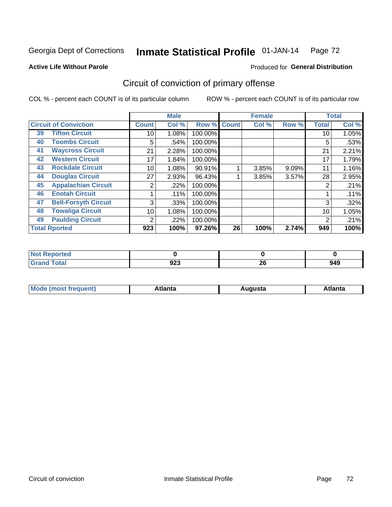#### **Active Life Without Parole**

### Produced for **General Distribution**

## Circuit of conviction of primary offense

|    |                              |              | <b>Male</b> |         |              | <b>Female</b> |       |              | <b>Total</b> |
|----|------------------------------|--------------|-------------|---------|--------------|---------------|-------|--------------|--------------|
|    | <b>Circuit of Conviction</b> | <b>Count</b> | Col %       | Row %   | <b>Count</b> | Col %         | Row % | <b>Total</b> | Col %        |
| 39 | <b>Tifton Circuit</b>        | 10           | 1.08%       | 100.00% |              |               |       | 10           | 1.05%        |
| 40 | <b>Toombs Circuit</b>        | 5            | .54%        | 100.00% |              |               |       | 5            | .53%         |
| 41 | <b>Waycross Circuit</b>      | 21           | 2.28%       | 100.00% |              |               |       | 21           | 2.21%        |
| 42 | <b>Western Circuit</b>       | 17           | 1.84%       | 100.00% |              |               |       | 17           | 1.79%        |
| 43 | <b>Rockdale Circuit</b>      | 10           | 1.08%       | 90.91%  |              | 3.85%         | 9.09% | 11           | 1.16%        |
| 44 | <b>Douglas Circuit</b>       | 27           | 2.93%       | 96.43%  |              | 3.85%         | 3.57% | 28           | 2.95%        |
| 45 | <b>Appalachian Circuit</b>   | 2            | .22%        | 100.00% |              |               |       | 2            | .21%         |
| 46 | <b>Enotah Circuit</b>        |              | .11%        | 100.00% |              |               |       |              | .11%         |
| 47 | <b>Bell-Forsyth Circuit</b>  | 3            | .33%        | 100.00% |              |               |       | 3            | .32%         |
| 48 | <b>Towaliga Circuit</b>      | 10           | 1.08%       | 100.00% |              |               |       | 10           | 1.05%        |
| 49 | <b>Paulding Circuit</b>      | 2            | .22%        | 100.00% |              |               |       | 2            | .21%         |
|    | <b>Total Rported</b>         | 923          | 100%        | 97.26%  | 26           | 100%          | 2.74% | 949          | 100%         |

| <b>ported</b><br>'N ( |     |          |     |
|-----------------------|-----|----------|-----|
| <b>Total</b>          | 923 | ጎር<br>ZU | 949 |

| М<br>. In n tr<br>.<br>.<br>wanta<br>Πū<br>31.<br>$\sim$ $\sim$ $\sim$ |
|------------------------------------------------------------------------|
|------------------------------------------------------------------------|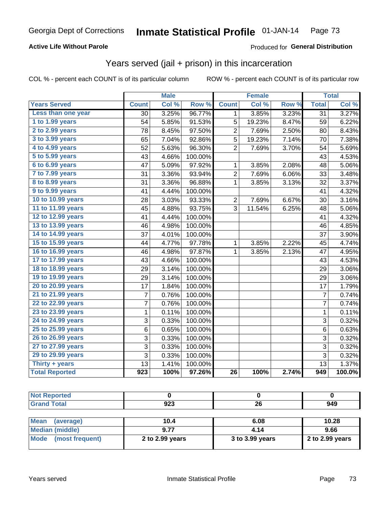### **Active Life Without Parole**

#### Produced for **General Distribution**

## Years served (jail + prison) in this incarceration

|                       | <b>Male</b>      |       | <b>Female</b> |                         |        | <b>Total</b> |                 |        |
|-----------------------|------------------|-------|---------------|-------------------------|--------|--------------|-----------------|--------|
| <b>Years Served</b>   | <b>Count</b>     | Col % | Row %         | <b>Count</b>            | Col %  | Row %        | <b>Total</b>    | Col %  |
| Less than one year    | 30               | 3.25% | 96.77%        | 1                       | 3.85%  | 3.23%        | $\overline{31}$ | 3.27%  |
| 1 to 1.99 years       | 54               | 5.85% | 91.53%        | 5                       | 19.23% | 8.47%        | 59              | 6.22%  |
| 2 to 2.99 years       | 78               | 8.45% | 97.50%        | $\overline{\mathbf{c}}$ | 7.69%  | 2.50%        | 80              | 8.43%  |
| 3 to 3.99 years       | 65               | 7.04% | 92.86%        | 5                       | 19.23% | 7.14%        | 70              | 7.38%  |
| 4 to 4.99 years       | 52               | 5.63% | 96.30%        | $\overline{2}$          | 7.69%  | 3.70%        | 54              | 5.69%  |
| 5 to 5.99 years       | 43               | 4.66% | 100.00%       |                         |        |              | 43              | 4.53%  |
| 6 to 6.99 years       | 47               | 5.09% | 97.92%        | 1                       | 3.85%  | 2.08%        | 48              | 5.06%  |
| 7 to 7.99 years       | 31               | 3.36% | 93.94%        | $\overline{c}$          | 7.69%  | 6.06%        | 33              | 3.48%  |
| 8 to 8.99 years       | 31               | 3.36% | 96.88%        | 1                       | 3.85%  | 3.13%        | 32              | 3.37%  |
| 9 to 9.99 years       | 41               | 4.44% | 100.00%       |                         |        |              | 41              | 4.32%  |
| 10 to 10.99 years     | 28               | 3.03% | 93.33%        | $\overline{c}$          | 7.69%  | 6.67%        | 30              | 3.16%  |
| 11 to 11.99 years     | 45               | 4.88% | 93.75%        | $\overline{3}$          | 11.54% | 6.25%        | 48              | 5.06%  |
| 12 to 12.99 years     | 41               | 4.44% | 100.00%       |                         |        |              | 41              | 4.32%  |
| 13 to 13.99 years     | 46               | 4.98% | 100.00%       |                         |        |              | 46              | 4.85%  |
| 14 to 14.99 years     | 37               | 4.01% | 100.00%       |                         |        |              | 37              | 3.90%  |
| 15 to 15.99 years     | 44               | 4.77% | 97.78%        | 1                       | 3.85%  | 2.22%        | 45              | 4.74%  |
| 16 to 16.99 years     | 46               | 4.98% | 97.87%        | 1                       | 3.85%  | 2.13%        | 47              | 4.95%  |
| 17 to 17.99 years     | 43               | 4.66% | 100.00%       |                         |        |              | 43              | 4.53%  |
| 18 to 18.99 years     | 29               | 3.14% | 100.00%       |                         |        |              | 29              | 3.06%  |
| 19 to 19.99 years     | 29               | 3.14% | 100.00%       |                         |        |              | 29              | 3.06%  |
| 20 to 20.99 years     | 17               | 1.84% | 100.00%       |                         |        |              | 17              | 1.79%  |
| 21 to 21.99 years     | $\overline{7}$   | 0.76% | 100.00%       |                         |        |              | $\overline{7}$  | 0.74%  |
| 22 to 22.99 years     | 7                | 0.76% | 100.00%       |                         |        |              | $\overline{7}$  | 0.74%  |
| 23 to 23.99 years     | $\mathbf 1$      | 0.11% | 100.00%       |                         |        |              | $\mathbf 1$     | 0.11%  |
| 24 to 24.99 years     | 3                | 0.33% | 100.00%       |                         |        |              | 3               | 0.32%  |
| 25 to 25.99 years     | 6                | 0.65% | 100.00%       |                         |        |              | 6               | 0.63%  |
| 26 to 26.99 years     | 3                | 0.33% | 100.00%       |                         |        |              | 3               | 0.32%  |
| 27 to 27.99 years     | 3                | 0.33% | 100.00%       |                         |        |              | 3               | 0.32%  |
| 29 to 29.99 years     | 3                | 0.33% | 100.00%       |                         |        |              | 3               | 0.32%  |
| Thirty + years        | 13               | 1.41% | 100.00%       |                         |        |              | 13              | 1.37%  |
| <b>Total Reported</b> | $\overline{923}$ | 100%  | 97.26%        | $\overline{26}$         | 100%   | 2.74%        | 949             | 100.0% |

| <b>Not Reported</b>            |                 |                 |                 |
|--------------------------------|-----------------|-----------------|-----------------|
| <b>Grand Total</b>             | 923             | 26              | 949             |
|                                |                 |                 |                 |
| <b>Mean</b><br>(average)       | 10.4            | 6.08            | 10.28           |
| <b>Median (middle)</b>         | 9.77            | 4.14            | 9.66            |
| <b>Mode</b><br>(most frequent) | 2 to 2.99 years | 3 to 3.99 years | 2 to 2.99 years |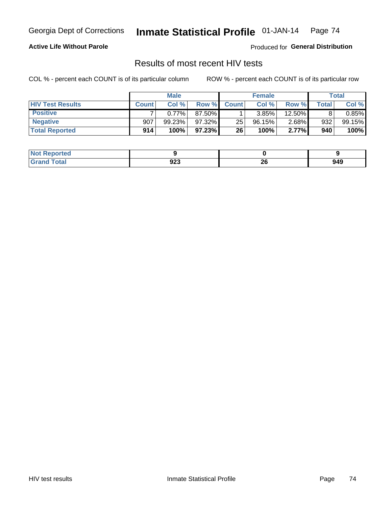### **Active Life Without Parole**

Produced for **General Distribution**

## Results of most recent HIV tests

|                         | <b>Male</b>  |        |           | <b>Female</b> |        |          | Total        |           |
|-------------------------|--------------|--------|-----------|---------------|--------|----------|--------------|-----------|
| <b>HIV Test Results</b> | <b>Count</b> | Col%   | Row %I    | <b>Count</b>  | Col%   | Row %    | <b>Total</b> | Col %     |
| <b>Positive</b>         |              | 0.77%  | 87.50%    |               | 3.85%  | 12.50%   |              | $0.85\%$  |
| <b>Negative</b>         | 907          | 99.23% | $97.32\%$ | 25            | 96.15% | $2.68\%$ | 932          | $99.15\%$ |
| <b>Total Reported</b>   | 914          | 100%   | $97.23\%$ | 26            | 100%   | 2.77%    | 940          | 100%      |

| <b>Not Reported</b> |             |          |     |
|---------------------|-------------|----------|-----|
| <b>Total</b>        | nne.<br>ง∠ง | ^^<br>ZU | 949 |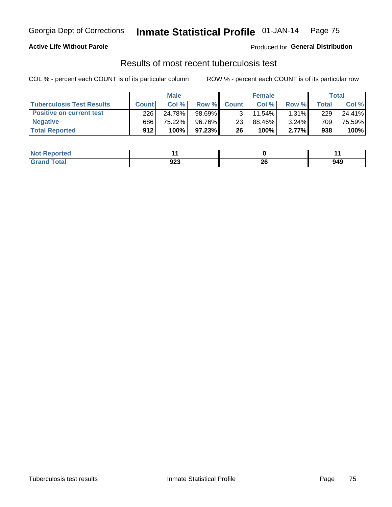### **Active Life Without Parole**

Produced for **General Distribution**

## Results of most recent tuberculosis test

|                                  | <b>Male</b>  |        |           | <b>Female</b> |           |          | Total        |        |
|----------------------------------|--------------|--------|-----------|---------------|-----------|----------|--------------|--------|
| <b>Tuberculosis Test Results</b> | <b>Count</b> | Col%   | Row %I    | <b>Count</b>  | Col%      | Row %    | <b>Total</b> | Col %  |
| <b>Positive on current test</b>  | 226          | 24.78% | 98.69%    |               | $11.54\%$ | $1.31\%$ | 229          | 24.41% |
| <b>Negative</b>                  | 686          | 75.22% | 96.76%    | 23            | 88.46%    | $3.24\%$ | 709          | 75.59% |
| <b>Total Reported</b>            | 912          | 100%   | $97.23\%$ | 26            | 100%      | 2.77%    | 938          | 100%   |

| <b>ported</b><br>I NOT          |             |    |             |
|---------------------------------|-------------|----|-------------|
| <b>otal</b><br>а село<br>$\sim$ | nne.<br>ນ∠ວ | ΔU | 949<br>$ -$ |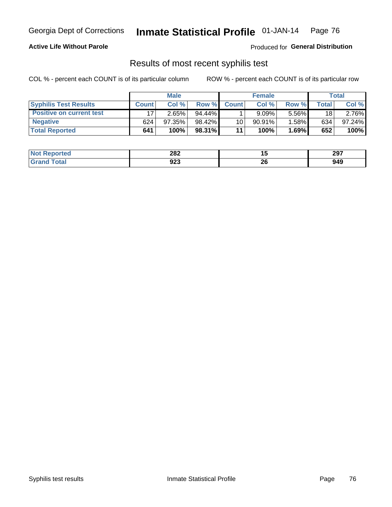### **Active Life Without Parole**

Produced for **General Distribution**

## Results of most recent syphilis test

|                                 | <b>Male</b>  |        |           | <b>Female</b>   |           |       | Total        |        |
|---------------------------------|--------------|--------|-----------|-----------------|-----------|-------|--------------|--------|
| <b>Syphilis Test Results</b>    | <b>Count</b> | Col%   | Row %I    | <b>Count</b>    | Col %     | Row % | <b>Total</b> | Col %  |
| <b>Positive on current test</b> |              | 2.65%  | $94.44\%$ |                 | 9.09%     | 5.56% | 18           | 2.76%  |
| <b>Negative</b>                 | 624          | 97.35% | 98.42%    | 10 <sup>1</sup> | $90.91\%$ | 1.58% | 634          | 97.24% |
| <b>Total Reported</b>           | 641          | 100%   | 98.31%    | 11              | 100%      | 1.69% | 652          | 100%   |

| <b>Not Reported</b> | 282         |           | 297 |
|---------------------|-------------|-----------|-----|
| Total               | nor.<br>ນ∠ວ | nr.<br>ZU | 949 |